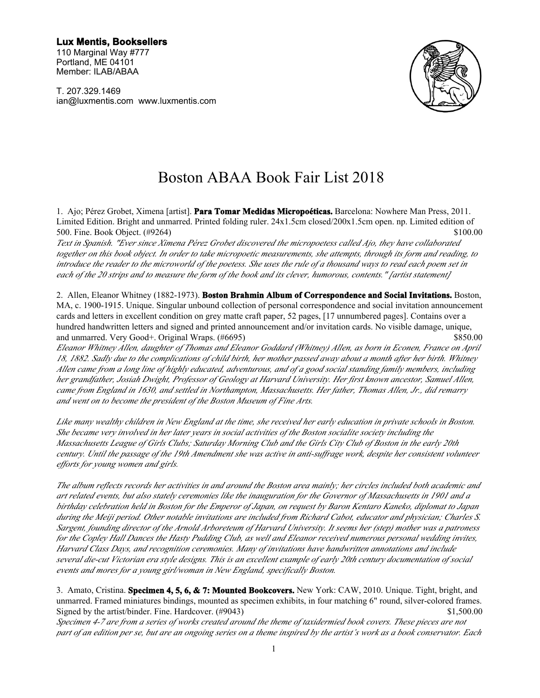## **Lux Mentis, Booksellers**

110 Marginal Way #777 Portland, ME 04101 Member: ILAB/ABAA

T. 207.329.1469 ian@luxmentis.com www.luxmentis.com



# Boston ABAA Book Fair List 2018

1. Ajo; Pérez Grobet, Ximena [artist]. **Para Tomar Medidas Micropoéticas.** Barcelona: Nowhere Man Press, 2011. Limited Edition. Bright and unmarred. Printed folding ruler. 24x1.5cm closed/200x1.5cm open. np. Limited edition of 500. Fine. Book Object. (#9264) \$100.00

*Text in Spanish. "Ever since Ximena Pérez Grobet discovered the micropoetess called Ajo, they have collaborated together on this book object. In order to take micropoetic measurements, she attempts, through its form and reading, to introduce the reader to the microworld of the poetess. She uses the rule of a thousand ways to read each poem set in each of the 20 strips and to measure the form of the book and its clever, humorous, contents." [artist statement]*

2. Allen, Eleanor Whitney (1882-1973). **Boston Brahmin Album of Correspondence and Social Invitations.** Boston, MA, c. 1900-1915. Unique. Singular unbound collection of personal correspondence and social invitation announcement cards and letters in excellent condition on grey matte craft paper, 52 pages, [17 unnumbered pages]. Contains over a hundred handwritten letters and signed and printed announcement and/or invitation cards. No visible damage, unique, and unmarred. Very Good+. Original Wraps. (#6695) \$850.00

*Eleanor Whitney Allen, daughter of Thomas and Eleanor Goddard (Whitney) Allen, as born in Econen, France on April 18, 1882. Sadly due to the complications of child birth, her mother passed away about a month after her birth. Whitney Allen came from a long line of highly educated, adventurous, and of a good social standing family members, including her grandfather, Josiah Dwight, Professor of Geology at Harvard University. Her first known ancestor, Samuel Allen, came from England in 1630, and settled in Northampton, Massachusetts. Her father, Thomas Allen, Jr., did remarry and went on to become the president of the Boston Museum of Fine Arts.*

*Like many wealthy children in New England at the time, she received her early education in private schools in Boston. She became very involved in her later years in social activities of the Boston socialite society including the Massachusetts League of Girls Clubs; Saturday Morning Club and the Girls City Club of Boston in the early 20th century. Until the passage of the 19th Amendment she was active in anti-suffrage work, despite her consistent volunteer efforts for young women and girls.*

*The album reflects records her activities in and around the Boston area mainly; her circles included both academic and art related events, but also stately ceremonies like the inauguration for the Governor of Massachusetts in 1901 and a birthday celebration held in Boston for the Emperor of Japan, on request by Baron Kentaro Kaneko, diplomat to Japan during the Meiji period. Other notable invitations are included from Richard Cabot, educator and physician; Charles S. Sargent, founding director of the Arnold Arboreteum of Harvard University. It seems her (step) mother was a patroness for the Copley Hall Dances the Hasty Pudding Club, as well and Eleanor received numerous personal wedding invites, Harvard Class Days, and recognition ceremonies. Many of invitations have handwritten annotations and include several die-cut Victorian era style designs. This is an excellent example of early 20th century documentation of social events and mores for a young girl/woman in New England, specifically Boston.*

3. Amato, Cristina. **Specimen 4, 5, 6, & 7: Mounted Bookcovers.** New York: CAW, 2010. Unique. Tight, bright, and unmarred. Framed miniatures bindings, mounted as specimen exhibits, in four matching 6" round, silver-colored frames. Signed by the artist/binder. Fine. Hardcover. (#9043) \$1,500.00

*Specimen 4-7 are from a series of works created around the theme of taxidermied book covers. These pieces are not part of an edition per se, but are an ongoing series on a theme inspired by the artist's work as a book conservator. Each*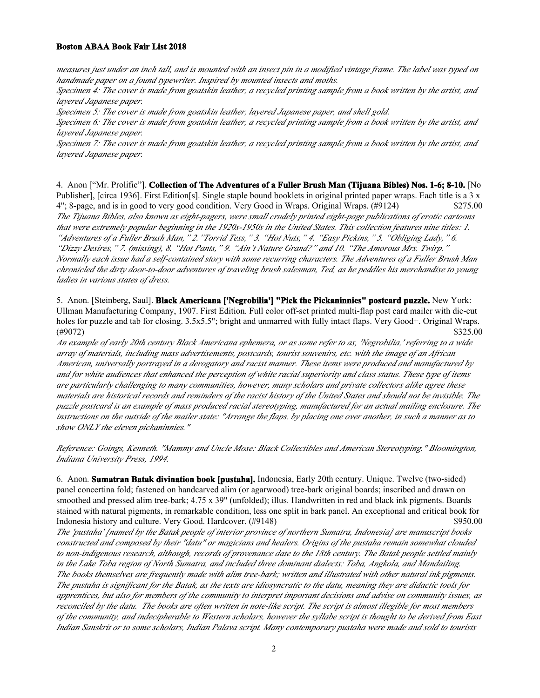*measures just under an inch tall, and is mounted with an insect pin in a modified vintage frame. The label was typed on handmade paper on a found typewriter. Inspired by mounted insects and moths.*

*Specimen 4: The cover is made from goatskin leather, a recycled printing sample from a book written by the artist, and layered Japanese paper.*

*Specimen 5: The cover is made from goatskin leather, layered Japanese paper, and shell gold.*

*Specimen 6: The cover is made from goatskin leather, a recycled printing sample from a book written by the artist, and layered Japanese paper.*

*Specimen 7: The cover is made from goatskin leather, a recycled printing sample from a book written by the artist, and layered Japanese paper.*

4. Anon ["Mr. Prolific"]. **Collection of The Adventures of a Fuller Brush Man (Tijuana Bibles) Nos. 1-6; 8-10.** [No Publisher], [circa 1936]. First Edition[s]. Single staple bound booklets in original printed paper wraps. Each title is a 3 x 4"; 8-page, and is in good to very good condition. Very Good in Wraps. Original Wraps. (#9124) \$275.00 *The Tijuana Bibles, also known as eight-pagers, were small crudely printed eight-page publications of erotic cartoons that were extremely popular beginning in the 1920s-1950s in the United States. This collection features nine titles: 1. "Adventures of a Fuller Brush Man," 2."Torrid Tess," 3. "Hot Nuts," 4. "Easy Pickins," 5. "Obliging Lady," 6. "Dizzy Desires," 7. (missing), 8. "Hot Pants," 9. "Ain't Nature Grand?" and 10. "The Amorous Mrs. Twirp." Normally each issue had a self-contained story with some recurring characters. The Adventures of a Fuller Brush Man chronicled the dirty door-to-door adventures of traveling brush salesman, Ted, as he peddles his merchandise to young ladies in various states of dress.*

5. Anon. [Steinberg, Saul]. **Black Americana ['Negrobilia'] "Pick the Pickaninnies" postcard puzzle.** New York: Ullman Manufacturing Company, 1907. First Edition. Full color off-set printed multi-flap post card mailer with die-cut holes for puzzle and tab for closing. 3.5x5.5"; bright and unmarred with fully intact flaps. Very Good+. Original Wraps.  $(#9072)$  \$325.00

*An example of early 20th century Black Americana ephemera, or as some refer to as, 'Negrobilia,' referring to a wide array of materials, including mass advertisements, postcards, tourist souvenirs, etc. with the image of an African American, universally portrayed in a derogatory and racist manner. These items were produced and manufactured by and for white audiences that enhanced the perception of white racial superiority and class status. These type of items are particularly challenging to many communities, however, many scholars and private collectors alike agree these materials are historical records and reminders of the racist history of the United States and should not be invisible. The puzzle postcard is an example of mass produced racial stereotyping, manufactured for an actual mailing enclosure. The instructions on the outside of the mailer state: "Arrange the flaps, by placing one over another, in such a manner as to show ONLY the eleven pickaninnies."*

*Reference: Goings, Kenneth. "Mammy and Uncle Mose: Black Collectibles and American Stereotyping." Bloomington, Indiana University Press, 1994.*

6. Anon. **Sumatran Batak divination book [pustaha].** Indonesia, Early 20th century. Unique. Twelve (two-sided) panel concertina fold; fastened on handcarved alim (or agarwood) tree-bark original boards; inscribed and drawn on smoothed and pressed alim tree-bark; 4.75 x 39" (unfolded); illus. Handwritten in red and black ink pigments. Boards stained with natural pigments, in remarkable condition, less one split in bark panel. An exceptional and critical book for Indonesia history and culture. Very Good. Hardcover. (#9148) \$950.00

*The 'pustaha' [named by the Batak people of interior province of northern Sumatra, Indonesia] are manuscript books constructed and composed by their "datu" or magicians and healers. Origins of the pustaha remain somewhat clouded to non-indigenous research, although, records of provenance date to the 18th century. The Batak people settled mainly in the Lake Toba region of North Sumatra, and included three dominant dialects: Toba, Angkola, and Mandailing. The books themselves are frequently made with alim tree-bark; written and illustrated with other natural ink pigments. The pustaha is significant for the Batak, as the texts are idiosyncratic to the datu, meaning they are didactic tools for apprentices, but also for members of the community to interpret important decisions and advise on community issues, as reconciled by the datu. The books are often written in note-like script. The script is almost illegible for most members of the community, and indecipherable to Western scholars, however the syllabe script is thought to be derived from East Indian Sanskrit or to some scholars, Indian Palava script. Many contemporary pustaha were made and sold to tourists*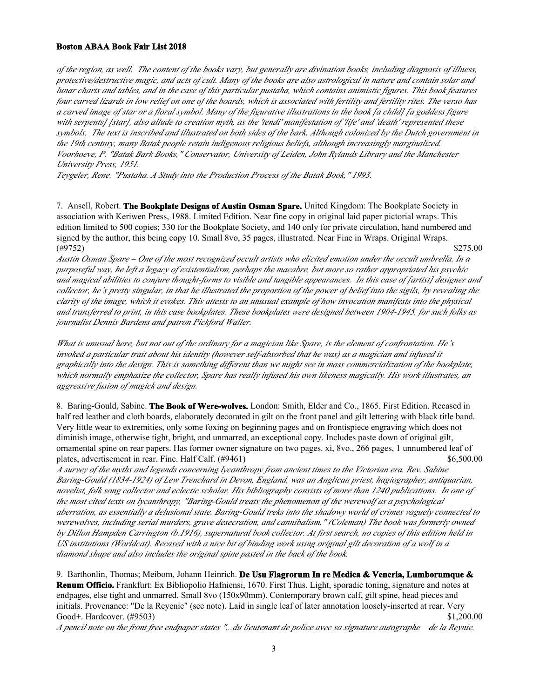*of the region, as well. The content of the books vary, but generally are divination books, including diagnosis of illness, protective/destructive magic, and acts of cult. Many of the books are also astrological in nature and contain solar and lunar charts and tables, and in the case of this particular pustaha, which contains animistic figures. This book features four carved lizards in low relief on one of the boards, which is associated with fertility and fertility rites. The verso has a carved image of star or a floral symbol. Many of the figurative illustrations in the book [a child] [a goddess figure with serpents] [star], also allude to creation myth, as the 'tendi' manifestation of 'life' and 'death' represented these symbols. The text is inscribed and illustrated on both sides of the bark. Although colonized by the Dutch government in the 19th century, many Batak people retain indigenous religious beliefs, although increasingly marginalized. Voorhoeve, P. "Batak Bark Books," Conservator, University of Leiden, John Rylands Library and the Manchester University Press, 1951.*

*Teygeler, Rene. "Pustaha. A Study into the Production Process of the Batak Book," 1993.*

7. Ansell, Robert. **The Bookplate Designs of Austin Osman Spare.** United Kingdom: The Bookplate Society in association with Keriwen Press, 1988. Limited Edition. Near fine copy in original laid paper pictorial wraps. This edition limited to 500 copies; 330 for the Bookplate Society, and 140 only for private circulation, hand numbered and signed by the author, this being copy 10. Small 8vo, 35 pages, illustrated. Near Fine in Wraps. Original Wraps. (#9752) \$275.00

*Austin Osman Spare – One of the most recognized occult artists who elicited emotion under the occult umbrella. In a purposeful way, he left a legacy of existentialism, perhaps the macabre, but more so rather appropriated his psychic and magical abilities to conjure thought-forms to visible and tangible appearances. In this case of [artist] designer and collector, he's pretty singular, in that he illustrated the proportion of the power of belief into the sigils, by revealing the clarity of the image, which it evokes. This attests to an unusual example of how invocation manifests into the physical and transferred to print, in this case bookplates. These bookplates were designed between 1904-1945, for such folks as journalist Dennis Bardens and patron Pickford Waller.*

*What is unusual here, but not out of the ordinary for a magician like Spare, is the element of confrontation. He's invoked a particular trait about his identity (however self-absorbed that he was) as a magician and infused it graphically into the design. This is something different than we might see in mass commercialization of the bookplate, which normally emphasize the collector, Spare has really infused his own likeness magically. His work illustrates, an aggressive fusion of magick and design.*

8. Baring-Gould, Sabine. **The Book of Were-wolves.** London: Smith, Elder and Co., 1865. First Edition. Recased in half red leather and cloth boards, elaborately decorated in gilt on the front panel and gilt lettering with black title band. Very little wear to extremities, only some foxing on beginning pages and on frontispiece engraving which does not diminish image, otherwise tight, bright, and unmarred, an exceptional copy. Includes paste down of original gilt, ornamental spine on rear papers. Has former owner signature on two pages. xi, 8vo., 266 pages, 1 unnumbered leaf of plates, advertisement in rear. Fine. Half Calf. (#9461) \$6,500.00 \$6,500.00

*A survey of the myths and legends concerning lycanthropy from ancient times to the Victorian era. Rev. Sabine Baring-Gould (1834-1924) of Lew Trenchard in Devon, England, was an Anglican priest, hagiographer, antiquarian, novelist, folk song collector and eclectic scholar. His bibliography consists of more than 1240 publications. In one of the most cited texts on lycanthropy, "Baring-Gould treats the phenomenon of the werewolf as a psychological aberration, as essentially a delusional state. Baring-Gould treks into the shadowy world of crimes vaguely connected to werewolves, including serial murders, grave desecration, and cannibalism." (Coleman) The book was formerly owned by Dillon Hampden Carrington (b.1916), supernatural book collector. At first search, no copies of this edition held in US institutions (Worldcat). Recased with a nice bit of binding work using original gilt decoration of a wolf in a diamond shape and also includes the original spine pasted in the back of the book.*

9. Barthonlin, Thomas; Meibom, Johann Heinrich. **De Usu Flagrorum In re Medica & Veneria, Lumborumque & Renum Officio.** Frankfurt: Ex Bibliopolio Hafniensi, 1670. First Thus. Light, sporadic toning, signature and notes at endpages, else tight and unmarred. Small 8vo (150x90mm). Contemporary brown calf, gilt spine, head pieces and initials. Provenance: "De la Reyenie" (see note). Laid in single leaf of later annotation loosely-inserted at rear. Very Good+. Hardcover. (#9503) \$1,200.00

*A pencil note on the front free endpaper states "...du lieutenant de police avec sa signature autographe – de la Reynie.*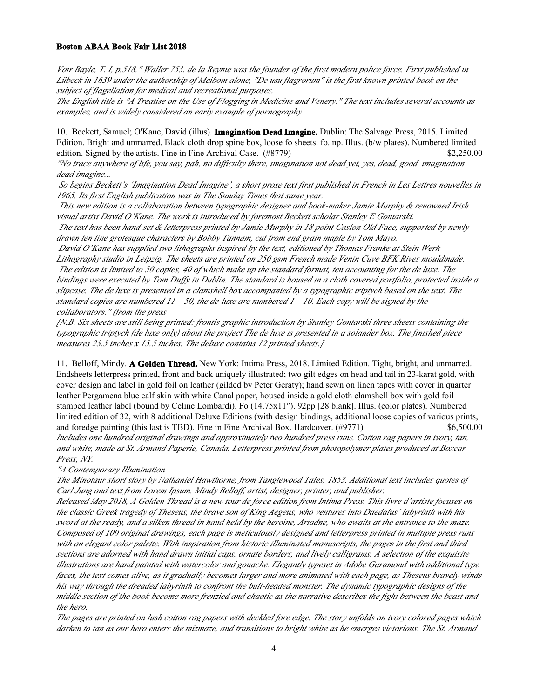*Voir Bayle, T. I, p.518." Waller 753. de la Reynie was the founder of the first modern police force. First published in Lübeck in 1639 under the authorship of Meibom alone, "De usu flagrorum" is the first known printed book on the subject of flagellation for medical and recreational purposes.*

*The English title is "A Treatise on the Use of Flogging in Medicine and Venery." The text includes several accounts as examples, and is widely considered an early example of pornography.*

10. Beckett, Samuel; O'Kane, David (illus). **Imagination Dead Imagine.** Dublin: The Salvage Press, 2015. Limited Edition. Bright and unmarred. Black cloth drop spine box, loose fo sheets. fo. np. Illus. (b/w plates). Numbered limited edition. Signed by the artists. Fine in Fine Archival Case. (#8779) \$2,250.00

*"No trace anywhere of life, you say, pah, no difficulty there, imagination not dead yet, yes, dead, good, imagination dead imagine...*

 *So begins Beckett's 'Imagination Dead Imagine', a short prose text first published in French in Les Lettres nouvelles in 1965. Its first English publication was in The Sunday Times that same year.*

 *This new edition is a collaboration between typographic designer and book-maker Jamie Murphy & renowned Irish visual artist David O'Kane. The work is introduced by foremost Beckett scholar Stanley E Gontarski.*

 *The text has been hand-set & letterpress printed by Jamie Murphy in 18 point Caslon Old Face, supported by newly drawn ten line grotesque characters by Bobby Tannam, cut from end grain maple by Tom Mayo.*

 *David O'Kane has supplied two lithographs inspired by the text, editioned by Thomas Franke at Stein Werk Lithography studio in Leipzig. The sheets are printed on 250 gsm French made Venin Cuve BFK Rives mouldmade. The edition is limited to 50 copies, 40 of which make up the standard format, ten accounting for the de luxe. The bindings were executed by Tom Duffy in Dublin. The standard is housed in a cloth covered portfolio, protected inside a slipcase. The de luxe is presented in a clamshell box accompanied by a typographic triptych based on the text. The standard copies are numbered 11 – 50, the de-luxe are numbered 1 – 10. Each copy will be signed by the collaborators." (from the press*

*[N.B. Six sheets are still being printed: frontis graphic introduction by Stanley Gontarski three sheets containing the typographic triptych (de luxe only) about the project The de luxe is presented in a solander box. The finished piece measures 23.5 inches x 15.5 inches. The deluxe contains 12 printed sheets.]*

11. Belloff, Mindy. **A Golden Thread.** New York: Intima Press, 2018. Limited Edition. Tight, bright, and unmarred. Endsheets letterpress printed, front and back uniquely illustrated; two gilt edges on head and tail in 23-karat gold, with cover design and label in gold foil on leather (gilded by Peter Geraty); hand sewn on linen tapes with cover in quarter leather Pergamena blue calf skin with white Canal paper, housed inside a gold cloth clamshell box with gold foil stamped leather label (bound by Celine Lombardi). Fo (14.75x11″). 92pp [28 blank]. Illus. (color plates). Numbered limited edition of 32, with 8 additional Deluxe Editions (with design bindings, additional loose copies of various prints, and foredge painting (this last is TBD). Fine in Fine Archival Box. Hardcover. (#9771) \$6,500.00 *Includes one hundred original drawings and approximately two hundred press runs. Cotton rag papers in ivory, tan, and white, made at St. Armand Paperie, Canada. Letterpress printed from photopolymer plates produced at Boxcar*

#### *Press, NY.*

*"A Contemporary Illumination*

*The Minotaur short story by Nathaniel Hawthorne, from Tanglewood Tales, 1853. Additional text includes quotes of Carl Jung and text from Lorem Ipsum. Mindy Belloff, artist, designer, printer, and publisher.*

*Released May 2018, A Golden Thread is a new tour de force edition from Intima Press. This livre d'artiste focuses on the classic Greek tragedy of Theseus, the brave son of King Aegeus, who ventures into Daedalus' labyrinth with his sword at the ready, and a silken thread in hand held by the heroine, Ariadne, who awaits at the entrance to the maze. Composed of 100 original drawings, each page is meticulously designed and letterpress printed in multiple press runs with an elegant color palette. With inspiration from historic illuminated manuscripts, the pages in the first and third sections are adorned with hand drawn initial caps, ornate borders, and lively calligrams. A selection of the exquisite illustrations are hand painted with watercolor and gouache. Elegantly typeset in Adobe Garamond with additional type faces, the text comes alive, as it gradually becomes larger and more animated with each page, as Theseus bravely winds his way through the dreaded labyrinth to confront the bull-headed monster. The dynamic typographic designs of the middle section of the book become more frenzied and chaotic as the narrative describes the fight between the beast and the hero.*

*The pages are printed on lush cotton rag papers with deckled fore edge. The story unfolds on ivory colored pages which darken to tan as our hero enters the mizmaze, and transitions to bright white as he emerges victorious. The St. Armand*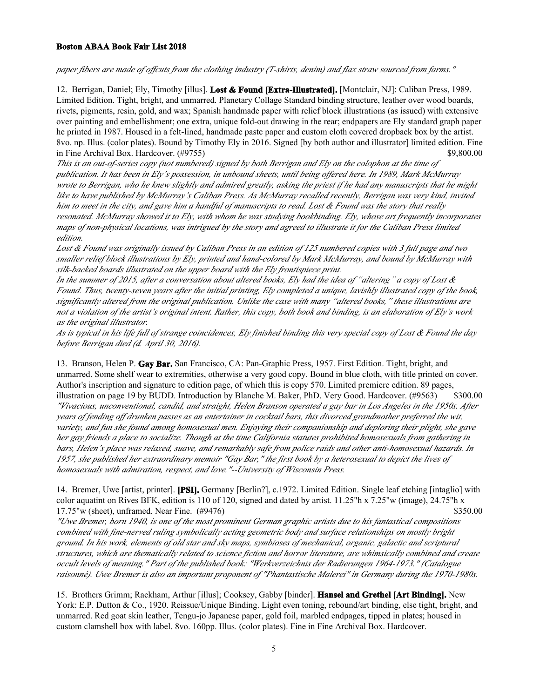*paper fibers are made of offcuts from the clothing industry (T-shirts, denim) and flax straw sourced from farms."*

12. Berrigan, Daniel; Ely, Timothy [illus]. **Lost & Found [Extra-Illustrated].** [Montclair, NJ]: Caliban Press, 1989. Limited Edition. Tight, bright, and unmarred. Planetary Collage Standard binding structure, leather over wood boards, rivets, pigments, resin, gold, and wax; Spanish handmade paper with relief block illustrations (as issued) with extensive over painting and embellishment; one extra, unique fold-out drawing in the rear; endpapers are Ely standard graph paper he printed in 1987. Housed in a felt-lined, handmade paste paper and custom cloth covered dropback box by the artist. 8vo. np. Illus. (color plates). Bound by Timothy Ely in 2016. Signed [by both author and illustrator] limited edition. Fine in Fine Archival Box. Hardcover. (#9755) \$9,800.00

*This is an out-of-series copy (not numbered) signed by both Berrigan and Ely on the colophon at the time of publication. It has been in Ely's possession, in unbound sheets, until being offered here. In 1989, Mark McMurray wrote to Berrigan, who he knew slightly and admired greatly, asking the priest if he had any manuscripts that he might like to have published by McMurray's Caliban Press. As McMurray recalled recently, Berrigan was very kind, invited him to meet in the city, and gave him a handful of manuscripts to read. Lost & Found was the story that really resonated. McMurray showed it to Ely, with whom he was studying bookbinding. Ely, whose art frequently incorporates maps of non-physical locations, was intrigued by the story and agreed to illustrate it for the Caliban Press limited edition.*

*Lost & Found was originally issued by Caliban Press in an edition of 125 numbered copies with 3 full page and two smaller relief block illustrations by Ely, printed and hand-colored by Mark McMurray, and bound by McMurray with silk-backed boards illustrated on the upper board with the Ely frontispiece print.*

*In the summer of 2015, after a conversation about altered books, Ely had the idea of "altering" a copy of Lost & Found. Thus, twenty-seven years after the initial printing, Ely completed a unique, lavishly illustrated copy of the book, significantly altered from the original publication. Unlike the case with many "altered books," these illustrations are not a violation of the artist's original intent. Rather, this copy, both book and binding, is an elaboration of Ely's work as the original illustrator.*

*As is typical in his life full of strange coincidences, Ely finished binding this very special copy of Lost & Found the day before Berrigan died (d. April 30, 2016).*

13. Branson, Helen P. **Gay Bar.** San Francisco, CA: Pan-Graphic Press, 1957. First Edition. Tight, bright, and unmarred. Some shelf wear to extremities, otherwise a very good copy. Bound in blue cloth, with title printed on cover. Author's inscription and signature to edition page, of which this is copy 570. Limited premiere edition. 89 pages, illustration on page 19 by BUDD. Introduction by Blanche M. Baker, PhD. Very Good. Hardcover. (#9563) \$300.00 *"Vivacious, unconventional, candid, and straight, Helen Branson operated a gay bar in Los Angeles in the 1950s. After years of fending off drunken passes as an entertainer in cocktail bars, this divorced grandmother preferred the wit, variety, and fun she found among homosexual men. Enjoying their companionship and deploring their plight, she gave her gay friends a place to socialize. Though at the time California statutes prohibited homosexuals from gathering in bars, Helen's place was relaxed, suave, and remarkably safe from police raids and other anti-homosexual hazards. In 1957, she published her extraordinary memoir "Gay Bar," the first book by a heterosexual to depict the lives of homosexuals with admiration, respect, and love."--University of Wisconsin Press.*

14. Bremer, Uwe [artist, printer]. **[PSI].** Germany [Berlin?], c.1972. Limited Edition. Single leaf etching [intaglio] with color aquatint on Rives BFK, edition is 110 of 120, signed and dated by artist. 11.25"h x 7.25"w (image), 24.75"h x 17.75"w (sheet), unframed. Near Fine. (#9476) \$350.00

*"Uwe Bremer, born 1940, is one of the most prominent German graphic artists due to his fantastical compositions combined with fine-nerved ruling symbolically acting geometric body and surface relationships on mostly bright ground. In his work, elements of old star and sky maps, symbioses of mechanical, organic, galactic and scriptural structures, which are thematically related to science fiction and horror literature, are whimsically combined and create occult levels of meaning." Part of the published book: "Werkverzeichnis der Radierungen 1964-1973." (Catalogue raisonné). Uwe Bremer is also an important proponent of "Phantastische Malerei" in Germany during the 1970-1980s.*

15. Brothers Grimm; Rackham, Arthur [illus]; Cooksey, Gabby [binder]. **Hansel and Grethel [Art Binding].** New York: E.P. Dutton & Co., 1920. Reissue/Unique Binding. Light even toning, rebound/art binding, else tight, bright, and unmarred. Red goat skin leather, Tengu-jo Japanese paper, gold foil, marbled endpages, tipped in plates; housed in custom clamshell box with label. 8vo. 160pp. Illus. (color plates). Fine in Fine Archival Box. Hardcover.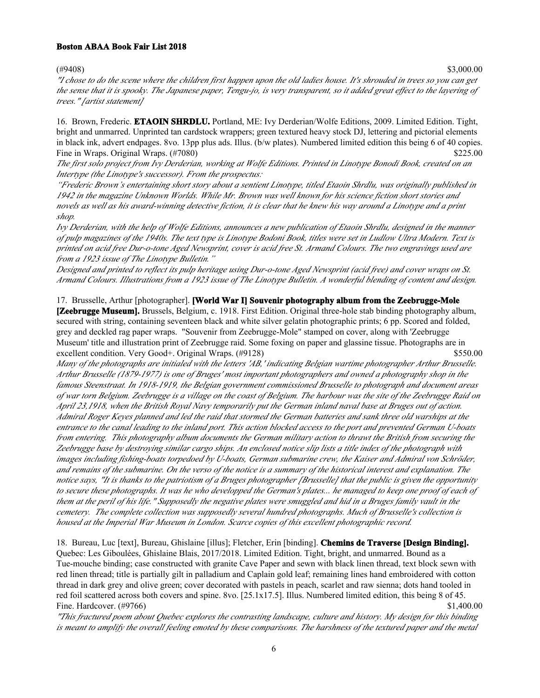*"I chose to do the scene where the children first happen upon the old ladies house. It's shrouded in trees so you can get the sense that it is spooky. The Japanese paper, Tengu-jo, is very transparent, so it added great effect to the layering of trees." [artist statement]*

16. Brown, Frederic. **ETAOIN SHRDLU.** Portland, ME: Ivy Derderian/Wolfe Editions, 2009. Limited Edition. Tight, bright and unmarred. Unprinted tan cardstock wrappers; green textured heavy stock DJ, lettering and pictorial elements in black ink, advert endpages. 8vo. 13pp plus ads. Illus. (b/w plates). Numbered limited edition this being 6 of 40 copies. Fine in Wraps. Original Wraps. (#7080)  $$225.00$ 

*The first solo project from Ivy Derderian, working at Wolfe Editions. Printed in Linotype Bonodi Book, created on an Intertype (the Linotype's successor). From the prospectus:*

*"Frederic Brown's entertaining short story about a sentient Linotype, titled Etaoin Shrdlu, was originally published in 1942 in the magazine Unknown Worlds. While Mr. Brown was well known for his science fiction short stories and novels as well as his award-winning detective fiction, it is clear that he knew his way around a Linotype and a print shop.*

*Ivy Derderian, with the help of Wolfe Editions, announces a new publication of Etaoin Shrdlu, designed in the manner of pulp magazines of the 1940s. The text type is Linotype Bodoni Book, titles were set in Ludlow Ultra Modern. Text is printed on acid free Dur-o-tone Aged Newsprint, cover is acid free St. Armand Colours. The two engravings used are from a 1923 issue of The Linotype Bulletin."*

*Designed and printed to reflect its pulp heritage using Dur-o-tone Aged Newsprint (acid free) and cover wraps on St. Armand Colours. Illustrations from a 1923 issue of The Linotype Bulletin. A wonderful blending of content and design.*

17. Brusselle, Arthur [photographer]. **[World War I] Souvenir photography album from the Zeebrugge-Mole [Zeebrugge Museum].** Brussels, Belgium, c. 1918. First Edition. Original three-hole stab binding photography album, secured with string, containing seventeen black and white silver gelatin photographic prints; 6 pp. Scored and folded, grey and deckled rag paper wraps. "Souvenir from Zeebrugge-Mole" stamped on cover, along with 'Zeebrugge Museum' title and illustration print of Zeebrugge raid. Some foxing on paper and glassine tissue. Photographs are in excellent condition. Very Good+. Original Wraps. (#9128) \$550.00

*Many of the photographs are initialed with the letters 'AB,' indicating Belgian wartime photographer Arthur Brusselle. Arthur Brusselle (1879-1977) is one of Bruges' most important photographers and owned a photography shop in the famous Steenstraat. In 1918-1919, the Belgian government commissioned Brusselle to photograph and document areas of war torn Belgium. Zeebrugge is a village on the coast of Belgium. The harbour was the site of the Zeebrugge Raid on April 23,1918, when the British Royal Navy temporarily put the German inland naval base at Bruges out of action. Admiral Roger Keyes planned and led the raid that stormed the German batteries and sank three old warships at the entrance to the canal leading to the inland port. This action blocked access to the port and prevented German U-boats from entering. This photography album documents the German military action to thrawt the British from securing the Zeebrugge base by destroying similar cargo ships. An enclosed notice slip lists a title index of the photograph with images including fishing-boats torpedoed by U-boats, German submarine crew, the Kaiser and Admiral von Schröder, and remains of the submarine. On the verso of the notice is a summary of the historical interest and explanation. The notice says, "It is thanks to the patriotism of a Bruges photographer [Brusselle] that the public is given the opportunity to secure these photographs. It was he who developped the German's plates... he managed to keep one proof of each of them at the peril of his life." Supposedly the negative plates were smuggled and hid in a Bruges family vault in the cemetery. The complete collection was supposedly several hundred photographs. Much of Brusselle's collection is housed at the Imperial War Museum in London. Scarce copies of this excellent photographic record.*

18. Bureau, Luc [text], Bureau, Ghislaine [illus]; Fletcher, Erin [binding]. **Chemins de Traverse [Design Binding].** Quebec: Les Giboulées, Ghislaine Blais, 2017/2018. Limited Edition. Tight, bright, and unmarred. Bound as a Tue-mouche binding; case constructed with granite Cave Paper and sewn with black linen thread, text block sewn with red linen thread; title is partially gilt in palladium and Caplain gold leaf; remaining lines hand embroidered with cotton thread in dark grey and olive green; cover decorated with pastels in peach, scarlet and raw sienna; dots hand tooled in red foil scattered across both covers and spine. 8vo. [25.1x17.5]. Illus. Numbered limited edition, this being 8 of 45. Fine. Hardcover. (#9766) \$1,400.00

*"This fractured poem about Quebec explores the contrasting landscape, culture and history. My design for this binding is meant to amplify the overall feeling emoted by these comparisons. The harshness of the textured paper and the metal*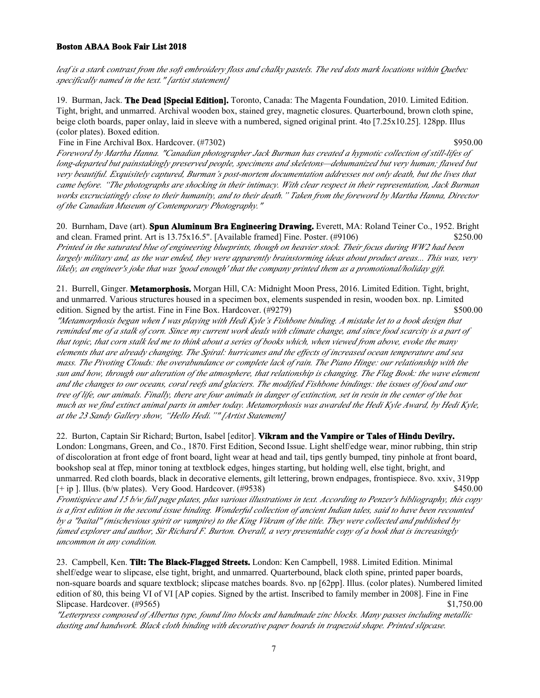*leaf is a stark contrast from the soft embroidery floss and chalky pastels. The red dots mark locations within Quebec specifically named in the text." [artist statement]*

19. Burman, Jack. **The Dead [Special Edition].** Toronto, Canada: The Magenta Foundation, 2010. Limited Edition. Tight, bright, and unmarred. Archival wooden box, stained grey, magnetic closures. Quarterbound, brown cloth spine, beige cloth boards, paper onlay, laid in sleeve with a numbered, signed original print. 4to [7.25x10.25]. 128pp. Illus (color plates). Boxed edition.

Fine in Fine Archival Box. Hardcover. (#7302) \$950.00

*Foreword by Martha Hanna. "Canadian photographer Jack Burman has created a hypnotic collection of still-lifes of long-departed but painstakingly preserved people, specimens and skeletons—dehumanized but very human; flawed but very beautiful. Exquisitely captured, Burman's post-mortem documentation addresses not only death, but the lives that came before. "The photographs are shocking in their intimacy. With clear respect in their representation, Jack Burman works excruciatingly close to their humanity, and to their death." Taken from the foreword by Martha Hanna, Director of the Canadian Museum of Contemporary Photography."*

20. Burnham, Dave (art). **Spun Aluminum Bra Engineering Drawing.** Everett, MA: Roland Teiner Co., 1952. Bright and clean. Framed print. Art is 13.75x16.5". [Available framed] Fine. Poster. (#9106) \$250.00 *Printed in the saturated blue of engineering blueprints, though on heavier stock. Their focus during WW2 had been largely military and, as the war ended, they were apparently brainstorming ideas about product areas... This was, very likely, an engineer's joke that was 'good enough' that the company printed them as a promotional/holiday gift.*

21. Burrell, Ginger. **Metamorphosis.** Morgan Hill, CA: Midnight Moon Press, 2016. Limited Edition. Tight, bright, and unmarred. Various structures housed in a specimen box, elements suspended in resin, wooden box. np. Limited edition. Signed by the artist. Fine in Fine Box. Hardcover. (#9279) \$500.000 \$500.00

*"Metamorphosis began when I was playing with Hedi Kyle's Fishbone binding. A mistake let to a book design that reminded me of a stalk of corn. Since my current work deals with climate change, and since food scarcity is a part of that topic, that corn stalk led me to think about a series of books which, when viewed from above, evoke the many elements that are already changing. The Spiral: hurricanes and the effects of increased ocean temperature and sea mass. The Pivoting Clouds: the overabundance or complete lack of rain. The Piano Hinge: our relationship with the sun and how, through our alteration of the atmosphere, that relationship is changing. The Flag Book: the wave element and the changes to our oceans, coral reefs and glaciers. The modified Fishbone bindings: the issues of food and our tree of life, our animals. Finally, there are four animals in danger of extinction, set in resin in the center of the box much as we find extinct animal parts in amber today. Metamorphosis was awarded the Hedi Kyle Award, by Hedi Kyle, at the 23 Sandy Gallery show, "Hello Hedi."" [Artist Statement]*

22. Burton, Captain Sir Richard; Burton, Isabel [editor]. **Vikram and the Vampire or Tales of Hindu Devilry.** London: Longmans, Green, and Co., 1870. First Edition, Second Issue. Light shelf/edge wear, minor rubbing, thin strip of discoloration at front edge of front board, light wear at head and tail, tips gently bumped, tiny pinhole at front board, bookshop seal at ffep, minor toning at textblock edges, hinges starting, but holding well, else tight, bright, and unmarred. Red cloth boards, black in decorative elements, gilt lettering, brown endpages, frontispiece. 8vo. xxiv, 319pp [+ ip ]. Illus. (b/w plates). Very Good. Hardcover. (#9538) \$450.00

*Frontispiece and 15 b/w full page plates, plus various illustrations in text. According to Penzer's bibliography, this copy is a first edition in the second issue binding. Wonderful collection of ancient Indian tales, said to have been recounted by a "baital" (mischevious spirit or vampire) to the King Vikram of the title. They were collected and published by famed explorer and author, Sir Richard F. Burton. Overall, a very presentable copy of a book that is increasingly uncommon in any condition.*

23. Campbell, Ken. **Tilt: The Black-Flagged Streets.** London: Ken Campbell, 1988. Limited Edition. Minimal shelf/edge wear to slipcase, else tight, bright, and unmarred. Quarterbound, black cloth spine, printed paper boards, non-square boards and square textblock; slipcase matches boards. 8vo. np [62pp]. Illus. (color plates). Numbered limited edition of 80, this being VI of VI [AP copies. Signed by the artist. Inscribed to family member in 2008]. Fine in Fine Slipcase. Hardcover. (#9565) \$1,750.00

*"Letterpress composed of Albertus type, found lino blocks and handmade zinc blocks. Many passes including metallic dusting and handwork. Black cloth binding with decorative paper boards in trapezoid shape. Printed slipcase.*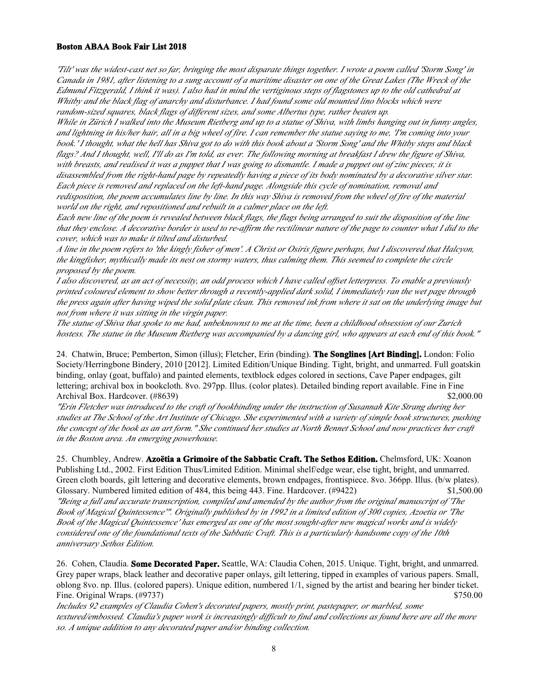*'Tilt' was the widest-cast net so far, bringing the most disparate things together. I wrote a poem called 'Storm Song' in Canada in 1981, after listening to a sung account of a maritime disaster on one of the Great Lakes (The Wreck of the Edmund Fitzgerald, I think it was). I also had in mind the vertiginous steps of flagstones up to the old cathedral at Whitby and the black flag of anarchy and disturbance. I had found some old mounted lino blocks which were random-sized squares, black flags of different sizes, and some Albertus type, rather beaten up.*

*While in Zürich I walked into the Museum Rietberg and up to a statue of Shiva, with limbs hanging out in funny angles, and lightning in his/her hair, all in a big wheel of fire. I can remember the statue saying to me, 'I'm coming into your book.' I thought, what the hell has Shiva got to do with this book about a 'Storm Song' and the Whitby steps and black flags? And I thought, well, I'll do as I'm told, as ever. The following morning at breakfast I drew the figure of Shiva, with breasts, and realised it was a puppet that I was going to dismantle. I made a puppet out of zinc pieces; it is disassembled from the right-hand page by repeatedly having a piece of its body nominated by a decorative silver star. Each piece is removed and replaced on the left-hand page. Alongside this cycle of nomination, removal and redisposition, the poem accumulates line by line. In this way Shiva is removed from the wheel of fire of the material world on the right, and repositioned and rebuilt in a calmer place on the left.*

*Each new line of the poem is revealed between black flags, the flags being arranged to suit the disposition of the line that they enclose. A decorative border is used to re-affirm the rectilinear nature of the page to counter what I did to the cover, which was to make it tilted and disturbed.*

*A line in the poem refers to 'the kingly fisher of men'. A Christ or Osiris figure perhaps, but I discovered that Halcyon, the kingfisher, mythically made its nest on stormy waters, thus calming them. This seemed to complete the circle proposed by the poem.*

*I also discovered, as an act of necessity, an odd process which I have called offset letterpress. To enable a previously printed coloured element to show better through a recently-applied dark solid, I immediately ran the wet page through the press again after having wiped the solid plate clean. This removed ink from where it sat on the underlying image but not from where it was sitting in the virgin paper.*

*The statue of Shiva that spoke to me had, unbeknownst to me at the time, been a childhood obsession of our Zurich hostess. The statue in the Museum Rietberg was accompanied by a dancing girl, who appears at each end of this book."*

24. Chatwin, Bruce; Pemberton, Simon (illus); Fletcher, Erin (binding). **The Songlines [Art Binding].** London: Folio Society/Herringbone Bindery, 2010 [2012]. Limited Edition/Unique Binding. Tight, bright, and unmarred. Full goatskin binding, onlay (goat, buffalo) and painted elements, textblock edges colored in sections, Cave Paper endpages, gilt lettering; archival box in bookcloth. 8vo. 297pp. Illus. (color plates). Detailed binding report available. Fine in Fine Archival Box. Hardcover. (#8639)  $$2,000.00$ 

*"Erin Fletcher was introduced to the craft of bookbinding under the instruction of Susannah Kite Strang during her studies at The School of the Art Institute of Chicago. She experimented with a variety of simple book structures, pushing the concept of the book as an art form." She continued her studies at North Bennet School and now practices her craft in the Boston area. An emerging powerhouse.*

25. Chumbley, Andrew. **Azoëtia a Grimoire of the Sabbatic Craft. The Sethos Edition.** Chelmsford, UK: Xoanon Publishing Ltd., 2002. First Edition Thus/Limited Edition. Minimal shelf/edge wear, else tight, bright, and unmarred. Green cloth boards, gilt lettering and decorative elements, brown endpages, frontispiece. 8vo. 366pp. Illus. (b/w plates). Glossary. Numbered limited edition of 484, this being 443. Fine. Hardcover. (#9422) \$1,500.00 *"Being a full and accurate transcription, compiled and amended by the author from the original manuscript of 'The Book of Magical Quintessence'". Originally published by in 1992 in a limited edition of 300 copies, Azoetia or 'The Book of the Magical Quintessence' has emerged as one of the most sought-after new magical works and is widely considered one of the foundational texts of the Sabbatic Craft. This is a particularly handsome copy of the 10th anniversary Sethos Edition.*

26. Cohen, Claudia. **Some Decorated Paper.** Seattle, WA: Claudia Cohen, 2015. Unique. Tight, bright, and unmarred. Grey paper wraps, black leather and decorative paper onlays, gilt lettering, tipped in examples of various papers. Small, oblong 8vo. np. Illus. (colored papers). Unique edition, numbered 1/1, signed by the artist and bearing her binder ticket. Fine. Original Wraps. (#9737) \$750.00

*Includes 92 examples of Claudia Cohen's decorated papers, mostly print, pastepaper, or marbled, some textured/embossed. Claudia's paper work is increasingly difficult to find and collections as found here are all the more so. A unique addition to any decorated paper and/or binding collection.*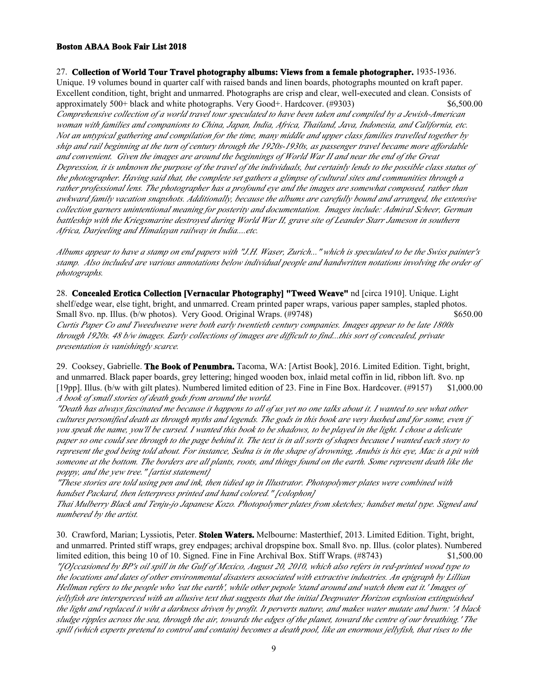27. **Collection of World Tour Travel photography albums: Views from a female photographer.** 1935-1936.

Unique. 19 volumes bound in quarter calf with raised bands and linen boards, photographs mounted on kraft paper. Excellent condition, tight, bright and unmarred. Photographs are crisp and clear, well-executed and clean. Consists of approximately 500+ black and white photographs. Very Good+. Hardcover. (#9303) \$6,500.00 *Comprehensive collection of a world travel tour speculated to have been taken and compiled by a Jewish-American woman with families and companions to China, Japan, India, Africa, Thailand, Java, Indonesia, and California, etc. Not an untypical gathering and compilation for the time, many middle and upper class families travelled together by ship and rail beginning at the turn of century through the 1920s-1930s, as passenger travel became more affordable and convenient. Given the images are around the beginnings of World War II and near the end of the Great Depression, it is unknown the purpose of the travel of the individuals, but certainly lends to the possible class status of the photographer. Having said that, the complete set gathers a glimpse of cultural sites and communities through a rather professional lens. The photographer has a profound eye and the images are somewhat composed, rather than awkward family vacation snapshots. Additionally, because the albums are carefully bound and arranged, the extensive collection garners unintentional meaning for posterity and documentation. Images include: Admiral Scheer, German battleship with the Kriegsmarine destroyed during World War II, grave site of Leander Starr Jameson in southern Africa, Darjeeling and Himalayan railway in India....etc.*

*Albums appear to have a stamp on end papers with "J.H. Waser, Zurich..." which is speculated to be the Swiss painter's stamp. Also included are various annotations below individual people and handwritten notations involving the order of photographs.*

28. **Concealed Erotica Collection [Vernacular Photography] "Tweed Weave"** nd [circa 1910]. Unique. Light shelf/edge wear, else tight, bright, and unmarred. Cream printed paper wraps, various paper samples, stapled photos. Small 8vo. np. Illus. (b/w photos). Very Good. Original Wraps. (#9748) \$650.00 *Curtis Paper Co and Tweedweave were both early twentieth century companies. Images appear to be late 1800s through 1920s. 48 b/w images. Early collections of images are difficult to find...this sort of concealed, private presentation is vanishingly scarce.*

29. Cooksey, Gabrielle. **The Book of Penumbra.** Tacoma, WA: [Artist Book], 2016. Limited Edition. Tight, bright, and unmarred. Black paper boards, grey lettering; hinged wooden box, inlaid metal coffin in lid, ribbon lift. 8vo. np [19pp]. Illus. (b/w with gilt plates). Numbered limited edition of 23. Fine in Fine Box. Hardcover. (#9157) \$1,000.00 *A book of small stories of death gods from around the world.*

*"Death has always fascinated me because it happens to all of us yet no one talks about it. I wanted to see what other cultures personified death as through myths and legends. The gods in this book are very hushed and for some, even if you speak the name, you'll be cursed. I wanted this book to be shadows, to be played in the light. I chose a delicate paper so one could see through to the page behind it. The text is in all sorts of shapes because I wanted each story to represent the god being told about. For instance, Sedna is in the shape of drowning, Anubis is his eye, Mac is a pit with someone at the bottom. The borders are all plants, roots, and things found on the earth. Some represent death like the poppy, and the yew tree." [artist statement]*

*"These stories are told using pen and ink, then tidied up in Illustrator. Photopolymer plates were combined with handset Packard, then letterpress printed and hand colored." [colophon]*

*Thai Mulberry Black and Tenju-jo Japanese Kozo. Photopolymer plates from sketches; handset metal type. Signed and numbered by the artist.*

30. Crawford, Marian; Lyssiotis, Peter. **Stolen Waters.** Melbourne: Masterthief, 2013. Limited Edition. Tight, bright, and unmarred. Printed stiff wraps, grey endpages; archival dropspine box. Small 8vo. np. Illus. (color plates). Numbered limited edition, this being 10 of 10. Signed. Fine in Fine Archival Box. Stiff Wraps. (#8743) \$1,500.00 *"[O]ccasioned by BP's oil spill in the Gulf of Mexico, August 20, 2010, which also refers in red-printed wood type to the locations and dates of other environmental disasters associated with extractive industries. An epigraph by Lillian Hellman refers to the people who 'eat the earth', while other pepole 'stand around and watch them eat it.' Images of jellyfish are intersperced with an allusive text that suggests that the initial Deepwater Horizon explosion extinguished the light and replaced it wiht a darkness driven by profit. It perverts nature, and makes water mutate and burn: 'A black sludge ripples across the sea, through the air, towards the edges of the planet, toward the centre of our breathing.' The spill (which experts pretend to control and contain) becomes a death pool, like an enormous jellyfish, that rises to the*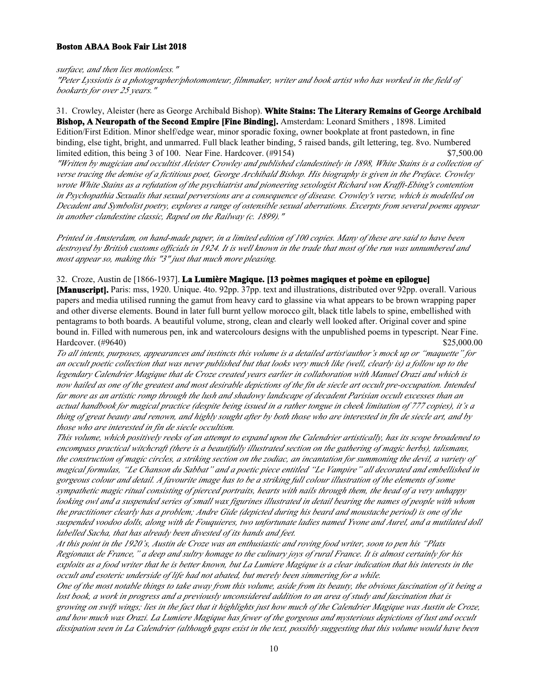*surface, and then lies motionless."*

*"Peter Lyssiotis is a photographer/photomonteur, filmmaker, writer and book artist who has worked in the field of bookarts for over 25 years."*

31. Crowley, Aleister (here as George Archibald Bishop). **White Stains: The Literary Remains of George Archibald Bishop, A Neuropath of the Second Empire [Fine Binding].** Amsterdam: Leonard Smithers , 1898. Limited Edition/First Edition. Minor shelf/edge wear, minor sporadic foxing, owner bookplate at front pastedown, in fine binding, else tight, bright, and unmarred. Full black leather binding, 5 raised bands, gilt lettering, teg. 8vo. Numbered limited edition, this being 3 of 100. Near Fine. Hardcover. (#9154) \$7,500.00 *"Written by magician and occultist Aleister Crowley and published clandestinely in 1898, White Stains is a collection of verse tracing the demise of a fictitious poet, George Archibald Bishop. His biography is given in the Preface. Crowley wrote White Stains as a refutation of the psychiatrist and pioneering sexologist Richard von Krafft-Ebing's contention in Psychopathia Sexualis that sexual perversions are a consequence of disease. Crowley's verse, which is modelled on Decadent and Symbolist poetry, explores a range of ostensible sexual aberrations. Excerpts from several poems appear in another clandestine classic, Raped on the Railway (c. 1899)."*

*Printed in Amsterdam, on hand-made paper, in a limited edition of 100 copies. Many of these are said to have been destroyed by British customs officials in 1924. It is well known in the trade that most of the run was unnumbered and most appear so, making this "3" just that much more pleasing.*

#### 32. Croze, Austin de [1866-1937]. **La Lumière Magique. [13 poèmes magiques et poème en epilogue]**

**[Manuscript].** Paris: mss, 1920. Unique. 4to. 92pp. 37pp. text and illustrations, distributed over 92pp. overall. Various papers and media utilised running the gamut from heavy card to glassine via what appears to be brown wrapping paper and other diverse elements. Bound in later full burnt yellow morocco gilt, black title labels to spine, embellished with pentagrams to both boards. A beautiful volume, strong, clean and clearly well looked after. Original cover and spine bound in. Filled with numerous pen, ink and watercolours designs with the unpublished poems in typescript. Near Fine. Hardcover. (#9640) \$25,000.00

*To all intents, purposes, appearances and instincts this volume is a detailed artist\author's mock up or "maquette" for an occult poetic collection that was never published but that looks very much like (well, clearly is) a follow up to the legendary Calendrier Magique that de Croze created years earlier in collaboration with Manuel Orazi and which is now hailed as one of the greatest and most desirable depictions of the fin de siecle art occult pre-occupation. Intended far more as an artistic romp through the lush and shadowy landscape of decadent Parisian occult excesses than an actual handbook for magical practice (despite being issued in a rather tongue in cheek limitation of 777 copies), it's a thing of great beauty and renown, and highly sought after by both those who are interested in fin de siecle art, and by those who are interested in fin de siecle occultism.*

*This volume, which positively reeks of an attempt to expand upon the Calendrier artistically, has its scope broadened to encompass practical witchcraft (there is a beautifully illustrated section on the gathering of magic herbs), talismans, the construction of magic circles, a striking section on the zodiac, an incantation for summoning the devil, a variety of magical formulas, "Le Chanson du Sabbat" and a poetic piece entitled "Le Vampire" all decorated and embellished in gorgeous colour and detail. A favourite image has to be a striking full colour illustration of the elements of some sympathetic magic ritual consisting of pierced portraits, hearts with nails through them, the head of a very unhappy looking owl and a suspended series of small wax figurines illustrated in detail bearing the names of people with whom the practitioner clearly has a problem; Andre Gide (depicted during his beard and moustache period) is one of the suspended voodoo dolls, along with de Fouquieres, two unfortunate ladies named Yvone and Aurel, and a mutilated doll labelled Sacha, that has already been divested of its hands and feet.*

*At this point in the 1920's, Austin de Croze was an enthusiastic and roving food writer, soon to pen his "Plats Regionaux de France," a deep and sultry homage to the culinary joys of rural France. It is almost certainly for his exploits as a food writer that he is better known, but La Lumiere Magique is a clear indication that his interests in the occult and esoteric underside of life had not abated, but merely been simmering for a while.*

*One of the most notable things to take away from this volume, aside from its beauty, the obvious fascination of it being a lost book, a work in progress and a previously unconsidered addition to an area of study and fascination that is growing on swift wings; lies in the fact that it highlights just how much of the Calendrier Magique was Austin de Croze, and how much was Orazi. La Lumiere Magique has fewer of the gorgeous and mysterious depictions of lust and occult dissipation seen in La Calendrier (although gaps exist in the text, possibly suggesting that this volume would have been*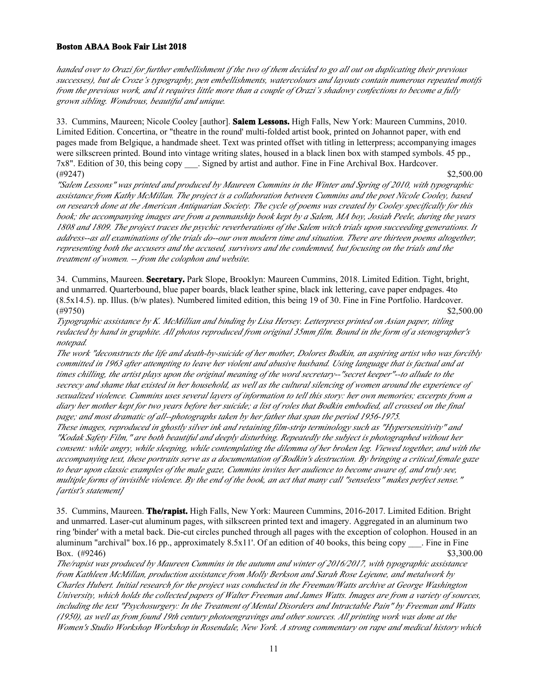*handed over to Orazi for further embellishment if the two of them decided to go all out on duplicating their previous successes), but de Croze's typography, pen embellishments, watercolours and layouts contain numerous repeated motifs from the previous work, and it requires little more than a couple of Orazi's shadowy confections to become a fully grown sibling. Wondrous, beautiful and unique.*

33. Cummins, Maureen; Nicole Cooley [author]. **Salem Lessons.** High Falls, New York: Maureen Cummins, 2010. Limited Edition. Concertina, or "theatre in the round' multi-folded artist book, printed on Johannot paper, with end pages made from Belgique, a handmade sheet. Text was printed offset with titling in letterpress; accompanying images were silkscreen printed. Bound into vintage writing slates, housed in a black linen box with stamped symbols. 45 pp., 7x8". Edition of 30, this being copy \_\_\_. Signed by artist and author. Fine in Fine Archival Box. Hardcover.  $(#9247)$  \$2,500.00

*"Salem Lessons" was printed and produced by Maureen Cummins in the Winter and Spring of 2010, with typographic assistance from Kathy McMillan. The project is a collaboration between Cummins and the poet Nicole Cooley, based on research done at the American Antiquarian Society. The cycle of poems was created by Cooley specifically for this book; the accompanying images are from a penmanship book kept by a Salem, MA boy, Josiah Peele, during the years 1808 and 1809. The project traces the psychic reverberations of the Salem witch trials upon succeeding generations. It address--as all examinations of the trials do--our own modern time and situation. There are thirteen poems altogether, representing both the accusers and the accused, survivors and the condemned, but focusing on the trials and the treatment of women. -- from the colophon and website.*

34. Cummins, Maureen. **Secretary.** Park Slope, Brooklyn: Maureen Cummins, 2018. Limited Edition. Tight, bright, and unmarred. Quarterbound, blue paper boards, black leather spine, black ink lettering, cave paper endpages. 4to (8.5x14.5). np. Illus. (b/w plates). Numbered limited edition, this being 19 of 30. Fine in Fine Portfolio. Hardcover. (#9750) \$2,500.00

*Typographic assistance by K. McMillian and binding by Lisa Hersey. Letterpress printed on Asian paper, titling redacted by hand in graphite. All photos reproduced from original 35mm film. Bound in the form of a stenographer's notepad.*

*The work "deconstructs the life and death-by-suicide of her mother, Dolores Bodkin, an aspiring artist who was forcibly committed in 1963 after attempting to leave her violent and abusive husband. Using language that is factual and at times chilling, the artist plays upon the original meaning of the word secretary--"secret keeper"--to allude to the secrecy and shame that existed in her household, as well as the cultural silencing of women around the experience of sexualized violence. Cummins uses several layers of information to tell this story: her own memories; excerpts from a diary her mother kept for two years before her suicide; a list of roles that Bodkin embodied, all crossed on the final page; and most dramatic of all--photographs taken by her father that span the period 1956-1975.*

*These images, reproduced in ghostly silver ink and retaining film-strip terminology such as "Hypersensitivity" and "Kodak Safety Film," are both beautiful and deeply disturbing. Repeatedly the subject is photographed without her consent: while angry, while sleeping, while contemplating the dilemma of her broken leg. Viewed together, and with the accompanying text, these portraits serve as a documentation of Bodkin's destruction. By bringing a critical female gaze to bear upon classic examples of the male gaze, Cummins invites her audience to become aware of, and truly see, multiple forms of invisible violence. By the end of the book, an act that many call "senseless" makes perfect sense." [artist's statement]*

35. Cummins, Maureen. **The/rapist.** High Falls, New York: Maureen Cummins, 2016-2017. Limited Edition. Bright and unmarred. Laser-cut aluminum pages, with silkscreen printed text and imagery. Aggregated in an aluminum two ring 'binder' with a metal back. Die-cut circles punched through all pages with the exception of colophon. Housed in an aluminum "archival" box.16 pp., approximately  $8.5 \times 11'$ . Of an edition of 40 books, this being copy . Fine in Fine Box.  $(\#9246)$  \$3,300.00

*The/rapist was produced by Maureen Cummins in the autumn and winter of 2016/2017, with typographic assistance from Kathleen McMillan, production assistance from Molly Berkson and Sarah Rose Lejeune, and metalwork by Charles Hubert. Initial research for the project was conducted in the Freeman/Watts archive at George Washington University, which holds the collected papers of Walter Freeman and James Watts. Images are from a variety of sources, including the text "Psychosurgery: In the Treatment of Mental Disorders and Intractable Pain" by Freeman and Watts (1950), as well as from found 19th century photoengravings and other sources. All printing work was done at the Women's Studio Workshop Workshop in Rosendale, New York. A strong commentary on rape and medical history which*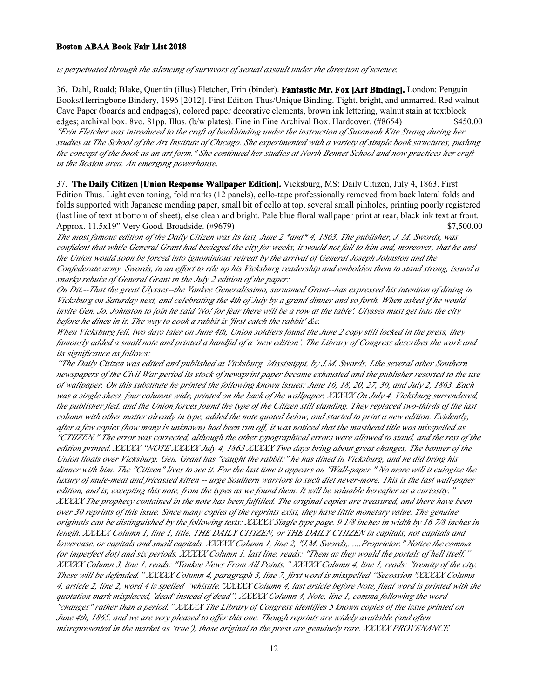*is perpetuated through the silencing of survivors of sexual assault under the direction of science.*

36. Dahl, Roald; Blake, Quentin (illus) Fletcher, Erin (binder). **Fantastic Mr. Fox [Art Binding].** London: Penguin Books/Herringbone Bindery, 1996 [2012]. First Edition Thus/Unique Binding. Tight, bright, and unmarred. Red walnut Cave Paper (boards and endpages), colored paper decorative elements, brown ink lettering, walnut stain at textblock edges; archival box. 8vo. 81pp. Illus. (b/w plates). Fine in Fine Archival Box. Hardcover. (#8654) \$450.00 *"Erin Fletcher was introduced to the craft of bookbinding under the instruction of Susannah Kite Strang during her studies at The School of the Art Institute of Chicago. She experimented with a variety of simple book structures, pushing the concept of the book as an art form." She continued her studies at North Bennet School and now practices her craft*

*in the Boston area. An emerging powerhouse.*

37. **The Daily Citizen [Union Response Wallpaper Edition].** Vicksburg, MS: Daily Citizen, July 4, 1863. First Edition Thus. Light even toning, fold marks (12 panels), cello-tape professionally removed from back lateral folds and folds supported with Japanese mending paper, small bit of cello at top, several small pinholes, printing poorly registered (last line of text at bottom of sheet), else clean and bright. Pale blue floral wallpaper print at rear, black ink text at front. Approx. 11.5x19" Very Good. Broadside. (#9679) \$7,500.00

*The most famous edition of the Daily Citizen was its last, June 2 \*and\* 4, 1863. The publisher, J. M. Swords, was confident that while General Grant had besieged the city for weeks, it would not fall to him and, moreover, that he and the Union would soon be forced into ignominious retreat by the arrival of General Joseph Johnston and the Confederate army. Swords, in an effort to rile up his Vicksburg readership and embolden them to stand strong, issued a snarky rebuke of General Grant in the July 2 edition of the paper:*

*On Dit.--That the great Ulysses--the Yankee Generalissimo, surnamed Grant--has expressed his intention of dining in Vicksburg on Saturday next, and celebrating the 4th of July by a grand dinner and so forth. When asked if he would invite Gen. Jo. Johnston to join he said 'No! for fear there will be a row at the table'. Ulysses must get into the city before he dines in it. The way to cook a rabbit is 'first catch the rabbit' &c.*

*When Vicksburg fell, two days later on June 4th, Union soldiers found the June 2 copy still locked in the press, they famously added a small note and printed a handful of a 'new edition'. The Library of Congress describes the work and its significance as follows:*

*"The Daily Citizen was edited and published at Vicksburg, Mississippi, by J.M. Swords. Like several other Southern newspapers of the Civil War period its stock of newsprint paper became exhausted and the publisher resorted to the use of wallpaper. On this substitute he printed the following known issues: June 16, 18, 20, 27, 30, and July 2, 1863. Each was a single sheet, four columns wide, printed on the back of the wallpaper. XXXXX On July 4, Vicksburg surrendered, the publisher fled, and the Union forces found the type of the Citizen still standing. They replaced two-thirds of the last column with other matter already in type, added the note quoted below, and started to print a new edition. Evidently, after a few copies (how many is unknown) had been run off, it was noticed that the masthead title was misspelled as "CTIIZEN." The error was corrected, although the other typographical errors were allowed to stand, and the rest of the edition printed. XXXXX "NOTE XXXXX July 4, 1863 XXXXX Two days bring about great changes, The banner of the Union floats over Vicksburg. Gen. Grant has "caught the rabbit:" he has dined in Vicksburg, and he did bring his dinner with him. The "Citizen" lives to see it. For the last time it appears on "Wall-paper." No more will it eulogize the luxury of mule-meat and fricassed kitten -- urge Southern warriors to such diet never-more. This is the last wall-paper edition, and is, excepting this note, from the types as we found them. It will be valuable hereafter as a curiosity." XXXXX The prophecy contained in the note has been fulfilled. The original copies are treasured, and there have been over 30 reprints of this issue. Since many copies of the reprints exist, they have little monetary value. The genuine originals can be distinguished by the following tests: XXXXX Single type page. 9 1/8 inches in width by 16 7/8 inches in length. XXXXX Column 1, line 1, title, THE DAILY CITIZEN, or THE DAILY CTIIZEN in capitals, not capitals and lowercase, or capitals and small capitals. XXXXX Column 1, line 2, "J.M. Swords,......Proprietor." Notice the comma (or imperfect dot) and six periods. XXXXX Column 1, last line, reads: "Them as they would the portals of hell itself." XXXXX Column 3, line 1, reads: "Yankee News From All Points." XXXXX Column 4, line 1, reads: "tremity of the city. These will be defended." XXXXX Column 4, paragraph 3, line 7, first word is misspelled "Secossion."XXXXX Column 4, article 2, line 2, word 4 is spelled "whisttle."XXXXX Column 4, last article before Note, final word is printed with the quotation mark misplaced, 'dead' instead of dead". XXXXX Column 4, Note, line 1, comma following the word "changes" rather than a period." XXXXX The Library of Congress identifies 5 known copies of the issue printed on June 4th, 1865, and we are very pleased to offer this one. Though reprints are widely available (and often misrepresented in the market as 'true'), those original to the press are genuinely rare. XXXXX PROVENANCE*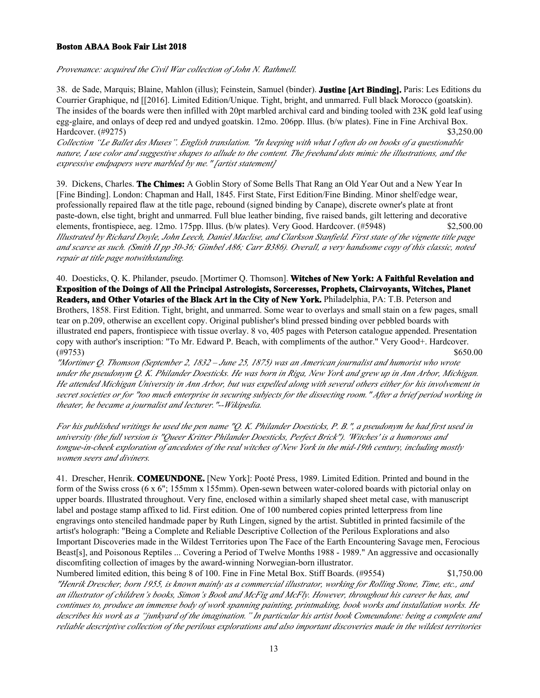*Provenance: acquired the Civil War collection of John N. Rathmell.*

38. de Sade, Marquis; Blaine, Mahlon (illus); Feinstein, Samuel (binder). **Justine [Art Binding].** Paris: Les Editions du Courrier Graphique, nd [[2016]. Limited Edition/Unique. Tight, bright, and unmarred. Full black Morocco (goatskin). The insides of the boards were then infilled with 20pt marbled archival card and binding tooled with 23K gold leaf using egg-glaire, and onlays of deep red and undyed goatskin. 12mo. 206pp. Illus. (b/w plates). Fine in Fine Archival Box. Hardcover. (#9275) \$3,250.00

*Collection "Le Ballet des Muses". English translation. "In keeping with what I often do on books of a questionable nature, I use color and suggestive shapes to allude to the content. The freehand dots mimic the illustrations, and the expressive endpapers were marbled by me." [artist statement]*

39. Dickens, Charles. **The Chimes:** A Goblin Story of Some Bells That Rang an Old Year Out and a New Year In [Fine Binding]. London: Chapman and Hall, 1845. First State, First Edition/Fine Binding. Minor shelf/edge wear, professionally repaired flaw at the title page, rebound (signed binding by Canape), discrete owner's plate at front paste-down, else tight, bright and unmarred. Full blue leather binding, five raised bands, gilt lettering and decorative elements, frontispiece, aeg. 12mo. 175pp. Illus. (b/w plates). Very Good. Hardcover. (#5948) \$2,500.00 *Illustrated by Richard Doyle, John Leech, Daniel Maclise, and Clarkson Stanfield. First state of the vignette title page and scarce as such. (Smith II pp 30-36; Gimbel A86; Carr B386). Overall, a very handsome copy of this classic, noted repair at title page notwithstanding.*

40. Doesticks, Q. K. Philander, pseudo. [Mortimer Q. Thomson]. **Witches of New York: A Faithful Revelation and Exposition of the Doings of All the Principal Astrologists, Sorceresses, Prophets, Clairvoyants, Witches, Planet Readers, and Other Votaries of the Black Art in the City of New York.** Philadelphia, PA: T.B. Peterson and Brothers, 1858. First Edition. Tight, bright, and unmarred. Some wear to overlays and small stain on a few pages, small tear on p.209, otherwise an excellent copy. Original publisher's blind pressed binding over pebbled boards with

illustrated end papers, frontispiece with tissue overlay. 8 vo, 405 pages with Peterson catalogue appended. Presentation copy with author's inscription: "To Mr. Edward P. Beach, with compliments of the author." Very Good+. Hardcover. (#9753) \$650.00

*"Mortimer Q. Thomson (September 2, 1832 – June 25, 1875) was an American journalist and humorist who wrote under the pseudonym Q. K. Philander Doesticks. He was born in Riga, New York and grew up in Ann Arbor, Michigan. He attended Michigan University in Ann Arbor, but was expelled along with several others either for his involvement in secret societies or for "too much enterprise in securing subjects for the dissecting room." After a brief period working in theater, he became a journalist and lecturer."--Wikipedia.*

*For his published writings he used the pen name "Q. K. Philander Doesticks, P. B.", a pseudonym he had first used in university (the full version is "Queer Kritter Philander Doesticks, Perfect Brick"). 'Witches' is a humorous and tongue-in-cheek exploration of ancedotes of the real witches of New York in the mid-19th century, including mostly women seers and diviners.*

41. Drescher, Henrik. **COMEUNDONE.** [New York]: Pooté Press, 1989. Limited Edition. Printed and bound in the form of the Swiss cross (6 x 6"; 155mm x 155mm). Open-sewn between water-colored boards with pictorial onlay on upper boards. Illustrated throughout. Very fine, enclosed within a similarly shaped sheet metal case, with manuscript label and postage stamp affixed to lid. First edition. One of 100 numbered copies printed letterpress from line engravings onto stenciled handmade paper by Ruth Lingen, signed by the artist. Subtitled in printed facsimile of the artist's holograph: "Being a Complete and Reliable Descriptive Collection of the Perilous Explorations and also Important Discoveries made in the Wildest Territories upon The Face of the Earth Encountering Savage men, Ferocious Beast[s], and Poisonous Reptiles ... Covering a Period of Twelve Months 1988 - 1989." An aggressive and occasionally discomfiting collection of images by the award-winning Norwegian-born illustrator.

Numbered limited edition, this being 8 of 100. Fine in Fine Metal Box. Stiff Boards. (#9554) \$1,750.00 *"Henrik Drescher, born 1955, is known mainly as a commercial illustrator, working for Rolling Stone, Time, etc., and an illustrator of children's books, Simon's Book and McFig and McFly. However, throughout his career he has, and continues to, produce an immense body of work spanning painting, printmaking, book works and installation works. He describes his work as a "junkyard of the imagination." In particular his artist book Comeundone: being a complete and reliable descriptive collection of the perilous explorations and also important discoveries made in the wildest territories*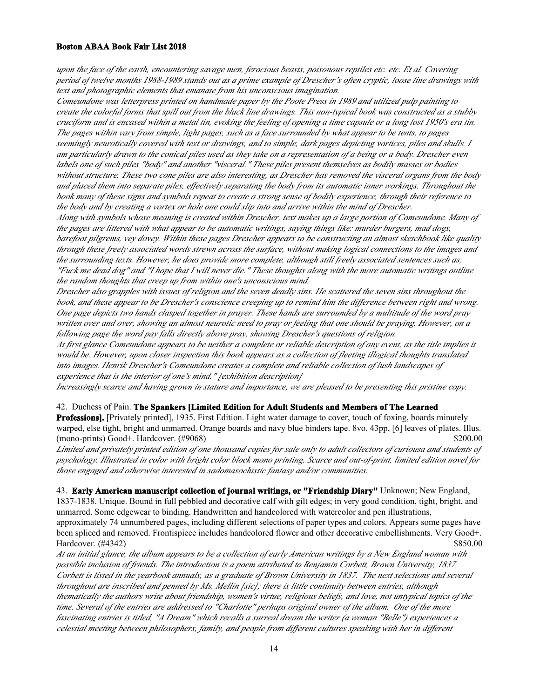*upon the face of the earth, encountering savage men, ferocious beasts, poisonous reptiles etc. etc. Et al. Covering period of twelve months 1988-1989 stands out as a prime example of Drescher's often cryptic, loose line drawings with text and photographic elements that emanate from his unconscious imagination.*

*Comeundone was letterpress printed on handmade paper by the Poote Press in 1989 and utilized pulp painting to create the colorful forms that spill out from the black line drawings. This non-typical book was constructed as a stubby cruciform and is encased within a metal tin, evoking the feeling of opening a time capsule or a long lost 1950's era tin. The pages within vary from simple, light pages, such as a face surrounded by what appear to be tents, to pages seemingly neurotically covered with text or drawings, and to simple, dark pages depicting vortices, piles and skulls. I am particularly drawn to the conical piles used as they take on a representation of a being or a body. Drescher even labels one of such piles "body" and another "visceral." These piles present themselves as bodily masses or bodies without structure. These two cone piles are also interesting, as Drescher has removed the visceral organs from the body and placed them into separate piles, effectively separating the body from its automatic inner workings. Throughout the book many of these signs and symbols repeat to create a strong sense of bodily experience, through their reference to the body and by creating a vortex or hole one could slip into and arrive within the mind of Drescher.*

*Along with symbols whose meaning is created within Drescher, text makes up a large portion of Comeundone. Many of the pages are littered with what appear to be automatic writings, saying things like: murder burgers, mad dogs, barefoot pilgrems, vey dovey. Within these pages Drescher appears to be constructing an almost sketchbook like quality through these freely associated words strewn across the surface, without making logical connections to the images and the surrounding texts. However, he does provide more complete, although still freely associated sentences such as, "Fuck me dead dog" and "I hope that I will never die." These thoughts along with the more automatic writings outline the random thoughts that creep up from within one's unconscious mind.*

*Drescher also grapples with issues of religion and the seven deadly sins. He scattered the seven sins throughout the book, and these appear to be Drescher's conscience creeping up to remind him the difference between right and wrong. One page depicts two hands clasped together in prayer. These hands are surrounded by a multitude of the word pray written over and over, showing an almost neurotic need to pray or feeling that one should be praying. However, on a following page the word pay falls directly above pray, showing Drescher's questions of religion.*

*At first glance Comeundone appears to be neither a complete or reliable description of any event, as the title implies it would be. However, upon closer inspection this book appears as a collection of fleeting illogical thoughts translated into images. Henrik Drescher's Comeundone creates a complete and reliable collection of lush landscapes of experience that is the interior of one's mind." [exhibition description]*

*Increasingly scarce and having grown in stature and importance, we are pleased to be presenting this pristine copy.*

#### 42. Duchess of Pain. **The Spankers [Limited Edition for Adult Students and Members of The Learned**

**Professions].** [Privately printed], 1935. First Edition. Light water damage to cover, touch of foxing, boards minutely warped, else tight, bright and unmarred. Orange boards and navy blue binders tape. 8vo. 43pp, [6] leaves of plates. Illus. (mono-prints) Good+. Hardcover. (#9068) \$200.00

*Limited and privately printed edition of one thousand copies for sale only to adult collectors of curiousa and students of psychology. Illustrated in color with bright color block mono printing. Scarce and out-of-print, limited edition novel for those engaged and otherwise interested in sadomasochistic fantasy and/or communities.*

43. **Early American manuscript collection of journal writings, or "Friendship Diary"** Unknown; New England, 1837-1838. Unique. Bound in full pebbled and decorative calf with gilt edges; in very good condition, tight, bright, and unmarred. Some edgewear to binding. Handwritten and handcolored with watercolor and pen illustrations, approximately 74 unnumbered pages, including different selections of paper types and colors. Appears some pages have been spliced and removed. Frontispiece includes handcolored flower and other decorative embellishments. Very Good+. Hardcover. (#4342) \$850.00

*At an initial glance, the album appears to be a collection of early American writings by a New England woman with possible inclusion of friends. The introduction is a poem attributed to Benjamin Corbett, Brown University, 1837. Corbett is listed in the yearbook annuals, as a graduate of Brown University in 1837. The next selections and several throughout are inscribed and penned by Ms. Mellin [sic]; there is little continuity between entries, although thematically the authors write about friendship, women's virtue, religious beliefs, and love, not untypical topics of the time. Several of the entries are addressed to "Charlotte" perhaps original owner of the album. One of the more fascinating entries is titled, "A Dream" which recalls a surreal dream the writer (a woman "Belle") experiences a celestial meeting between philosophers, family, and people from different cultures speaking with her in different*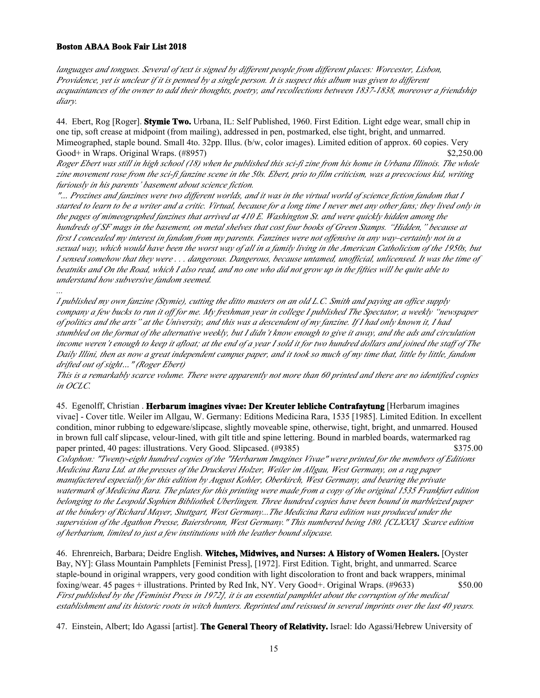*...*

*languages and tongues. Several of text is signed by different people from different places: Worcester, Lisbon, Providence, yet is unclear if it is penned by a single person. It is suspect this album was given to different acquaintances of the owner to add their thoughts, poetry, and recollections between 1837-1838, moreover a friendship diary.*

44. Ebert, Rog [Roger]. **Stymie Two.** Urbana, IL: Self Published, 1960. First Edition. Light edge wear, small chip in one tip, soft crease at midpoint (from mailing), addressed in pen, postmarked, else tight, bright, and unmarred. Mimeographed, staple bound. Small 4to. 32pp. Illus. (b/w, color images). Limited edition of approx. 60 copies. Very Good+ in Wraps. Original Wraps. (#8957) \$2,250.00

*Roger Ebert was still in high school (18) when he published this sci-fi zine from his home in Urbana Illinois. The whole zine movement rose from the sci-fi fanzine scene in the 50s. Ebert, prio to film criticism, was a precocious kid, writing furiously in his parents' basement about science fiction.*

*"… Prozines and fanzines were two different worlds, and it was in the virtual world of science fiction fandom that I started to learn to be a writer and a critic. Virtual, because for a long time I never met any other fans; they lived only in the pages of mimeographed fanzines that arrived at 410 E. Washington St. and were quickly hidden among the hundreds of SF mags in the basement, on metal shelves that cost four books of Green Stamps. "Hidden," because at first I concealed my interest in fandom from my parents. Fanzines were not offensive in any way–certainly not in a sexual way, which would have been the worst way of all in a family living in the American Catholicism of the 1950s, but I sensed somehow that they were . . . dangerous. Dangerous, because untamed, unofficial, unlicensed. It was the time of beatniks and On the Road, which I also read, and no one who did not grow up in the fifties will be quite able to understand how subversive fandom seemed.*

*I published my own fanzine (Stymie), cutting the ditto masters on an old L.C. Smith and paying an office supply company a few bucks to run it off for me. My freshman year in college I published The Spectator, a weekly "newspaper of politics and the arts" at the University, and this was a descendent of my fanzine. If I had only known it, I had stumbled on the format of the alternative weekly, but I didn't know enough to give it away, and the ads and circulation income weren't enough to keep it afloat; at the end of a year I sold it for two hundred dollars and joined the staff of The Daily Illini, then as now a great independent campus paper, and it took so much of my time that, little by little, fandom drifted out of sight…" (Roger Ebert)*

*This is a remarkably scarce volume. There were apparently not more than 60 printed and there are no identified copies in OCLC.*

45. Egenolff, Christian . **Herbarum imagines vivae: Der Kreuter lebliche Contrafaytung** [Herbarum imagines vivae] - Cover title. Weiler im Allgau, W. Germany: Editions Medicina Rara, 1535 [1985]. Limited Edition. In excellent condition, minor rubbing to edgeware/slipcase, slightly moveable spine, otherwise, tight, bright, and unmarred. Housed in brown full calf slipcase, velour-lined, with gilt title and spine lettering. Bound in marbled boards, watermarked rag paper printed, 40 pages: illustrations. Very Good. Slipcased. (#9385) \$375.00

*Colophon: "Twenty-eight hundred copies of the "Herbarum Imagines Vivae" were printed for the members of Editions Medicina Rara Ltd. at the presses of the Druckerei Holzer, Weiler im Allgau, West Germany, on a rag paper manufactered especially for this edition by August Kohler, Oberkirch, West Germany, and bearing the private watermark of Medicina Rara. The plates for this printing were made from a copy of the original 1535 Frankfurt edition belonging to the Leopold Sophien Bibliothek Uberlingen. Three hundred copies have been bound in marbleized paper at the bindery of Richard Mayer, Stuttgart, West Germany...The Medicina Rara edition was produced under the supervision of the Agathon Presse, Baiersbronn, West Germany." This numbered being 180. [CLXXX] Scarce edition of herbarium, limited to just a few institutions with the leather bound slipcase.*

46. Ehrenreich, Barbara; Deidre English. **Witches, Midwives, and Nurses: A History of Women Healers.** [Oyster Bay, NY]: Glass Mountain Pamphlets [Feminist Press], [1972]. First Edition. Tight, bright, and unmarred. Scarce staple-bound in original wrappers, very good condition with light discoloration to front and back wrappers, minimal foxing/wear. 45 pages + illustrations. Printed by Red Ink, NY. Very Good+. Original Wraps. (#9633) \$50.00 *First published by the [Feminist Press in 1972], it is an essential pamphlet about the corruption of the medical establishment and its historic roots in witch hunters. Reprinted and reissued in several imprints over the last 40 years.*

47. Einstein, Albert; Ido Agassi [artist]. **The General Theory of Relativity.** Israel: Ido Agassi/Hebrew University of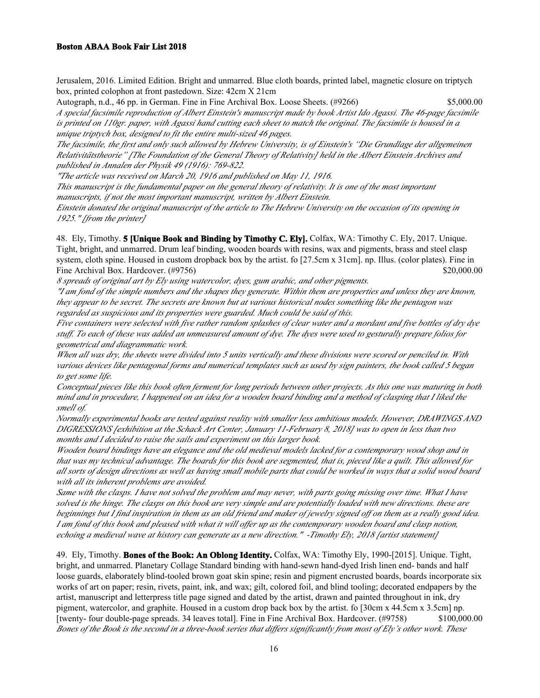Jerusalem, 2016. Limited Edition. Bright and unmarred. Blue cloth boards, printed label, magnetic closure on triptych box, printed colophon at front pastedown. Size: 42cm X 21cm

Autograph, n.d., 46 pp. in German. Fine in Fine Archival Box. Loose Sheets. (#9266) \$5,000.00 *A special facsimile reproduction of Albert Einstein's manuscript made by book Artist Ido Agassi. The 46-page facsimile is printed on 110gr. paper, with Agassi hand cutting each sheet to match the original. The facsimile is housed in a unique triptych box, designed to fit the entire multi-sized 46 pages.*

*The facsimile, the first and only such allowed by Hebrew University, is of Einstein's "Die Grundlage der allgemeinen Relativitätstheorie" [The Foundation of the General Theory of Relativity] held in the Albert Einstein Archives and published in Annalen der Physik 49 (1916): 769-822.*

*"The article was received on March 20, 1916 and published on May 11, 1916.*

*This manuscript is the fundamental paper on the general theory of relativity. It is one of the most important manuscripts, if not the most important manuscript, written by Albert Einstein.*

*Einstein donated the original manuscript of the article to The Hebrew University on the occasion of its opening in 1925." [from the printer]*

48. Ely, Timothy. **5 [Unique Book and Binding by Timothy C. Ely].** Colfax, WA: Timothy C. Ely, 2017. Unique. Tight, bright, and unmarred. Drum leaf binding, wooden boards with resins, wax and pigments, brass and steel clasp system, cloth spine. Housed in custom dropback box by the artist. fo [27.5cm x 31cm]. np. Illus. (color plates). Fine in Fine Archival Box. Hardcover. (#9756) \$20,000.00

*8 spreads of original art by Ely using watercolor, dyes, gum arabic, and other pigments.*

*"I am fond of the simple numbers and the shapes they generate. Within them are properties and unless they are known, they appear to be secret. The secrets are known but at various historical nodes something like the pentagon was regarded as suspicious and its properties were guarded. Much could be said of this.*

*Five containers were selected with five rather random splashes of clear water and a mordant and five bottles of dry dye stuff. To each of these was added an unmeasured amount of dye. The dyes were used to gesturally prepare folios for geometrical and diagrammatic work.*

*When all was dry, the sheets were divided into 5 units vertically and these divisions were scored or penciled in. With various devices like pentagonal forms and numerical templates such as used by sign painters, the book called 5 began to get some life.*

*Conceptual pieces like this book often ferment for long periods between other projects. As this one was maturing in both mind and in procedure, I happened on an idea for a wooden board binding and a method of clasping that I liked the smell of.*

*Normally experimental books are tested against reality with smaller less ambitious models. However, DRAWINGS AND DIGRESSIONS [exhibition at the Schack Art Center, January 11-February 8, 2018] was to open in less than two months and I decided to raise the sails and experiment on this larger book.*

*Wooden board bindings have an elegance and the old medieval models lacked for a contemporary wood shop and in that was my technical advantage. The boards for this book are segmented, that is, pieced like a quilt. This allowed for all sorts of design directions as well as having small mobile parts that could be worked in ways that a solid wood board with all its inherent problems are avoided.*

*Same with the clasps. I have not solved the problem and may never, with parts going missing over time. What I have solved is the hinge. The clasps on this book are very simple and are potentially loaded with new directions. these are beginnings but I find inspiration in them as an old friend and maker of jewelry signed off on them as a really good idea. I am fond of this book and pleased with what it will offer up as the contemporary wooden board and clasp notion, echoing a medieval wave at history can generate as a new direction." -Timothy Ely, 2018 [artist statement]*

49. Ely, Timothy. **Bones of the Book: An Oblong Identity.** Colfax, WA: Timothy Ely, 1990-[2015]. Unique. Tight, bright, and unmarred. Planetary Collage Standard binding with hand-sewn hand-dyed Irish linen end- bands and half loose guards, elaborately blind-tooled brown goat skin spine; resin and pigment encrusted boards, boards incorporate six works of art on paper; resin, rivets, paint, ink, and wax; gilt, colored foil, and blind tooling; decorated endpapers by the artist, manuscript and letterpress title page signed and dated by the artist, drawn and painted throughout in ink, dry pigment, watercolor, and graphite. Housed in a custom drop back box by the artist. fo [30cm x 44.5cm x 3.5cm] np. [twenty- four double-page spreads. 34 leaves total]. Fine in Fine Archival Box. Hardcover. (#9758) \$100,000.00 *Bones of the Book is the second in a three-book series that differs significantly from most of Ely's other work. These*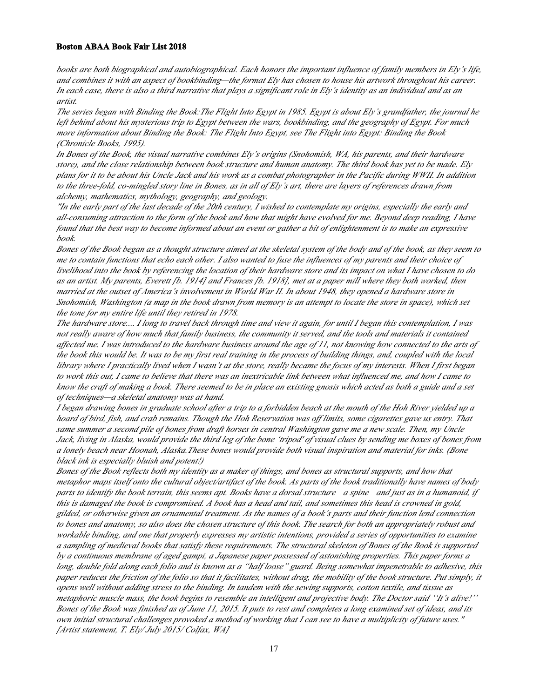*books are both biographical and autobiographical. Each honors the important influence of family members in Ely's life, and combines it with an aspect of bookbinding—the format Ely has chosen to house his artwork throughout his career. In each case, there is also a third narrative that plays a significant role in Ely's identity as an individual and as an artist.*

*The series began with Binding the Book:The Flight Into Egypt in 1985. Egypt is about Ely's grandfather, the journal he left behind about his mysterious trip to Egypt between the wars, bookbinding, and the geography of Egypt. For much more information about Binding the Book: The Flight Into Egypt, see The Flight into Egypt: Binding the Book (Chronicle Books, 1995).*

*In Bones of the Book, the visual narrative combines Ely's origins (Snohomish, WA, his parents, and their hardware store), and the close relationship between book structure and human anatomy. The third book has yet to be made. Ely plans for it to be about his Uncle Jack and his work as a combat photographer in the Pacific during WWII. In addition to the three-fold, co-mingled story line in Bones, as in all of Ely's art, there are layers of references drawn from alchemy, mathematics, mythology, geography, and geology.*

*"In the early part of the last decade of the 20th century, I wished to contemplate my origins, especially the early and all-consuming attraction to the form of the book and how that might have evolved for me. Beyond deep reading, I have found that the best way to become informed about an event or gather a bit of enlightenment is to make an expressive book.*

*Bones of the Book began as a thought structure aimed at the skeletal system of the body and of the book, as they seem to me to contain functions that echo each other. I also wanted to fuse the influences of my parents and their choice of livelihood into the book by referencing the location of their hardware store and its impact on what I have chosen to do as an artist. My parents, Everett [b. 1914] and Frances [b. 1918], met at a paper mill where they both worked, then married at the outset of America's involvement in World War II. In about 1948, they opened a hardware store in Snohomish, Washington (a map in the book drawn from memory is an attempt to locate the store in space), which set the tone for my entire life until they retired in 1978.*

*The hardware store.... I long to travel back through time and view it again, for until I began this contemplation, I was not really aware of how much that family business, the community it served, and the tools and materials it contained affected me. I was introduced to the hardware business around the age of 11, not knowing how connected to the arts of the book this would be. It was to be my first real training in the process of building things, and, coupled with the local library where I practically lived when I wasn't at the store, really became the focus of my interests. When I first began to work this out, I came to believe that there was an inextricable link between what influenced me, and how I came to know the craft of making a book. There seemed to be in place an existing gnosis which acted as both a guide and a set of techniques—a skeletal anatomy was at hand.*

*I began drawing bones in graduate school after a trip to a forbidden beach at the mouth of the Hoh River yielded up a hoard of bird, fish, and crab remains. Though the Hoh Reservation was off limits, some cigarettes gave us entry. That same summer a second pile of bones from draft horses in central Washington gave me a new scale. Then, my Uncle Jack, living in Alaska, would provide the third leg of the bone 'tripod' of visual clues by sending me boxes of bones from a lonely beach near Hoonah, Alaska.These bones would provide both visual inspiration and material for inks. (Bone black ink is especially bluish and potent!)*

*Bones of the Book reflects both my identity as a maker of things, and bones as structural supports, and how that metaphor maps itself onto the cultural object/artifact of the book. As parts of the book traditionally have names of body parts to identify the book terrain, this seems apt. Books have a dorsal structure—a spine—and just as in a humanoid, if this is damaged the book is compromised. A book has a head and tail, and sometimes this head is crowned in gold, gilded, or otherwise given an ornamental treatment. As the names of a book's parts and their function lend connection to bones and anatomy, so also does the chosen structure of this book. The search for both an appropriately robust and workable binding, and one that properly expresses my artistic intentions, provided a series of opportunities to examine a sampling of medieval books that satisfy these requirements. The structural skeleton of Bones of the Book is supported by a continuous membrane of aged gampi, a Japanese paper possessed of astonishing properties. This paper forms a long, double fold along each folio and is known as a "half loose" guard. Being somewhat impenetrable to adhesive, this paper reduces the friction of the folio so that it facilitates, without drag, the mobility of the book structure. Put simply, it opens well without adding stress to the binding. In tandem with the sewing supports, cotton textile, and tissue as metaphoric muscle mass, the book begins to resemble an intelligent and projective body. The Doctor said ''It's alive!'' Bones of the Book was finished as of June 11, 2015. It puts to rest and completes a long examined set of ideas, and its own initial structural challenges provoked a method of working that I can see to have a multiplicity of future uses." [Artist statement, T. Ely/ July 2015/ Colfax, WA]*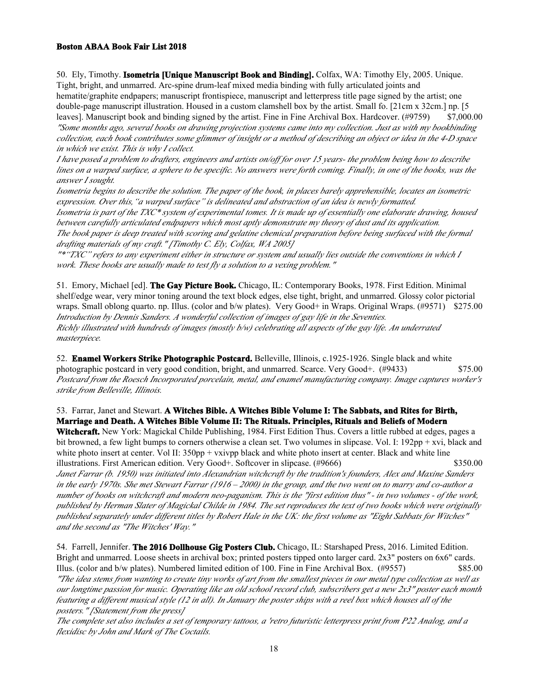50. Ely, Timothy. **Isometria [Unique Manuscript Book and Binding].** Colfax, WA: Timothy Ely, 2005. Unique. Tight, bright, and unmarred. Arc-spine drum-leaf mixed media binding with fully articulated joints and hematite/graphite endpapers; manuscript frontispiece, manuscript and letterpress title page signed by the artist; one double-page manuscript illustration. Housed in a custom clamshell box by the artist. Small fo. [21cm x 32cm.] np. [5 leaves]. Manuscript book and binding signed by the artist. Fine in Fine Archival Box. Hardcover. (#9759) \$7,000.00 *"Some months ago, several books on drawing projection systems came into my collection. Just as with my bookbinding collection, each book contributes some glimmer of insight or a method of describing an object or idea in the 4-D space in which we exist. This is why I collect.*

*I have posed a problem to drafters, engineers and artists on/off for over 15 years- the problem being how to describe lines on a warped surface, a sphere to be specific. No answers were forth coming. Finally, in one of the books, was the answer I sought.*

*Isometria begins to describe the solution. The paper of the book, in places barely apprehensible, locates an isometric expression. Over this,"a warped surface" is delineated and abstraction of an idea is newly formatted. Isometria is part of the TXC\* system of experimental tomes. It is made up of essentially one elaborate drawing, housed between carefully articulated endpapers which most aptly demonstrate my theory of dust and its application. The book paper is deep treated with scoring and gelatine chemical preparation before being surfaced with the formal drafting materials of my craft." [Timothy C. Ely, Colfax, WA 2005]*

*"\*"TXC" refers to any experiment either in structure or system and usually lies outside the conventions in which I work. These books are usually made to test fly a solution to a vexing problem."*

51. Emory, Michael [ed]. **The Gay Picture Book.** Chicago, IL: Contemporary Books, 1978. First Edition. Minimal shelf/edge wear, very minor toning around the text block edges, else tight, bright, and unmarred. Glossy color pictorial wraps. Small oblong quarto. np. Illus. (color and b/w plates). Very Good+ in Wraps. Original Wraps. (#9571) \$275.00 *Introduction by Dennis Sanders. A wonderful collection of images of gay life in the Seventies. Richly illustrated with hundreds of images (mostly b/w) celebrating all aspects of the gay life. An underrated masterpiece.*

52. **Enamel Workers Strike Photographic Postcard.** Belleville, Illinois, c.1925-1926. Single black and white photographic postcard in very good condition, bright, and unmarred. Scarce. Very Good+. (#9433) \$75.00 *Postcard from the Roesch Incorporated porcelain, metal, and enamel manufacturing company. Image captures worker's strike from Belleville, Illinois.*

## 53. Farrar, Janet and Stewart. **A Witches Bible. A Witches Bible Volume I: The Sabbats, and Rites for Birth, Marriage and Death. A Witches Bible Volume II: The Rituals. Principles, Rituals and Beliefs of Modern**

**Witchcraft.** New York: Magickal Childe Publishing, 1984. First Edition Thus. Covers a little rubbed at edges, pages a bit browned, a few light bumps to corners otherwise a clean set. Two volumes in slipcase. Vol. I: 192pp + xvi, black and white photo insert at center. Vol II: 350pp + vxivpp black and white photo insert at center. Black and white line illustrations. First American edition. Very Good+. Softcover in slipcase. (#9666) \$350.00 *Janet Farrar (b. 1950) was initiated into Alexandrian witchcraft by the tradition's founders, Alex and Maxine Sanders in the early 1970s. She met Stewart Farrar (1916 – 2000) in the group, and the two went on to marry and co-author a number of books on witchcraft and modern neo-paganism. This is the "first edition thus" - in two volumes - of the work, published by Herman Slater of Magickal Childe in 1984. The set reproduces the text of two books which were originally published separately under different titles by Robert Hale in the UK: the first volume as "Eight Sabbats for Witches" and the second as "The Witches' Way."*

54. Farrell, Jennifer. **The 2016 Dollhouse Gig Posters Club.** Chicago, IL: Starshaped Press, 2016. Limited Edition. Bright and unmarred. Loose sheets in archival box; printed posters tipped onto larger card. 2x3" posters on 6x6" cards. Illus. (color and b/w plates). Numbered limited edition of 100. Fine in Fine Archival Box. (#9557) \$85.00 *"The idea stems from wanting to create tiny works of art from the smallest pieces in our metal type collection as well as our longtime passion for music. Operating like an old school record club, subscribers get a new 2x3" poster each month featuring a different musical style (12 in all). In January the poster ships with a reel box which houses all of the posters." [Statement from the press]*

*The complete set also includes a set of temporary tattoos, a 'retro futuristic letterpress print from P22 Analog, and a flexidisc by John and Mark of The Coctails.*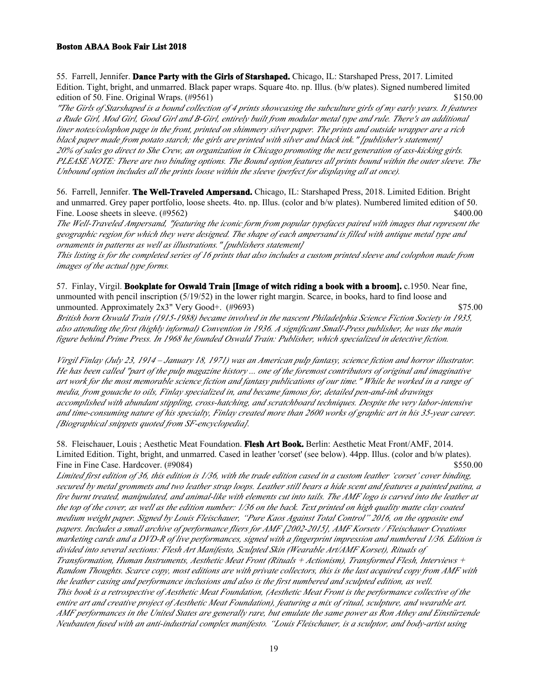55. Farrell, Jennifer. **Dance Party with the Girls of Starshaped.** Chicago, IL: Starshaped Press, 2017. Limited Edition. Tight, bright, and unmarred. Black paper wraps. Square 4to. np. Illus. (b/w plates). Signed numbered limited edition of 50. Fine. Original Wraps.  $(\text{\#9561})$  \$150.00

*"The Girls of Starshaped is a bound collection of 4 prints showcasing the subculture girls of my early years. It features a Rude Girl, Mod Girl, Good Girl and B-Girl, entirely built from modular metal type and rule. There's an additional liner notes/colophon page in the front, printed on shimmery silver paper. The prints and outside wrapper are a rich black paper made from potato starch; the girls are printed with silver and black ink." [publisher's statement] 20% of sales go direct to She Crew, an organization in Chicago promoting the next generation of ass-kicking girls. PLEASE NOTE: There are two binding options. The Bound option features all prints bound within the outer sleeve. The Unbound option includes all the prints loose within the sleeve (perfect for displaying all at once).*

56. Farrell, Jennifer. **The Well-Traveled Ampersand.** Chicago, IL: Starshaped Press, 2018. Limited Edition. Bright and unmarred. Grey paper portfolio, loose sheets. 4to. np. Illus. (color and b/w plates). Numbered limited edition of 50. Fine. Loose sheets in sleeve. (#9562) \$400.00

*The Well-Traveled Ampersand, "featuring the iconic form from popular typefaces paired with images that represent the geographic region for which they were designed. The shape of each ampersand is filled with antique metal type and ornaments in patterns as well as illustrations." [publishers statement]*

*This listing is for the completed series of 16 prints that also includes a custom printed sleeve and colophon made from images of the actual type forms.*

57. Finlay, Virgil. **Bookplate for Oswald Train [Image of witch riding a book with a broom].** c.1950. Near fine, unmounted with pencil inscription (5/19/52) in the lower right margin. Scarce, in books, hard to find loose and unmounted. Approximately 2x3" Very Good+. (#9693) \$75.00

*British born Oswald Train (1915-1988) became involved in the nascent Philadelphia Science Fiction Society in 1935, also attending the first (highly informal) Convention in 1936. A significant Small-Press publisher, he was the main figure behind Prime Press. In 1968 he founded Oswald Train: Publisher, which specialized in detective fiction.*

*Virgil Finlay (July 23, 1914 – January 18, 1971) was an American pulp fantasy, science fiction and horror illustrator. He has been called "part of the pulp magazine history ... one of the foremost contributors of original and imaginative art work for the most memorable science fiction and fantasy publications of our time." While he worked in a range of media, from gouache to oils, Finlay specialized in, and became famous for, detailed pen-and-ink drawings accomplished with abundant stippling, cross-hatching, and scratchboard techniques. Despite the very labor-intensive and time-consuming nature of his specialty, Finlay created more than 2600 works of graphic art in his 35-year career. [Biographical snippets quoted from SF-encyclopedia].*

58. Fleischauer, Louis ; Aesthetic Meat Foundation. **Flesh Art Book.** Berlin: Aesthetic Meat Front/AMF, 2014. Limited Edition. Tight, bright, and unmarred. Cased in leather 'corset' (see below). 44pp. Illus. (color and b/w plates). Fine in Fine Case. Hardcover. (#9084) \$550.00

*Limited first edition of 36, this edition is 1/36, with the trade edition cased in a custom leather 'corset' cover binding, secured by metal grommets and two leather strap loops. Leather still bears a hide scent and features a painted patina, a fire burnt treated, manipulated, and animal-like with elements cut into tails. The AMF logo is carved into the leather at the top of the cover, as well as the edition number: 1/36 on the back. Text printed on high quality matte clay coated medium weight paper. Signed by Louis Fleischauer, "Pure Kaos Against Total Control" 2016, on the opposite end papers. Includes a small archive of performance fliers for AMF [2002-2015], AMF Korsets / Fleischauer Creations marketing cards and a DVD-R of live performances, signed with a fingerprint impression and numbered 1/36. Edition is divided into several sections: Flesh Art Manifesto, Sculpted Skin (Wearable Art/AMF Korset), Rituals of Transformation, Human Instruments, Aesthetic Meat Front (Rituals + Actionism), Transformed Flesh, Interviews + Random Thoughts. Scarce copy, most editions are with private collectors, this is the last acquired copy from AMF with the leather casing and performance inclusions and also is the first numbered and sculpted edition, as well. This book is a retrospective of Aesthetic Meat Foundation, (Aesthetic Meat Front is the performance collective of the entire art and creative project of Aesthetic Meat Foundation), featuring a mix of ritual, sculpture, and wearable art. AMF performances in the United States are generally rare, but emulate the same power as Ron Athey and Einstürzende Neubauten fused with an anti-industrial complex manifesto. "Louis Fleischauer, is a sculptor, and body-artist using*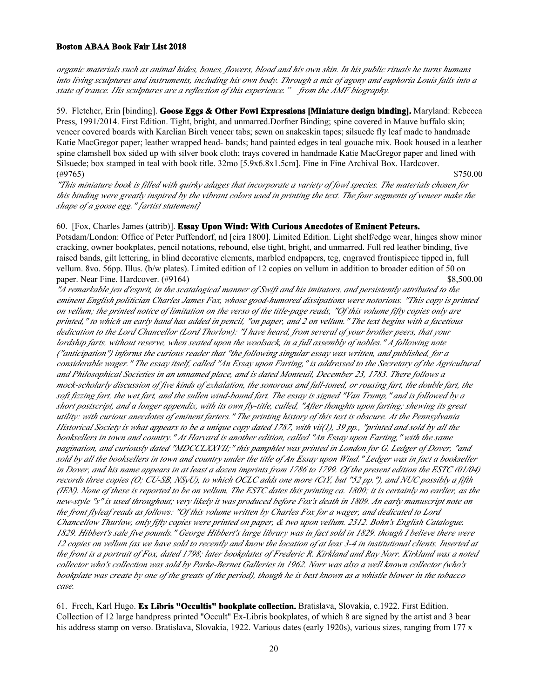*organic materials such as animal hides, bones, flowers, blood and his own skin. In his public rituals he turns humans into living sculptures and instruments, including his own body. Through a mix of agony and euphoria Louis falls into a state of trance. His sculptures are a reflection of this experience." – from the AMF biography.*

59. Fletcher, Erin [binding]. **Goose Eggs & Other Fowl Expressions [Miniature design binding].** Maryland: Rebecca Press, 1991/2014. First Edition. Tight, bright, and unmarred.Dorfner Binding; spine covered in Mauve buffalo skin; veneer covered boards with Karelian Birch veneer tabs; sewn on snakeskin tapes; silsuede fly leaf made to handmade Katie MacGregor paper; leather wrapped head- bands; hand painted edges in teal gouache mix. Book housed in a leather spine clamshell box sided up with silver book cloth; trays covered in handmade Katie MacGregor paper and lined with Silsuede; box stamped in teal with book title. 32mo [5.9x6.8x1.5cm]. Fine in Fine Archival Box. Hardcover. (#9765) \$750.00

*"This miniature book is filled with quirky adages that incorporate a variety of fowl species. The materials chosen for this binding were greatly inspired by the vibrant colors used in printing the text. The four segments of veneer make the shape of a goose egg." [artist statement]*

60. [Fox, Charles James (attrib)]. **Essay Upon Wind: With Curious Anecdotes of Eminent Peteurs.**

Potsdam/London: Office of Peter Puffendorf, nd [cira 1800]. Limited Edition. Light shelf/edge wear, hinges show minor cracking, owner bookplates, pencil notations, rebound, else tight, bright, and unmarred. Full red leather binding, five raised bands, gilt lettering, in blind decorative elements, marbled endpapers, teg, engraved frontispiece tipped in, full vellum. 8vo. 56pp. Illus. (b/w plates). Limited edition of 12 copies on vellum in addition to broader edition of 50 on paper. Near Fine. Hardcover. (#9164) \$8,500.00

*"A remarkable jeu d'esprit, in the scatalogical manner of Swift and his imitators, and persistently attributed to the eminent English politician Charles James Fox, whose good-humored dissipations were notorious. "This copy is printed on vellum; the printed notice of limitation on the verso of the title-page reads, "Of this volume fifty copies only are printed," to which an early hand has added in pencil, "on paper, and 2 on vellum." The text begins with a facetious dedication to the Lord Chancellor (Lord Thorlow): "I have heard, from several of your brother peers, that your lordship farts, without reserve, when seated upon the woolsack, in a full assembly of nobles." A following note ("anticipation") informs the curious reader that "the following singular essay was written, and published, for a considerable wager." The essay itself, called "An Essay upon Farting," is addressed to the Secretary of the Agricultural and Philosophical Societies in an unnamed place, and is dated Monteuil, December 23, 1783. There follows a mock-scholarly discussion of five kinds of exhalation, the sonorous and full-toned, or rousing fart, the double fart, the soft fizzing fart, the wet fart, and the sullen wind-bound fart. The essay is signed "Van Trump," and is followed by a short postscript, and a longer appendix, with its own fly-title, called, "After thoughts upon farting; shewing its great utility: with curious anecdotes of eminent farters." The printing history of this text is obscure. At the Pennsylvania Historical Society is what appears to be a unique copy dated 1787, with vii(1), 39 pp., "printed and sold by all the booksellers in town and country." At Harvard is another edition, called "An Essay upon Farting," with the same pagination, and curiously dated "MDCCLXXVII;" this pamphlet was printed in London for G. Ledger of Dover, "and sold by all the booksellers in town and country under the title of An Essay upon Wind." Ledger was in fact a bookseller in Dover, and his name appears in at least a dozen imprints from 1786 to 1799. Of the present edition the ESTC (01/04) records three copies (O; CU-SB, NSyU), to which OCLC adds one more (CtY, but "52 pp."), and NUC possibly a fifth (IEN). None of these is reported to be on vellum. The ESTC dates this printing ca. 1800; it is certainly no earlier, as the new-style "s" is used throughout; very likely it was produced before Fox's death in 1809. An early manuscript note on the front flyleaf reads as follows: "Of this volume written by Charles Fox for a wager, and dedicated to Lord Chancellow Thurlow, only fifty copies were printed on paper, & two upon vellum. 2312. Bohn's English Catalogue. 1829. Hibbert's sale five pounds." George Hibbert's large library was in fact sold in 1829. though I believe there were 12 copies on vellum (as we have sold to recently and know the location of at leas 3-4 in institutional clients. Inserted at the front is a portrait of Fox, dated 1798; later bookplates of Frederic R. Kirkland and Ray Norr. Kirkland was a noted collector who's collection was sold by Parke-Bernet Galleries in 1962. Norr was also a well known collector (who's bookplate was create by one of the greats of the period), though he is best known as a whistle blower in the tobacco case.*

61. Frech, Karl Hugo. **Ex Libris "Occultis" bookplate collection.** Bratislava, Slovakia, c.1922. First Edition. Collection of 12 large handpress printed "Occult" Ex-Libris bookplates, of which 8 are signed by the artist and 3 bear his address stamp on verso. Bratislava, Slovakia, 1922. Various dates (early 1920s), various sizes, ranging from 177 x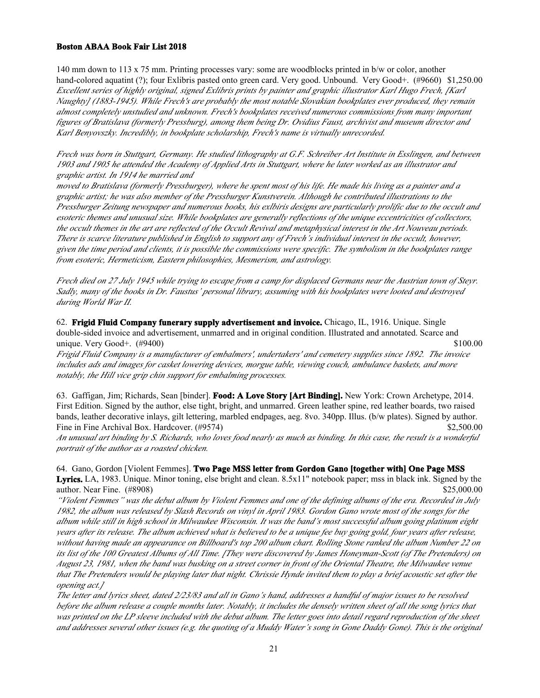140 mm down to 113 x 75 mm. Printing processes vary: some are woodblocks printed in b/w or color, another hand-colored aquatint (?); four Exlibris pasted onto green card. Very good. Unbound. Very Good+. (#9660) \$1,250.00 *Excellent series of highly original, signed Exlibris prints by painter and graphic illustrator Karl Hugo Frech, [Karl Naughty] (1883-1945). While Frech's are probably the most notable Slovakian bookplates ever produced, they remain almost completely unstudied and unknown. Frech's bookplates received numerous commissions from many important figures of Bratislava (formerly Pressburg), among them being Dr. Ovidius Faust, archivist and museum director and Karl Benyovszky. Incredibly, in bookplate scholarship, Frech's name is virtually unrecorded.*

*Frech was born in Stuttgart, Germany. He studied lithography at G.F. Schreiber Art Institute in Esslingen, and between 1903 and 1905 he attended the Academy of Applied Arts in Stuttgart, where he later worked as an illustrator and graphic artist. In 1914 he married and*

*moved to Bratislava (formerly Pressburger), where he spent most of his life. He made his living as a painter and a graphic artist; he was also member of the Pressburger Kunstverein. Although he contributed illustrations to the Pressburger Zeitung newspaper and numerous books, his exlbiris designs are particularly prolific due to the occult and esoteric themes and unusual size. While bookplates are generally reflections of the unique eccentricities of collectors, the occult themes in the art are reflected of the Occult Revival and metaphysical interest in the Art Nouveau periods. There is scarce literature published in English to support any of Frech's individual interest in the occult, however, given the time period and clients, it is possible the commissions were specific. The symbolism in the bookplates range from esoteric, Hermeticism, Eastern philosophies, Mesmerism, and astrology.*

*Frech died on 27 July 1945 while trying to escape from a camp for displaced Germans near the Austrian town of Steyr. Sadly, many of the books in Dr. Faustus' personal library, assuming with his bookplates were looted and destroyed during World War II.*

62. **Frigid Fluid Company funerary supply advertisement and invoice.** Chicago, IL, 1916. Unique. Single double-sided invoice and advertisement, unmarred and in original condition. Illustrated and annotated. Scarce and unique. Very Good+.  $(\#9400)$  \$100.00

*Frigid Fluid Company is a manufacturer of embalmers', undertakers' and cemetery supplies since 1892. The invoice includes ads and images for casket lowering devices, morgue table, viewing couch, ambulance baskets, and more notably, the Hill vice grip chin support for embalming processes.*

63. Gaffigan, Jim; Richards, Sean [binder]. **Food: A Love Story [Art Binding].** New York: Crown Archetype, 2014. First Edition. Signed by the author, else tight, bright, and unmarred. Green leather spine, red leather boards, two raised bands, leather decorative inlays, gilt lettering, marbled endpages, aeg. 8vo. 340pp. Illus. (b/w plates). Signed by author. Fine in Fine Archival Box. Hardcover. (#9574) \$2,500.00

*An unusual art binding by S. Richards, who loves food nearly as much as binding. In this case, the result is a wonderful portrait of the author as a roasted chicken.*

64. Gano, Gordon [Violent Femmes]. **Two Page MSS letter from Gordon Gano [together with] One Page MSS Lyrics.** LA, 1983. Unique. Minor toning, else bright and clean. 8.5x11" notebook paper; mss in black ink. Signed by the author. Near Fine. (#8908) \$25,000.00

*"Violent Femmes" was the debut album by Violent Femmes and one of the defining albums of the era. Recorded in July 1982, the album was released by Slash Records on vinyl in April 1983. Gordon Gano wrote most of the songs for the album while still in high school in Milwaukee Wisconsin. It was the band's most successful album going platinum eight years after its release. The album achieved what is believed to be a unique fee buy going gold, four years after release, without having made an appearance on Billboard's top 200 album chart. Rolling Stone ranked the album Number 22 on its list of the 100 Greatest Albums of All Time. [They were discovered by James Honeyman-Scott (of The Pretenders) on August 23, 1981, when the band was busking on a street corner in front of the Oriental Theatre, the Milwaukee venue that The Pretenders would be playing later that night. Chrissie Hynde invited them to play a brief acoustic set after the opening act.]*

*The letter and lyrics sheet, dated 2/23/83 and all in Gano's hand, addresses a handful of major issues to be resolved before the album release a couple months later. Notably, it includes the densely written sheet of all the song lyrics that was printed on the LP sleeve included with the debut album. The letter goes into detail regard reproduction of the sheet and addresses several other issues (e.g. the quoting of a Muddy Water's song in Gone Daddy Gone). This is the original*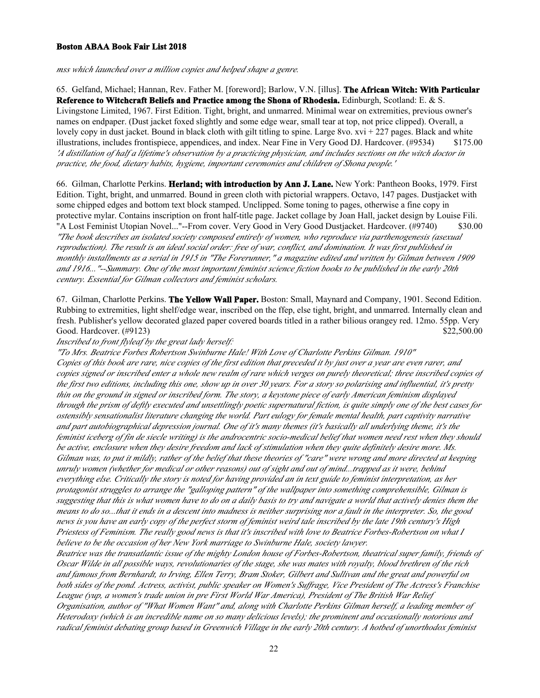*mss which launched over a million copies and helped shape a genre.*

65. Gelfand, Michael; Hannan, Rev. Father M. [foreword]; Barlow, V.N. [illus]. **The African Witch: With Particular Reference to Witchcraft Beliefs and Practice among the Shona of Rhodesia.** Edinburgh, Scotland: E. & S. Livingstone Limited, 1967. First Edition. Tight, bright, and unmarred. Minimal wear on extremities, previous owner's names on endpaper. (Dust jacket foxed slightly and some edge wear, small tear at top, not price clipped). Overall, a lovely copy in dust jacket. Bound in black cloth with gilt titling to spine. Large 8vo.  $xvi + 227$  pages. Black and white illustrations, includes frontispiece, appendices, and index. Near Fine in Very Good DJ. Hardcover. (#9534) \$175.00 *'A distillation of half a lifetime's observation by a practicing physician, and includes sections on the witch doctor in practice, the food, dietary habits, hygiene, important ceremonies and children of Shona people.'*

66. Gilman, Charlotte Perkins. **Herland; with introduction by Ann J. Lane.** New York: Pantheon Books, 1979. First Edition. Tight, bright, and unmarred. Bound in green cloth with pictorial wrappers. Octavo, 147 pages. Dustjacket with some chipped edges and bottom text block stamped. Unclipped. Some toning to pages, otherwise a fine copy in protective mylar. Contains inscription on front half-title page. Jacket collage by Joan Hall, jacket design by Louise Fili. "A Lost Feminist Utopian Novel..."--From cover. Very Good in Very Good Dustjacket. Hardcover. (#9740) \$30.00 *"The book describes an isolated society composed entirely of women, who reproduce via parthenogenesis (asexual reproduction). The result is an ideal social order: free of war, conflict, and domination. It was first published in monthly installments as a serial in 1915 in "The Forerunner," a magazine edited and written by Gilman between 1909 and 1916..."--Summary. One of the most important feminist science fiction books to be published in the early 20th century. Essential for Gilman collectors and feminist scholars.*

67. Gilman, Charlotte Perkins. **The Yellow Wall Paper.** Boston: Small, Maynard and Company, 1901. Second Edition. Rubbing to extremities, light shelf/edge wear, inscribed on the ffep, else tight, bright, and unmarred. Internally clean and fresh. Publisher's yellow decorated glazed paper covered boards titled in a rather bilious orangey red. 12mo. 55pp. Very Good. Hardcover. (#9123) \$22,500.00

#### *Inscribed to front flyleaf by the great lady herself:*

*"To Mrs. Beatrice Forbes Robertson Swinburne Hale! With Love of Charlotte Perkins Gilman. 1910" Copies of this book are rare, nice copies of the first edition that preceded it by just over a year are even rarer, and copies signed or inscribed enter a whole new realm of rare which verges on purely theoretical; three inscribed copies of the first two editions, including this one, show up in over 30 years. For a story so polarising and influential, it's pretty thin on the ground in signed or inscribed form. The story, a keystone piece of early American feminism displayed through the prism of deftly executed and unsettlingly poetic supernatural fiction, is quite simply one of the best cases for ostensibly sensationalist literature changing the world. Part eulogy for female mental health, part captivity narrative and part autobiographical depression journal. One of it's many themes (it's basically all underlying theme, it's the feminist iceberg of fin de siecle writing) is the androcentric socio-medical belief that women need rest when they should be active, enclosure when they desire freedom and lack of stimulation when they quite definitely desire more. Ms. Gilman was, to put it mildly, rather of the belief that these theories of "care" were wrong and more directed at keeping unruly women (whether for medical or other reasons) out of sight and out of mind...trapped as it were, behind everything else. Critically the story is noted for having provided an in text guide to feminist interpretation, as her protagonist struggles to arrange the "galloping pattern" of the wallpaper into something comprehensible, Gilman is suggesting that this is what women have to do on a daily basis to try and navigate a world that actively denies them the means to do so...that it ends in a descent into madness is neither surprising nor a fault in the interpreter. So, the good news is you have an early copy of the perfect storm of feminist weird tale inscribed by the late 19th century's High Priestess of Feminism. The really good news is that it's inscribed with love to Beatrice Forbes-Robertson on what I believe to be the occasion of her New York marriage to Swinburne Hale, society lawyer.*

*Beatrice was the transatlantic issue of the mighty London house of Forbes-Robertson, theatrical super family, friends of Oscar Wilde in all possible ways, revolutionaries of the stage, she was mates with royalty, blood brethren of the rich and famous from Bernhardt, to Irving, Ellen Terry, Bram Stoker, Gilbert and Sullivan and the great and powerful on both sides of the pond. Actress, activist, public speaker on Women's Suffrage, Vice President of The Actress's Franchise League (yup, a women's trade union in pre First World War America), President of The British War Relief Organisation, author of "What Women Want" and, along with Charlotte Perkins Gilman herself, a leading member of Heterodoxy (which is an incredible name on so many delicious levels); the prominent and occasionally notorious and radical feminist debating group based in Greenwich Village in the early 20th century. A hotbed of unorthodox feminist*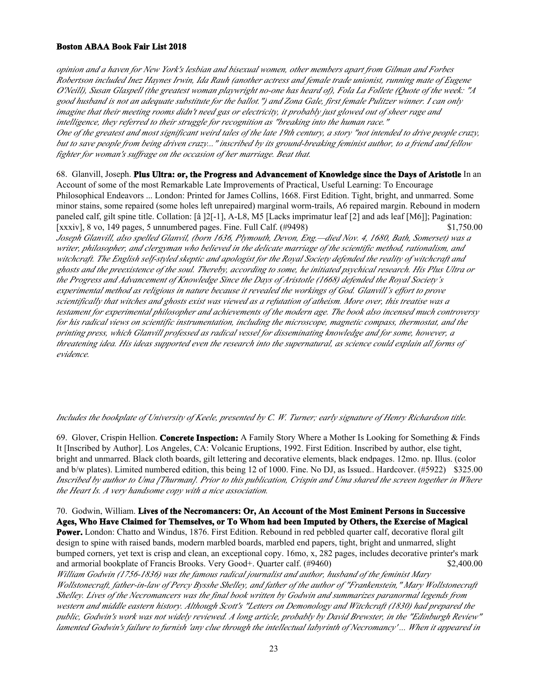*opinion and a haven for New York's lesbian and bisexual women, other members apart from Gilman and Forbes Robertson included Inez Haynes Irwin, Ida Rauh (another actress and female trade unionist, running mate of Eugene O'Neill), Susan Glaspell (the greatest woman playwright no-one has heard of), Fola La Follete (Quote of the week: "A good husband is not an adequate substitute for the ballot.") and Zona Gale, first female Pulitzer winner. I can only imagine that their meeting rooms didn't need gas or electricity, it probably just glowed out of sheer rage and intelligence, they referred to their struggle for recognition as "breaking into the human race." One of the greatest and most significant weird tales of the late 19th century, a story "not intended to drive people crazy, but to save people from being driven crazy..." inscribed by its ground-breaking feminist author, to a friend and fellow fighter for woman's suffrage on the occasion of her marriage. Beat that.*

68. Glanvill, Joseph. **Plus Ultra: or, the Progress and Advancement of Knowledge since the Days of Aristotle** In an Account of some of the most Remarkable Late Improvements of Practical, Useful Learning: To Encourage Philosophical Endeavors ... London: Printed for James Collins, 1668. First Edition. Tight, bright, and unmarred. Some minor stains, some repaired (some holes left unrepaired) marginal worm-trails, A6 repaired margin. Rebound in modern paneled calf, gilt spine title. Collation: [â ]2[-1], A-L8, M5 [Lacks imprimatur leaf [2] and ads leaf [M6]]; Pagination: [xxxiv], 8 vo, 149 pages, 5 unnumbered pages. Fine. Full Calf. (#9498) \$1,750.00 *Joseph Glanvill, also spelled Glanvil, (born 1636, Plymouth, Devon, Eng.—died Nov. 4, 1680, Bath, Somerset) was a writer, philosopher, and clergyman who believed in the delicate marriage of the scientific method, rationalism, and witchcraft. The English self-styled skeptic and apologist for the Royal Society defended the reality of witchcraft and ghosts and the preexistence of the soul. Thereby, according to some, he initiated psychical research. His Plus Ultra or the Progress and Advancement of Knowledge Since the Days of Aristotle (1668) defended the Royal Society's experimental method as religious in nature because it revealed the workings of God. Glanvill's effort to prove scientifically that witches and ghosts exist was viewed as a refutation of atheism. More over, this treatise was a testament for experimental philosopher and achievements of the modern age. The book also incensed much controversy for his radical views on scientific instrumentation, including the microscope, magnetic compass, thermostat, and the printing press, which Glanvill professed as radical vessel for disseminating knowledge and for some, however, a threatening idea. His ideas supported even the research into the supernatural, as science could explain all forms of evidence.*

## *Includes the bookplate of University of Keele, presented by C. W. Turner; early signature of Henry Richardson title.*

69. Glover, Crispin Hellion. **Concrete Inspection:** A Family Story Where a Mother Is Looking for Something & Finds It [Inscribed by Author]. Los Angeles, CA: Volcanic Eruptions, 1992. First Edition. Inscribed by author, else tight, bright and unmarred. Black cloth boards, gilt lettering and decorative elements, black endpages. 12mo. np. Illus. (color and b/w plates). Limited numbered edition, this being 12 of 1000. Fine. No DJ, as Issued.. Hardcover. (#5922) \$325.00 *Inscribed by author to Uma [Thurman]. Prior to this publication, Crispin and Uma shared the screen together in Where the Heart Is. A very handsome copy with a nice association.*

## 70. Godwin, William. **Lives of the Necromancers: Or, An Account of the Most Eminent Persons in Successive Ages, Who Have Claimed for Themselves, or To Whom had been Imputed by Others, the Exercise of Magical**

**Power.** London: Chatto and Windus, 1876. First Edition. Rebound in red pebbled quarter calf, decorative floral gilt design to spine with raised bands, modern marbled boards, marbled end papers, tight, bright and unmarred, slight bumped corners, yet text is crisp and clean, an exceptional copy. 16mo, x, 282 pages, includes decorative printer's mark and armorial bookplate of Francis Brooks. Very Good+. Quarter calf. (#9460) \$2,400.00

*William Godwin (1756-1836) was the famous radical journalist and author, husband of the feminist Mary Wollstonecraft, father-in-law of Percy Bysshe Shelley, and father of the author of "Frankenstein," Mary Wollstonecraft Shelley. Lives of the Necromancers was the final book written by Godwin and summarizes paranormal legends from western and middle eastern history. Although Scott's "Letters on Demonology and Witchcraft (1830) had prepared the public, Godwin's work was not widely reviewed. A long article, probably by David Brewster, in the "Edinburgh Review" lamented Godwin's failure to furnish 'any clue through the intellectual labyrinth of Necromancy' ... When it appeared in*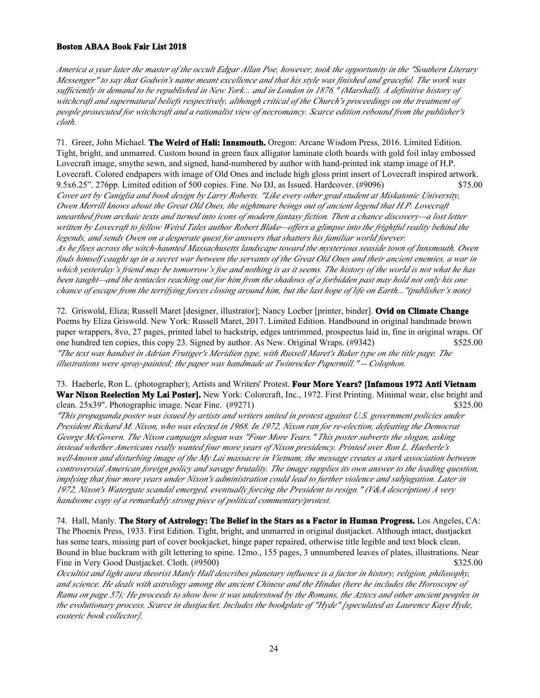*America a year later the master of the occult Edgar Allan Poe, however, took the opportunity in the "Southern Literary Messenger" to say that Godwin's name meant excellence and that his style was finished and graceful. The work was sufficiently in demand to be republished in New York... and in London in 1876." (Marshall). A definitive history of witchcraft and supernatural beliefs respectively, although critical of the Church's proceedings on the treatment of people prosecuted for witchcraft and a rationalist view of necromancy. Scarce edition rebound from the publisher's cloth.*

71. Greer, John Michael. **The Weird of Hali: Innsmouth.** Oregon: Arcane Wisdom Press, 2016. Limited Edition. Tight, bright, and unmarred. Custom bound in green faux alligator laminate cloth boards with gold foil inlay embossed Lovecraft image, smythe sewn, and signed, hand-numbered by author with hand-printed ink stamp image of H.P. Lovecraft. Colored endpapers with image of Old Ones and include high gloss print insert of Lovecraft inspired artwork. 9.5x6.25". 276pp. Limited edition of 500 copies. Fine. No DJ, as Issued. Hardcover. (#9096) \$75.00 *Cover art by Caniglia and book design by Larry Roberts. "Like every other grad student at Miskatonic University, Owen Merrill knows about the Great Old Ones, the nightmare beings out of ancient legend that H.P. Lovecraft unearthed from archaic texts and turned into icons of modern fantasy fiction. Then a chance discovery—a lost letter written by Lovecraft to fellow Weird Tales author Robert Blake—offers a glimpse into the frightful reality behind the legends, and sends Owen on a desperate quest for answers that shatters his familiar world forever.*

*As he flees across the witch-haunted Massachusetts landscape toward the mysterious seaside town of Innsmouth, Owen finds himself caught up in a secret war between the servants of the Great Old Ones and their ancient enemies, a war in which yesterday's friend may be tomorrow's foe and nothing is as it seems. The history of the world is not what he has been taught—and the tentacles reaching out for him from the shadows of a forbidden past may hold not only his one chance of escape from the terrifying forces closing around him, but the last hope of life on Earth..."(publisher's note)*

72. Griswold, Eliza; Russell Maret [designer, illustrator]; Nancy Loeber [printer, binder]. **Ovid on Climate Change** Poems by Eliza Griswold. New York: Russell Maret, 2017. Limited Edition. Handbound in original handmade brown paper wrappers, 8vo, 27 pages, printed label to backstrip, edges untrimmed, prospectus laid in, fine in original wraps. Of one hundred ten copies, this copy 23. Signed by author. As New. Original Wraps. (#9342) \$525.00 *"The text was handset in Adrian Frutiger's Meridien type, with Russell Maret's Baker type on the title page. The illustrations were spray-painted; the paper was handmade at Twinrocker Papermill." -- Colophon.*

73. Haeberle, Ron L. (photographer); Artists and Writers' Protest. **Four More Years? [Infamous 1972 Anti Vietnam War Nixon Reelection My Lai Poster].** New York: Colorcraft, Inc., 1972. First Printing. Minimal wear, else bright and clean. 25x39". Photographic image. Near Fine. (#9271) \$325.00

*"This propaganda poster was issued by artists and writers united in protest against U.S. government policies under President Richard M. Nixon, who was elected in 1968. In 1972, Nixon ran for re-election, defeating the Democrat George McGovern. The Nixon campaign slogan was "Four More Years." This poster subverts the slogan, asking instead whether Americans really wanted four more years of Nixon presidency. Printed over Ron L. Haeberle's well-known and disturbing image of the My Lai massacre in Vietnam, the message creates a stark association between controversial American foreign policy and savage brutality. The image supplies its own answer to the leading question, implying that four more years under Nixon's administration could lead to further violence and subjugation. Later in 1972, Nixon's Watergate scandal emerged, eventually forcing the President to resign." (V&A description) A very handsome copy of a remarkably strong piece of political commentary/protest.*

74. Hall, Manly. **The Story of Astrology: The Belief in the Stars as a Factor in Human Progress.** Los Angeles, CA: The Phoenix Press, 1933. First Edition. Tight, bright, and unmarred in original dustjacket. Although intact, dustjacket has some tears, missing part of cover bookjacket, hinge paper repaired, otherwise title legible and text block clean. Bound in blue buckram with gilt lettering to spine. 12mo., 155 pages, 3 unnumbered leaves of plates, illustrations. Near Fine in Very Good Dustjacket. Cloth. (#9500) \$325.00

*Occultist and light aura theorist Manly Hall describes planetary influence is a factor in history, religion, philosophy, and science. He deals with astrology among the ancient Chinese and the Hindus (here he includes the Horoscope of Rama on page 57); He proceeds to show how it was understood by the Romans, the Aztecs and other ancient peoples in the evolutionary process. Scarce in dustjacket. Includes the bookplate of "Hyde" [speculated as Laurence Kaye Hyde, esoteric book collector].*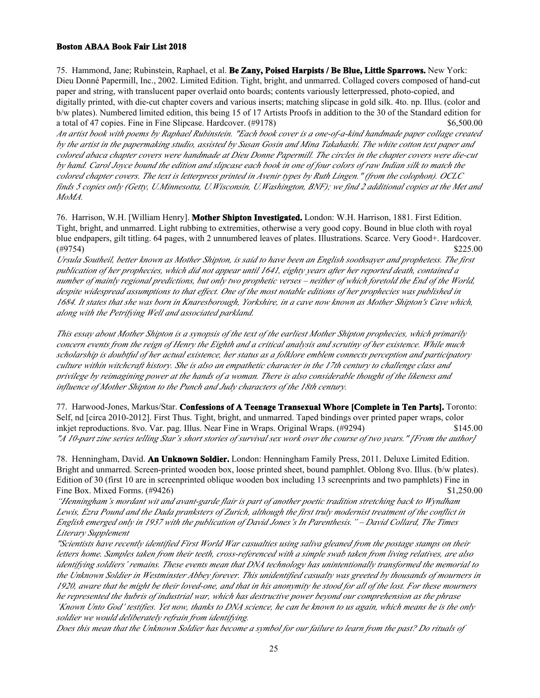75. Hammond, Jane; Rubinstein, Raphael, et al. **Be Zany, Poised Harpists / Be Blue, Little Sparrows.** New York: Dieu Donné Papermill, Inc., 2002. Limited Edition. Tight, bright, and unmarred. Collaged covers composed of hand-cut paper and string, with translucent paper overlaid onto boards; contents variously letterpressed, photo-copied, and digitally printed, with die-cut chapter covers and various inserts; matching slipcase in gold silk. 4to. np. Illus. (color and b/w plates). Numbered limited edition, this being 15 of 17 Artists Proofs in addition to the 30 of the Standard edition for a total of 47 copies. Fine in Fine Slipcase. Hardcover. (#9178) \$6,500.00 \$6,500.00

*An artist book with poems by Raphael Rubinstein. "Each book cover is a one-of-a-kind handmade paper collage created by the artist in the papermaking studio, assisted by Susan Gosin and Mina Takahashi. The white cotton text paper and colored abaca chapter covers were handmade at Dieu Donne Papermill. The circles in the chapter covers were die-cut by hand. Carol Joyce bound the edition and slipcase each book in one of four colors of raw Indian silk to match the colored chapter covers. The text is letterpress printed in Avenir types by Ruth Lingen." (from the colophon). OCLC finds 5 copies only (Getty, U.Minnesotta, U.Wisconsin, U.Washington, BNF); we find 2 additional copies at the Met and MoMA.*

76. Harrison, W.H. [William Henry]. **Mother Shipton Investigated.** London: W.H. Harrison, 1881. First Edition. Tight, bright, and unmarred. Light rubbing to extremities, otherwise a very good copy. Bound in blue cloth with royal blue endpapers, gilt titling. 64 pages, with 2 unnumbered leaves of plates. Illustrations. Scarce. Very Good+. Hardcover. (#9754) \$225.00

*Ursula Southeil, better known as Mother Shipton, is said to have been an English soothsayer and prophetess. The first publication of her prophecies, which did not appear until 1641, eighty years after her reported death, contained a number of mainly regional predictions, but only two prophetic verses – neither of which foretold the End of the World, despite widespread assumptions to that effect. One of the most notable editions of her prophecies was published in 1684. It states that she was born in Knaresborough, Yorkshire, in a cave now known as Mother Shipton's Cave which, along with the Petrifying Well and associated parkland.*

*This essay about Mother Shipton is a synopsis of the text of the earliest Mother Shipton prophecies, which primarily concern events from the reign of Henry the Eighth and a critical analysis and scrutiny of her existence. While much scholarship is doubtful of her actual existence, her status as a folklore emblem connects perception and participatory culture within witchcraft history. She is also an empathetic character in the 17th century to challenge class and privilege by reimagining power at the hands of a woman. There is also considerable thought of the likeness and influence of Mother Shipton to the Punch and Judy characters of the 18th century.*

77. Harwood-Jones, Markus/Star. **Confessions of A Teenage Transexual Whore [Complete in Ten Parts].** Toronto: Self, nd [circa 2010-2012]. First Thus. Tight, bright, and unmarred. Taped bindings over printed paper wraps, color inkjet reproductions. 8vo. Var. pag. Illus. Near Fine in Wraps. Original Wraps. (#9294) \$145.00 *"A 10-part zine series telling Star's short stories of survival sex work over the course of two years." [From the author]*

78. Henningham, David. **An Unknown Soldier.** London: Henningham Family Press, 2011. Deluxe Limited Edition. Bright and unmarred. Screen-printed wooden box, loose printed sheet, bound pamphlet. Oblong 8vo. Illus. (b/w plates). Edition of 30 (first 10 are in screenprinted oblique wooden box including 13 screenprints and two pamphlets) Fine in Fine Box. Mixed Forms.  $(\#9426)$  \$1,250.00

*"Henningham's mordant wit and avant-garde flair is part of another poetic tradition stretching back to Wyndham Lewis, Ezra Pound and the Dada pranksters of Zurich, although the first truly modernist treatment of the conflict in English emerged only in 1937 with the publication of David Jones's In Parenthesis." – David Collard, The Times Literary Supplement*

*"Scientists have recently identified First World War casualties using saliva gleaned from the postage stamps on their letters home. Samples taken from their teeth, cross-referenced with a simple swab taken from living relatives, are also identifying soldiers' remains. These events mean that DNA technology has unintentionally transformed the memorial to the Unknown Soldier in Westminster Abbey forever. This unidentified casualty was greeted by thousands of mourners in 1920, aware that he might be their loved-one, and that in his anonymity he stood for all of the lost. For these mourners he represented the hubris of industrial war, which has destructive power beyond our comprehension as the phrase 'Known Unto God' testifies. Yet now, thanks to DNA science, he can be known to us again, which means he is the only soldier we would deliberately refrain from identifying.*

*Does this mean that the Unknown Soldier has become a symbol for our failure to learn from the past? Do rituals of*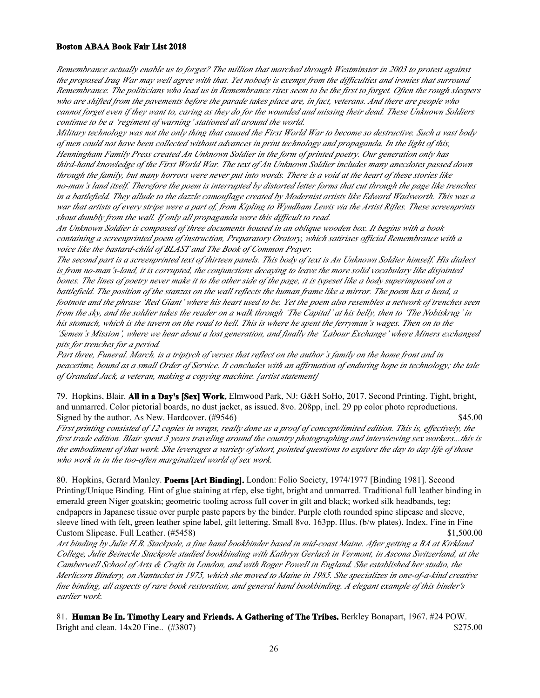*Remembrance actually enable us to forget? The million that marched through Westminster in 2003 to protest against the proposed Iraq War may well agree with that. Yet nobody is exempt from the difficulties and ironies that surround Remembrance. The politicians who lead us in Remembrance rites seem to be the first to forget. Often the rough sleepers who are shifted from the pavements before the parade takes place are, in fact, veterans. And there are people who cannot forget even if they want to, caring as they do for the wounded and missing their dead. These Unknown Soldiers continue to be a 'regiment of warning' stationed all around the world.*

*Military technology was not the only thing that caused the First World War to become so destructive. Such a vast body of men could not have been collected without advances in print technology and propaganda. In the light of this, Henningham Family Press created An Unknown Soldier in the form of printed poetry. Our generation only has third-hand knowledge of the First World War. The text of An Unknown Soldier includes many anecdotes passed down through the family, but many horrors were never put into words. There is a void at the heart of these stories like no-man's land itself. Therefore the poem is interrupted by distorted letter forms that cut through the page like trenches in a battlefield. They allude to the dazzle camouflage created by Modernist artists like Edward Wadsworth. This was a war that artists of every stripe were a part of, from Kipling to Wyndham Lewis via the Artist Rifles. These screenprints shout dumbly from the wall. If only all propaganda were this difficult to read.*

*An Unknown Soldier is composed of three documents housed in an oblique wooden box. It begins with a book containing a screenprinted poem of instruction, Preparatory Oratory, which satirises official Remembrance with a voice like the bastard-child of BLAST and The Book of Common Prayer.*

*The second part is a screenprinted text of thirteen panels. This body of text is An Unknown Soldier himself. His dialect is from no-man's-land, it is corrupted, the conjunctions decaying to leave the more solid vocabulary like disjointed bones. The lines of poetry never make it to the other side of the page, it is typeset like a body superimposed on a battlefield. The position of the stanzas on the wall reflects the human frame like a mirror. The poem has a head, a footnote and the phrase 'Red Giant' where his heart used to be. Yet the poem also resembles a network of trenches seen from the sky, and the soldier takes the reader on a walk through 'The Capital' at his belly, then to 'The Nobiskrug' in his stomach, which is the tavern on the road to hell. This is where he spent the ferryman's wages. Then on to the 'Semen's Mission', where we hear about a lost generation, and finally the 'Labour Exchange' where Miners exchanged pits for trenches for a period.*

*Part three, Funeral, March, is a triptych of verses that reflect on the author's family on the home front and in peacetime, bound as a small Order of Service. It concludes with an affirmation of enduring hope in technology; the tale of Grandad Jack, a veteran, making a copying machine. [artist statement]*

79. Hopkins, Blair. **All in a Day's [Sex] Work.** Elmwood Park, NJ: G&H SoHo, 2017. Second Printing. Tight, bright, and unmarred. Color pictorial boards, no dust jacket, as issued. 8vo. 208pp, incl. 29 pp color photo reproductions. Signed by the author. As New. Hardcover.  $(\text{\#9546})$  \$45.00 \$45.00

*First printing consisted of 12 copies in wraps, really done as a proof of concept/limited edition. This is, effectively, the first trade edition. Blair spent 3 years traveling around the country photographing and interviewing sex workers...this is the embodiment of that work. She leverages a variety of short, pointed questions to explore the day to day life of those who work in in the too-often marginalized world of sex work.*

80. Hopkins, Gerard Manley. **Poems [Art Binding].** London: Folio Society, 1974/1977 [Binding 1981]. Second Printing/Unique Binding. Hint of glue staining at rfep, else tight, bright and unmarred. Traditional full leather binding in emerald green Niger goatskin; geometric tooling across full cover in gilt and black; worked silk headbands, teg; endpapers in Japanese tissue over purple paste papers by the binder. Purple cloth rounded spine slipcase and sleeve, sleeve lined with felt, green leather spine label, gilt lettering. Small 8vo. 163pp. Illus. (b/w plates). Index. Fine in Fine Custom Slipcase. Full Leather. (#5458) \$1,500.00

*Art binding by Julie H.B. Stackpole, a fine hand bookbinder based in mid-coast Maine. After getting a BA at Kirkland College, Julie Beinecke Stackpole studied bookbinding with Kathryn Gerlach in Vermont, in Ascona Switzerland, at the Camberwell School of Arts & Crafts in London, and with Roger Powell in England. She established her studio, the Merlicorn Bindery, on Nantucket in 1975, which she moved to Maine in 1985. She specializes in one-of-a-kind creative fine binding, all aspects of rare book restoration, and general hand bookbinding. A elegant example of this binder's earlier work.*

81. **Human Be In. Timothy Leary and Friends. A Gathering of The Tribes.** Berkley Bonapart, 1967. #24 POW. Bright and clean. 14x20 Fine.. (#3807) \$275.00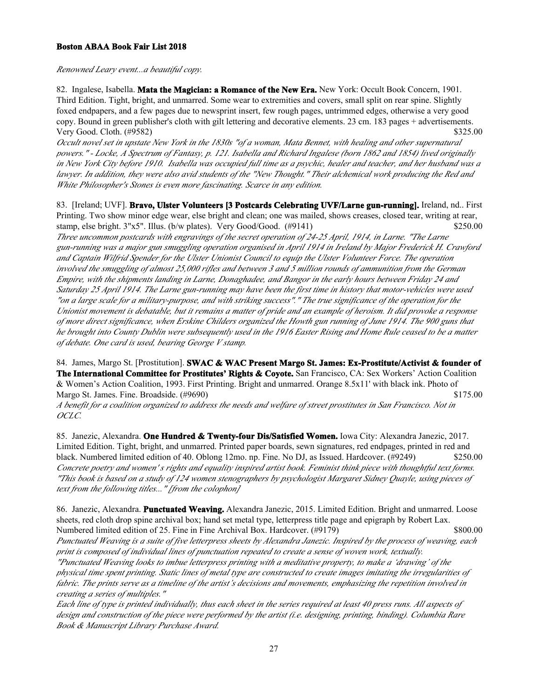*Renowned Leary event...a beautiful copy.*

82. Ingalese, Isabella. **Mata the Magician: a Romance of the New Era.** New York: Occult Book Concern, 1901. Third Edition. Tight, bright, and unmarred. Some wear to extremities and covers, small split on rear spine. Slightly foxed endpapers, and a few pages due to newsprint insert, few rough pages, untrimmed edges, otherwise a very good copy. Bound in green publisher's cloth with gilt lettering and decorative elements. 23 cm. 183 pages + advertisements. Very Good. Cloth. (#9582) \$325.00

*Occult novel set in upstate New York in the 1830s "of a woman, Mata Bennet, with healing and other supernatural powers." - Locke, A Spectrum of Fantasy, p. 121. Isabella and Richard Ingalese (born 1862 and 1854) lived originally in New York City before 1910. Isabella was occupied full time as a psychic, healer and teacher, and her husband was a lawyer. In addition, they were also avid students of the "New Thought." Their alchemical work producing the Red and White Philosopher's Stones is even more fascinating. Scarce in any edition.*

83. [Ireland; UVF]. **Bravo, Ulster Volunteers [3 Postcards Celebrating UVF/Larne gun-running].** Ireland, nd.. First Printing. Two show minor edge wear, else bright and clean; one was mailed, shows creases, closed tear, writing at rear, stamp, else bright. 3"x5". Illus. (b/w plates). Very Good/Good. (#9141) \$250.00

*Three uncommon postcards with engravings of the secret operation of 24-25 April, 1914, in Larne. "The Larne gun-running was a major gun smuggling operation organised in April 1914 in Ireland by Major Frederick H. Crawford and Captain Wilfrid Spender for the Ulster Unionist Council to equip the Ulster Volunteer Force. The operation involved the smuggling of almost 25,000 rifles and between 3 and 5 million rounds of ammunition from the German Empire, with the shipments landing in Larne, Donaghadee, and Bangor in the early hours between Friday 24 and Saturday 25 April 1914. The Larne gun-running may have been the first time in history that motor-vehicles were used "on a large scale for a military-purpose, and with striking success"." The true significance of the operation for the Unionist movement is debatable, but it remains a matter of pride and an example of heroism. It did provoke a response of more direct significance, when Erskine Childers organized the Howth gun running of June 1914. The 900 guns that he brought into County Dublin were subsequently used in the 1916 Easter Rising and Home Rule ceased to be a matter of debate. One card is used, bearing George V stamp.*

84. James, Margo St. [Prostitution]. **SWAC & WAC Present Margo St. James: Ex-Prostitute/Activist & founder of The International Committee for Prostitutes' Rights & Coyote.** San Francisco, CA: Sex Workers' Action Coalition & Women's Action Coalition, 1993. First Printing. Bright and unmarred. Orange 8.5x11' with black ink. Photo of Margo St. James. Fine. Broadside. (#9690) \$175.00 *A benefit for a coalition organized to address the needs and welfare of street prostitutes in San Francisco. Not in*

*OCLC.*

85. Janezic, Alexandra. **One Hundred & Twenty-four Dis/Satisfied Women.** Iowa City: Alexandra Janezic, 2017. Limited Edition. Tight, bright, and unmarred. Printed paper boards, sewn signatures, red endpages, printed in red and black. Numbered limited edition of 40. Oblong 12mo. np. Fine. No DJ, as Issued. Hardcover. (#9249) \$250.00 *Concrete poetry and women' s rights and equality inspired artist book. Feminist think piece with thoughtful text forms. "This book is based on a study of 124 women stenographers by psychologist Margaret Sidney Quayle, using pieces of text from the following titles..." [from the colophon]*

86. Janezic, Alexandra. **Punctuated Weaving.** Alexandra Janezic, 2015. Limited Edition. Bright and unmarred. Loose sheets, red cloth drop spine archival box; hand set metal type, letterpress title page and epigraph by Robert Lax. Numbered limited edition of 25. Fine in Fine Archival Box. Hardcover. (#9179) \$800.00

*Punctuated Weaving is a suite of five letterpress sheets by Alexandra Janezic. Inspired by the process of weaving, each print is composed of individual lines of punctuation repeated to create a sense of woven work, textually. "Punctuated Weaving looks to imbue letterpress printing with a meditative property, to make a 'drawing' of the physical time spent printing. Static lines of metal type are constructed to create images imitating the irregularities of fabric. The prints serve as a timeline of the artist's decisions and movements, emphasizing the repetition involved in creating a series of multiples."*

*Each line of type is printed individually, thus each sheet in the series required at least 40 press runs. All aspects of design and construction of the piece were performed by the artist (i.e. designing, printing, binding). Columbia Rare Book & Manuscript Library Purchase Award.*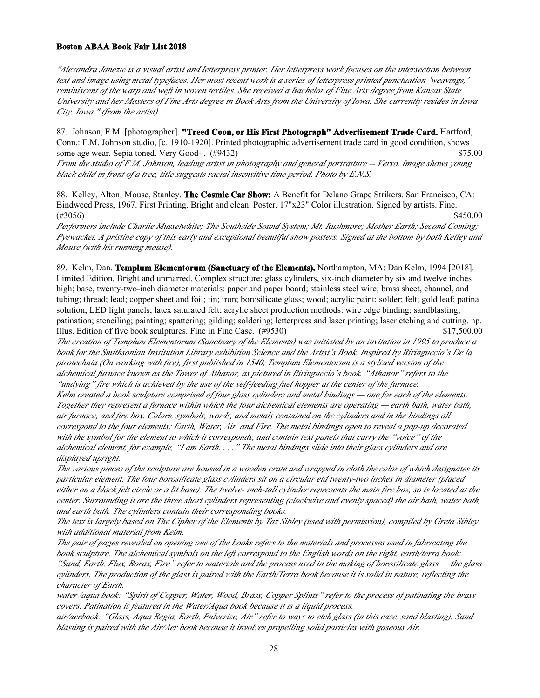*"Alexandra Janezic is a visual artist and letterpress printer. Her letterpress work focuses on the intersection between text and image using metal typefaces. Her most recent work is a series of letterpress printed punctuation 'weavings,' reminiscent of the warp and weft in woven textiles. She received a Bachelor of Fine Arts degree from Kansas State University and her Masters of Fine Arts degree in Book Arts from the University of Iowa. She currently resides in Iowa City, Iowa." (from the artist)*

87. Johnson, F.M. [photographer]. **"Treed Coon, or His First Photograph" Advertisement Trade Card.** Hartford, Conn.: F.M. Johnson studio, [c. 1910-1920]. Printed photographic advertisement trade card in good condition, shows some age wear. Sepia toned. Very Good+. (#9432) \$75.00

*From the studio of F.M. Johnson, leading artist in photography and general portraiture -- Verso. Image shows young black child in front of a tree, title suggests racial insensitive time period. Photo by E.N.S.*

88. Kelley, Alton; Mouse, Stanley. **The Cosmic Car Show:** A Benefit for Delano Grape Strikers. San Francisco, CA: Bindweed Press, 1967. First Printing. Bright and clean. Poster. 17"x23" Color illustration. Signed by artists. Fine. (#3056) \$450.00

*Performers include Charlie Musselwhite; The Southside Sound System; Mt. Rushmore; Mother Earth; Second Coming; Pyewacket. A pristine copy of this early and exceptional beautiful show posters. Signed at the bottom by both Kelley and Mouse (with his running mouse).*

89. Kelm, Dan. **Templum Elementorum (Sanctuary of the Elements).** Northampton, MA: Dan Kelm, 1994 [2018]. Limited Edition. Bright and unmarred. Complex structure: glass cylinders, six-inch diameter by six and twelve inches high; base, twenty-two-inch diameter materials: paper and paper board; stainless steel wire; brass sheet, channel, and tubing; thread; lead; copper sheet and foil; tin; iron; borosilicate glass; wood; acrylic paint; solder; felt; gold leaf; patina solution; LED light panels; latex saturated felt; acrylic sheet production methods: wire edge binding; sandblasting; patination; stenciling; painting; spattering; gilding; soldering; letterpress and laser printing; laser etching and cutting. np. Illus. Edition of five book sculptures. Fine in Fine Case. (#9530) \$17,500.00

*The creation of Templum Elementorum (Sanctuary of the Elements) was initiated by an invitation in 1995 to produce a book for the Smithsonian Institution Library exhibition Science and the Artist's Book. Inspired by Biringuccio's De la pirotechnia (On working with fire), first published in 1540, Templum Elementorum is a stylized version of the alchemical furnace known as the Tower of Athanor, as pictured in Biringuccio's book. "Athanor" refers to the "undying" fire which is achieved by the use of the self-feeding fuel hopper at the center of the furnace.*

*Kelm created a book sculpture comprised of four glass cylinders and metal bindings — one for each of the elements. Together they represent a furnace within which the four alchemical elements are operating — earth bath, water bath, air furnace, and fire box. Colors, symbols, words, and metals contained on the cylinders and in the bindings all correspond to the four elements: Earth, Water, Air, and Fire. The metal bindings open to reveal a pop-up decorated with the symbol for the element to which it corresponds, and contain text panels that carry the "voice" of the alchemical element, for example, "I am Earth. . . ." The metal bindings slide into their glass cylinders and are displayed upright.*

*The various pieces of the sculpture are housed in a wooden crate and wrapped in cloth the color of which designates its particular element. The four borosilicate glass cylinders sit on a circular eld twenty-two inches in diameter (placed either on a black felt circle or a lit base). The twelve- inch-tall cylinder represents the main fire box, so is located at the center. Surrounding it are the three short cylinders representing (clockwise and evenly spaced) the air bath, water bath, and earth bath. The cylinders contain their corresponding books.*

*The text is largely based on The Cipher of the Elements by Taz Sibley (used with permission), compiled by Greta Sibley with additional material from Kelm.*

*The pair of pages revealed on opening one of the books refers to the materials and processes used in fabricating the book sculpture. The alchemical symbols on the left correspond to the English words on the right. earth/terra book: "Sand, Earth, Flux, Borax, Fire" refer to materials and the process used in the making of borosilicate glass — the glass cylinders. The production of the glass is paired with the Earth/Terra book because it is solid in nature, reflecting the character of Earth.*

*water /aqua book: "Spirit of Copper, Water, Wood, Brass, Copper Splints" refer to the process of patinating the brass covers. Patination is featured in the Water/Aqua book because it is a liquid process.*

*air/aerbook: "Glass, Aqua Regia, Earth, Pulverize, Air" refer to ways to etch glass (in this case, sand blasting). Sand blasting is paired with the Air/Aer book because it involves propelling solid particles with gaseous Air.*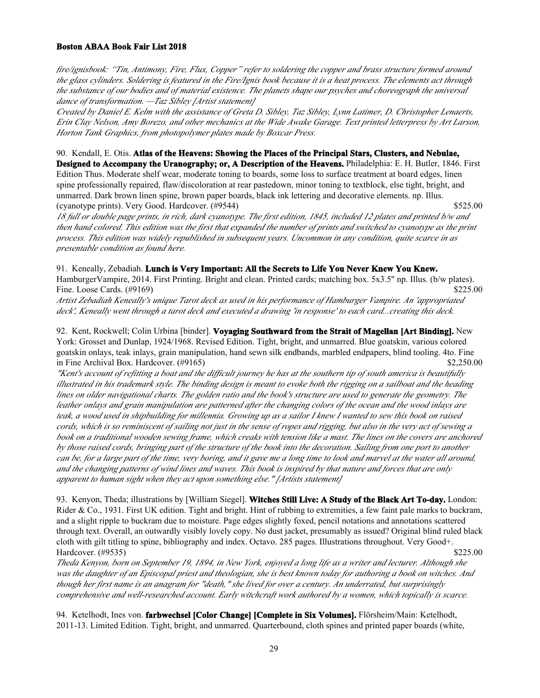*fire/ignisbook: "Tin, Antimony, Fire, Flux, Copper" refer to soldering the copper and brass structure formed around the glass cylinders. Soldering is featured in the Fire/Ignis book because it is a heat process. The elements act through the substance of our bodies and of material existence. The planets shape our psyches and choreograph the universal dance of transformation. —Taz Sibley [Artist statement]*

*Created by Daniel E. Kelm with the assistance of Greta D. Sibley, Taz Sibley, Lynn Latimer, D. Christopher Lenaerts, Erin Clay Nelson, Amy Borezo, and other mechanics at the Wide Awake Garage. Text printed letterpress by Art Larson, Horton Tank Graphics, from photopolymer plates made by Boxcar Press.*

# 90. Kendall, E. Otis. **Atlas of the Heavens: Showing the Places of the Principal Stars, Clusters, and Nebulae,**

**Designed to Accompany the Uranography; or, A Description of the Heavens.** Philadelphia: E. H. Butler, 1846. First Edition Thus. Moderate shelf wear, moderate toning to boards, some loss to surface treatment at board edges, linen spine professionally repaired, flaw/discoloration at rear pastedown, minor toning to textblock, else tight, bright, and unmarred. Dark brown linen spine, brown paper boards, black ink lettering and decorative elements. np. Illus. (cyanotype prints). Very Good. Hardcover. (#9544) \$525.00

*18 full or double page prints, in rich, dark cyanotype. The first edition, 1845, included 12 plates and printed b/w and then hand colored. This edition was the first that expanded the number of prints and switched to cyanotype as the print process. This edition was widely republished in subsequent years. Uncommon in any condition, quite scarce in as presentable condition as found here.*

91. Keneally, Zebadiah. **Lunch is Very Important: All the Secrets to Life You Never Knew You Knew.** HamburgerVampire, 2014. First Printing. Bright and clean. Printed cards; matching box. 5x3.5" np. Illus. (b/w plates). Fine. Loose Cards. (#9169) \$225.00

*Artist Zebadiah Keneally's unique Tarot deck as used in his performance of Hamburger Vampire. An 'appropriated deck', Keneally went through a tarot deck and executed a drawing 'in response' to each card...creating this deck.*

92. Kent, Rockwell; Colin Urbina [binder]. **Voyaging Southward from the Strait of Magellan [Art Binding].** New York: Grosset and Dunlap, 1924/1968. Revised Edition. Tight, bright, and unmarred. Blue goatskin, various colored goatskin onlays, teak inlays, grain manipulation, hand sewn silk endbands, marbled endpapers, blind tooling. 4to. Fine in Fine Archival Box. Hardcover. (#9165)  $$2,250.00$ 

*"Kent's account of refitting a boat and the difficult journey he has at the southern tip of south america is beautifully illustrated in his trademark style. The binding design is meant to evoke both the rigging on a sailboat and the heading lines on older navigational charts. The golden ratio and the book's structure are used to generate the geometry. The leather onlays and grain manipulation are patterned after the changing colors of the ocean and the wood inlays are teak, a wood used in shipbuilding for millennia. Growing up as a sailor I knew I wanted to sew this book on raised cords, which is so reminiscent of sailing not just in the sense of ropes and rigging, but also in the very act of sewing a book on a traditional wooden sewing frame, which creaks with tension like a mast. The lines on the covers are anchored by those raised cords, bringing part of the structure of the book into the decoration. Sailing from one port to another can be, for a large part of the time, very boring, and it gave me a long time to look and marvel at the water all around, and the changing patterns of wind lines and waves. This book is inspired by that nature and forces that are only apparent to human sight when they act upon something else." [Artists statement]*

93. Kenyon, Theda; illustrations by [William Siegel]. **Witches Still Live: A Study of the Black Art To-day.** London: Rider & Co., 1931. First UK edition. Tight and bright. Hint of rubbing to extremities, a few faint pale marks to buckram, and a slight ripple to buckram due to moisture. Page edges slightly foxed, pencil notations and annotations scattered through text. Overall, an outwardly visibly lovely copy. No dust jacket, presumably as issued? Original blind ruled black cloth with gilt titling to spine, bibliography and index. Octavo. 285 pages. Illustrations throughout. Very Good+. Hardcover. (#9535) \$225.00

*Theda Kenyon, born on September 19, 1894, in New York, enjoyed a long life as a writer and lecturer. Although she was the daughter of an Episcopal priest and theologian, she is best known today for authoring a book on witches. And though her first name is an anagram for "death," she lived for over a century. An underrated, but surprisingly comprehensive and well-researched account. Early witchcraft work authored by a women, which topically is scarce.*

94. Ketelhodt, Ines von. **farbwechsel [Color Change] [Complete in Six Volumes].** Flörsheim/Main: Ketelhodt, 2011-13. Limited Edition. Tight, bright, and unmarred. Quarterbound, cloth spines and printed paper boards (white,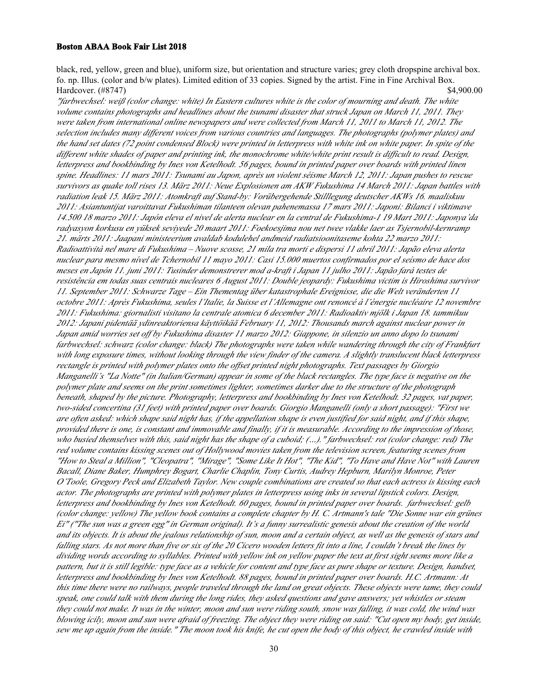black, red, yellow, green and blue), uniform size, but orientation and structure varies; grey cloth dropspine archival box. fo. np. Illus. (color and b/w plates). Limited edition of 33 copies. Signed by the artist. Fine in Fine Archival Box. Hardcover. (#8747) \$4,900.00

*"farbwechsel: weiß (color change: white) In Eastern cultures white is the color of mourning and death. The white volume contains photographs and headlines about the tsunami disaster that struck Japan on March 11, 2011. They were taken from international online newspapers and were collected from March 11, 2011 to March 11, 2012. The selection includes many different voices from various countries and languages. The photographs (polymer plates) and the hand set dates (72 point condensed Block) were printed in letterpress with white ink on white paper. In spite of the different white shades of paper and printing ink, the monochrome white/white print result is difficult to read. Design, letterpress and bookbinding by Ines von Ketelhodt. 56 pages, bound in printed paper over boards with printed linen spine. Headlines: 11 mars 2011: Tsunami au Japon, après un violent séisme March 12, 2011: Japan pushes to rescue survivors as quake toll rises 13. März 2011: Neue Explosionen am AKW Fukushima 14 March 2011: Japan battles with radiation leak 15. März 2011: Atomkraft auf Stand-by: Vorübergehende Stilllegung deutscher AKWs 16. maaliskuu 2011: Asiantuntijat varoittavat Fukushiman tilanteen olevan pahenemassa 17 mars 2011: Japoni: Bilanci i viktimave 14.500 18 marzo 2011: Japón eleva el nivel de alerta nuclear en la central de Fukushima-1 19 Mart 2011: Japonya'da radyasyon korkusu en yüksek seviyede 20 maart 2011: Foekoesjima nou net twee vlakke laer as Tsjernobil-kernramp 21. märts 2011: Jaapani ministeerium avaldab kodulehel andmeid radiatsioonitaseme kohta 22 marzo 2011: Radioattività nel mare di Fukushima – Nuove scosse, 21 mila tra morti e dispersi 11 abril 2011: Japão eleva alerta nuclear para mesmo nível de Tchernobil 11 mayo 2011: Casi 15.000 muertos confirmados por el seísmo de hace dos meses en Japón 11. juni 2011: Tusinder demonstrerer mod a-kraft i Japan 11 julho 2011: Japão fará testes de resistência em todas suas centrais nucleares 6 August 2011: Double jeopardy: Fukushima victim is Hiroshima survivor 11. September 2011: Schwarze Tage – Ein Thementag über katastrophale Ereignisse, die die Welt veränderten 11 octobre 2011: Après Fukushima, seules l'Italie, la Suisse et l'Allemagne ont renoncé à l'énergie nucléaire 12 novembre 2011: Fukushima: giornalisti visitano la centrale atomica 6 december 2011: Radioaktiv mjölk i Japan 18. tammikuu 2012: Japani pidentää ydinreaktoriensa käyttöikää February 11, 2012: Thousands march against nuclear power in Japan amid worries set off by Fukushima disaster 11 marzo 2012: Giappone, in silenzio un anno dopo lo tsunami farbwechsel: schwarz (color change: black) The photographs were taken while wandering through the city of Frankfurt with long exposure times, without looking through the view finder of the camera. A slightly translucent black letterpress rectangle is printed with polymer plates onto the offset printed night photographs. Text passages by Giorgio Manganelli's "La Notte" (in Italian/German) appear in some of the black rectangles. The type face is negative on the polymer plate and seems on the print sometimes lighter, sometimes darker due to the structure of the photograph beneath, shaped by the picture. Photography, letterpress and bookbinding by Ines von Ketelhodt. 32 pages, vat paper, two-sided concertina (31 feet) with printed paper over boards. Giorgio Manganelli (only a short passage): "First we are often asked: which shape said night has, if the appellation shape is even justified for said night, and if this shape, provided there is one, is constant and immovable and finally, if it is measurable. According to the impression of those, who busied themselves with this, said night has the shape of a cuboid; (…)." farbwechsel: rot (color change: red) The red volume contains kissing scenes out of Hollywood movies taken from the television screen, featuring scenes from "How to Steal a Million", "Cleopatra", "Mirage", "Some Like It Hot", "The Kid", "To Have and Have Not" with Lauren Bacall, Diane Baker, Humphrey Bogart, Charlie Chaplin, Tony Curtis, Audrey Hepburn, Marilyn Monroe, Peter O'Toole, Gregory Peck and Elizabeth Taylor. New couple combinations are created so that each actress is kissing each actor. The photographs are printed with polymer plates in letterpress using inks in several lipstick colors. Design, letterpress and bookbinding by Ines von Ketelhodt. 60 pages, bound in printed paper over boards. farbwechsel: gelb (color change: yellow) The yellow book contains a complete chapter by H. C. Artmann's tale "Die Sonne war ein grünes Ei" ("The sun was a green egg" in German original). It's a funny surrealistic genesis about the creation of the world and its objects. It is about the jealous relationship of sun, moon and a certain object, as well as the genesis of stars and falling stars. As not more than five or six of the 20 Cicero wooden letters fit into a line, I couldn't break the lines by dividing words according to syllables. Printed with yellow ink on yellow paper the text at first sight seems more like a pattern, but it is still legible: type face as a vehicle for content and type face as pure shape or texture. Design, handset, letterpress and bookbinding by Ines von Ketelhodt. 88 pages, bound in printed paper over boards. H.C. Artmann: At this time there were no railways, people traveled through the land on great objects. These objects were tame, they could speak, one could talk with them during the long rides, they asked questions and gave answers; yet whistles or steam they could not make. It was in the winter, moon and sun were riding south, snow was falling, it was cold, the wind was blowing icily, moon and sun were afraid of freezing. The object they were riding on said: "Cut open my body, get inside, sew me up again from the inside." The moon took his knife, he cut open the body of this object, he crawled inside with*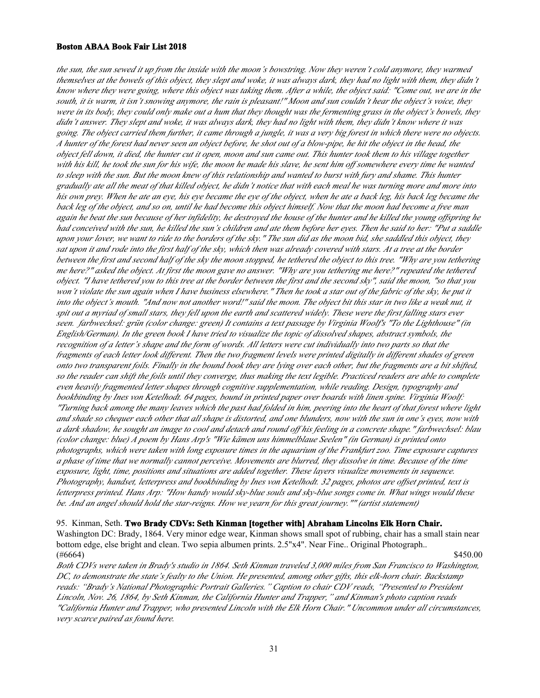*the sun, the sun sewed it up from the inside with the moon's bowstring. Now they weren't cold anymore, they warmed themselves at the bowels of this object, they slept and woke, it was always dark, they had no light with them, they didn't know where they were going, where this object was taking them. After a while, the object said: "Come out, we are in the south, it is warm, it isn't snowing anymore, the rain is pleasant!" Moon and sun couldn't hear the object's voice, they were in its body, they could only make out a hum that they thought was the fermenting grass in the object's bowels, they didn't answer. They slept and woke, it was always dark, they had no light with them, they didn't know where it was going. The object carried them further, it came through a jungle, it was a very big forest in which there were no objects. A hunter of the forest had never seen an object before, he shot out of a blow-pipe, he hit the object in the head, the object fell down, it died, the hunter cut it open, moon and sun came out. This hunter took them to his village together with his kill, he took the sun for his wife, the moon he made his slave, he sent him off somewhere every time he wanted to sleep with the sun. But the moon knew of this relationship and wanted to burst with fury and shame. This hunter gradually ate all the meat of that killed object, he didn't notice that with each meal he was turning more and more into his own prey. When he ate an eye, his eye became the eye of the object, when he ate a back leg, his back leg became the back leg of the object, and so on, until he had become this object himself. Now that the moon had become a free man again he beat the sun because of her infidelity, he destroyed the house of the hunter and he killed the young offspring he had conceived with the sun, he killed the sun's children and ate them before her eyes. Then he said to her: "Put a saddle upon your lover, we want to ride to the borders of the sky." The sun did as the moon bid, she saddled this object, they sat upon it and rode into the first half of the sky, which then was already covered with stars. At a tree at the border between the first and second half of the sky the moon stopped, he tethered the object to this tree. "Why are you tethering me here?" asked the object. At first the moon gave no answer. "Why are you tethering me here?" repeated the tethered object. "I have tethered you to this tree at the border between the first and the second sky", said the moon, "so that you won't violate the sun again when I have business elsewhere." Then he took a star out of the fabric of the sky, he put it into the object's mouth. "And now not another word!" said the moon. The object bit this star in two like a weak nut, it spit out a myriad of small stars, they fell upon the earth and scattered widely. These were the first falling stars ever seen. farbwechsel: grün (color change: green) It contains a text passage by Virginia Woolf's "To the Lighthouse" (in English/German). In the green book I have tried to visualize the topic of dissolved shapes, abstract symbols, the recognition of a letter's shape and the form of words. All letters were cut individually into two parts so that the fragments of each letter look different. Then the two fragment levels were printed digitally in different shades of green onto two transparent foils. Finally in the bound book they are lying over each other, but the fragments are a bit shifted, so the reader can shift the foils until they converge, thus making the text legible. Practiced readers are able to complete even heavily fragmented letter shapes through cognitive supplementation, while reading. Design, typography and bookbinding by Ines von Ketelhodt. 64 pages, bound in printed paper over boards with linen spine. Virginia Woolf: "Turning back among the many leaves which the past had folded in him, peering into the heart of that forest where light and shade so chequer each other that all shape is distorted, and one blunders, now with the sun in one's eyes, now with a dark shadow, he sought an image to cool and detach and round off his feeling in a concrete shape." farbwechsel: blau (color change: blue) A poem by Hans Arp's "Wie kämen uns himmelblaue Seelen" (in German) is printed onto photographs, which were taken with long exposure times in the aquarium of the Frankfurt zoo. Time exposure captures a phase of time that we normally cannot perceive. Movements are blurred, they dissolve in time. Because of the time exposure, light, time, positions and situations are added together. These layers visualize movements in sequence. Photography, handset, letterpress and bookbinding by Ines von Ketelhodt. 32 pages, photos are offset printed, text is letterpress printed. Hans Arp: "How handy would sky-blue souls and sky-blue songs come in. What wings would these be. And an angel should hold the star-reigns. How we yearn for this great journey."" (artist statement)*

95. Kinman, Seth. **Two Brady CDVs: Seth Kinman [together with] Abraham Lincolns Elk Horn Chair.**

Washington DC: Brady, 1864. Very minor edge wear, Kinman shows small spot of rubbing, chair has a small stain near bottom edge, else bright and clean. Two sepia albumen prints. 2.5"x4". Near Fine.. Original Photograph.. (#6664) \$450.00

*Both CDVs were taken in Brady's studio in 1864. Seth Kinman traveled 3,000 miles from San Francisco to Washington, DC, to demonstrate the state's fealty to the Union. He presented, among other gifts, this elk-horn chair. Backstamp reads: "Brady's National Photographic Portrait Galleries." Caption to chair CDV reads, "Presented to President Lincoln, Nov. 26, 1864, by Seth Kinman, the California Hunter and Trapper," and Kinman's photo caption reads "California Hunter and Trapper, who presented Lincoln with the Elk Horn Chair." Uncommon under all circumstances, very scarce paired as found here.*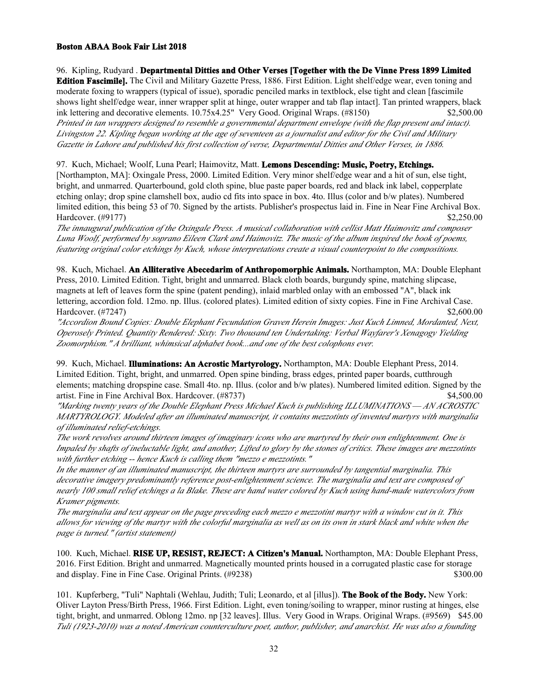96. Kipling, Rudyard . **Departmental Ditties and Other Verses [Together with the De Vinne Press 1899 Limited Edition Fascimile].** The Civil and Military Gazette Press, 1886. First Edition. Light shelf/edge wear, even toning and moderate foxing to wrappers (typical of issue), sporadic penciled marks in textblock, else tight and clean [fascimile shows light shelf/edge wear, inner wrapper split at hinge, outer wrapper and tab flap intact]. Tan printed wrappers, black ink lettering and decorative elements. 10.75x4.25" Very Good. Original Wraps. (#8150) \$2,500.00 *Printed in tan wrappers designed to resemble a governmental department envelope (with the flap present and intact). Livingston 22. Kipling began working at the age of seventeen as a journalist and editor for the Civil and Military Gazette in Lahore and published his first collection of verse, Departmental Ditties and Other Verses, in 1886.*

97. Kuch, Michael; Woolf, Luna Pearl; Haimovitz, Matt. **Lemons Descending: Music, Poetry, Etchings.**

[Northampton, MA]: Oxingale Press, 2000. Limited Edition. Very minor shelf/edge wear and a hit of sun, else tight, bright, and unmarred. Quarterbound, gold cloth spine, blue paste paper boards, red and black ink label, copperplate etching onlay; drop spine clamshell box, audio cd fits into space in box. 4to. Illus (color and b/w plates). Numbered limited edition, this being 53 of 70. Signed by the artists. Publisher's prospectus laid in. Fine in Near Fine Archival Box. Hardcover. (#9177) \$2,250.00

*The innaugural publication of the Oxingale Press. A musical collaboration with cellist Matt Haimovitz and composer Luna Woolf, performed by soprano Eileen Clark and Haimovitz. The music of the album inspired the book of poems, featuring original color etchings by Kuch, whose interpretations create a visual counterpoint to the compositions.*

98. Kuch, Michael. **An Alliterative Abecedarim of Anthropomorphic Animals.** Northampton, MA: Double Elephant Press, 2010. Limited Edition. Tight, bright and unmarred. Black cloth boards, burgundy spine, matching slipcase, magnets at left of leaves form the spine (patent pending), inlaid marbled onlay with an embossed "A", black ink lettering, accordion fold. 12mo. np. Illus. (colored plates). Limited edition of sixty copies. Fine in Fine Archival Case. Hardcover. (#7247) \$2,600.00

*"Accordion Bound Copies: Double Elephant Fecundation Graven Herein Images: Just Kuch Limned, Mordanted, Next, Operosely Printed. Quantity Rendered: Sixty. Two thousand ten Undertaking: Verbal Wayfarer's Xenagogy Yielding Zoomorphism." A brilliant, whimsical alphabet book...and one of the best colophons ever.*

99. Kuch, Michael. **Illuminations: An Acrostic Martyrology.** Northampton, MA: Double Elephant Press, 2014. Limited Edition. Tight, bright, and unmarred. Open spine binding, brass edges, printed paper boards, cutthrough elements; matching dropspine case. Small 4to. np. Illus. (color and b/w plates). Numbered limited edition. Signed by the artist. Fine in Fine Archival Box. Hardcover. (#8737) \$4,500.00

*"Marking twenty years of the Double Elephant Press Michael Kuch is publishing ILLUMINATIONS –– AN ACROSTIC MARTYROLOGY. Modeled after an illuminated manuscript, it contains mezzotints of invented martyrs with marginalia of illuminated relief-etchings.*

*The work revolves around thirteen images of imaginary icons who are martyred by their own enlightenment. One is Impaled by shafts of ineluctable light, and another, Lifted to glory by the stones of critics. These images are mezzotints with further etching -- hence Kuch is calling them "mezzo e mezzotints."*

*In the manner of an illuminated manuscript, the thirteen martyrs are surrounded by tangential marginalia. This decorative imagery predominantly reference post-enlightenment science. The marginalia and text are composed of nearly 100 small relief etchings a la Blake. These are hand water colored by Kuch using hand-made watercolors from Kramer pigments.*

*The marginalia and text appear on the page preceding each mezzo e mezzotint martyr with a window cut in it. This allows for viewing of the martyr with the colorful marginalia as well as on its own in stark black and white when the page is turned." (artist statement)*

100. Kuch, Michael. **RISE UP, RESIST, REJECT: A Citizen's Manual.** Northampton, MA: Double Elephant Press, 2016. First Edition. Bright and unmarred. Magnetically mounted prints housed in a corrugated plastic case for storage and display. Fine in Fine Case. Original Prints. (#9238) \$300.00

101. Kupferberg, "Tuli" Naphtali (Wehlau, Judith; Tuli; Leonardo, et al [illus]). **The Book of the Body.** New York: Oliver Layton Press/Birth Press, 1966. First Edition. Light, even toning/soiling to wrapper, minor rusting at hinges, else tight, bright, and unmarred. Oblong 12mo. np [32 leaves]. Illus. Very Good in Wraps. Original Wraps. (#9569) \$45.00 *Tuli (1923-2010) was a noted American counterculture poet, author, publisher, and anarchist. He was also a founding*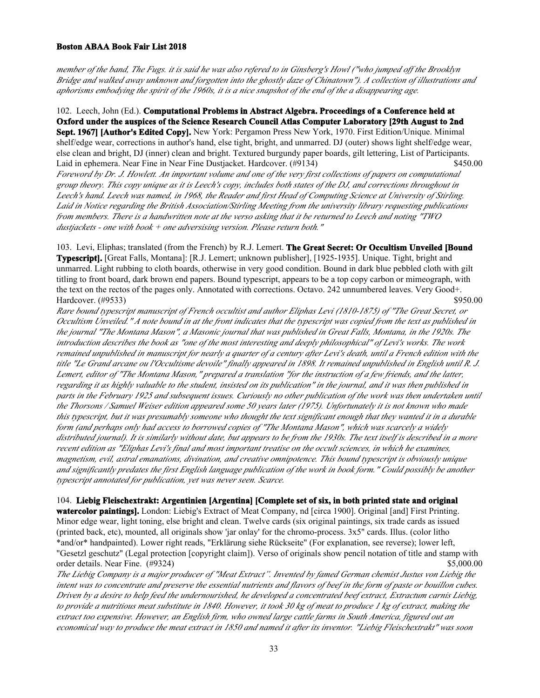*member of the band, The Fugs. it is said he was also refered to in Ginsberg's Howl ("who jumped off the Brooklyn Bridge and walked away unknown and forgotten into the ghostly daze of Chinatown"). A collection of illustrations and aphorisms embodying the spirit of the 1960s, it is a nice snapshot of the end of the a disappearing age.*

# 102. Leech, John (Ed.). **Computational Problems in Abstract Algebra. Proceedings of a Conference held at Oxford under the auspices of the Science Research Council Atlas Computer Laboratory [29th August to 2nd**

**Sept. 1967] [Author's Edited Copy].** New York: Pergamon Press New York, 1970. First Edition/Unique. Minimal shelf/edge wear, corrections in author's hand, else tight, bright, and unmarred. DJ (outer) shows light shelf/edge wear, else clean and bright, DJ (inner) clean and bright. Textured burgundy paper boards, gilt lettering, List of Participants. Laid in ephemera. Near Fine in Near Fine Dustjacket. Hardcover. (#9134) \$450.00

*Foreword by Dr. J. Howlett. An important volume and one of the very first collections of papers on computational group theory. This copy unique as it is Leech's copy, includes both states of the DJ, and corrections throughout in Leech's hand. Leech was named, in 1968, the Reader and first Head of Computing Science at University of Stirling. Laid in Notice regarding the British Association/Stirling Meeting from the university library requesting publications from members. There is a handwritten note at the verso asking that it be returned to Leech and noting "TWO dustjackets - one with book + one adversising version. Please return both."*

103. Levi, Eliphas; translated (from the French) by R.J. Lemert. **The Great Secret: Or Occultism Unveiled [Bound Typescript].** [Great Falls, Montana]: [R.J. Lemert; unknown publisher], [1925-1935]. Unique. Tight, bright and unmarred. Light rubbing to cloth boards, otherwise in very good condition. Bound in dark blue pebbled cloth with gilt titling to front board, dark brown end papers. Bound typescript, appears to be a top copy carbon or mimeograph, with the text on the rectos of the pages only. Annotated with corrections. Octavo. 242 unnumbered leaves. Very Good+. Hardcover. (#9533) \$950.00

*Rare bound typescript manuscript of French occultist and author Eliphas Levi (1810-1875) of "The Great Secret, or Occultism Unveiled." A note bound in at the front indicates that the typescript was copied from the text as published in the journal "The Montana Mason", a Masonic journal that was published in Great Falls, Montana, in the 1920s. The introduction describes the book as "one of the most interesting and deeply philosophical" of Levi's works. The work remained unpublished in manuscript for nearly a quarter of a century after Levi's death, until a French edition with the title "Le Grand arcane ou l'Occultisme devoile" finally appeared in 1898. It remained unpublished in English until R. J. Lemert, editor of "The Montana Mason," prepared a translation "for the instruction of a few friends, and the latter, regarding it as highly valuable to the student, insisted on its publication" in the journal, and it was then published in parts in the February 1925 and subsequent issues. Curiously no other publication of the work was then undertaken until the Thorsons / Samuel Weiser edition appeared some 50 years later (1975). Unfortunately it is not known who made this typescript, but it was presumably someone who thought the text significant enough that they wanted it in a durable form (and perhaps only had access to borrowed copies of "The Montana Mason", which was scarcely a widely distributed journal). It is similarly without date, but appears to be from the 1930s. The text itself is described in a more recent edition as "Eliphas Levi's final and most important treatise on the occult sciences, in which he examines, magnetism, evil, astral emanations, divination, and creative omnipotence. This bound typescript is obviously unique and significantly predates the first English language publication of the work in book form." Could possibly be another typescript annotated for publication, yet was never seen. Scarce.*

104. **Liebig Fleischextrakt: Argentinien [Argentina] [Complete set of six, in both printed state and original watercolor paintings].** London: Liebig's Extract of Meat Company, nd [circa 1900]. Original [and] First Printing. Minor edge wear, light toning, else bright and clean. Twelve cards (six original paintings, six trade cards as issued (printed back, etc), mounted, all originals show 'jar onlay' for the chromo-process. 3x5" cards. Illus. (color litho \*and/or\* handpainted). Lower right reads, "Erklärung siehe Rückseite" (For explanation, see reverse); lower left, "Gesetzl geschutz" (Legal protection [copyright claim]). Verso of originals show pencil notation of title and stamp with order details. Near Fine. (#9324) \$5,000.00

*The Liebig Company is a major producer of "Meat Extract". Invented by famed German chemist Justus von Liebig the intent was to concentrate and preserve the essential nutrients and flavors of beef in the form of paste or bouillon cubes. Driven by a desire to help feed the undernourished, he developed a concentrated beef extract, Extractum carnis Liebig, to provide a nutritious meat substitute in 1840. However, it took 30 kg of meat to produce 1 kg of extract, making the extract too expensive. However, an English firm, who owned large cattle farms in South America, figured out an economical way to produce the meat extract in 1850 and named it after its inventor. "Liebig Fleischextrakt" was soon*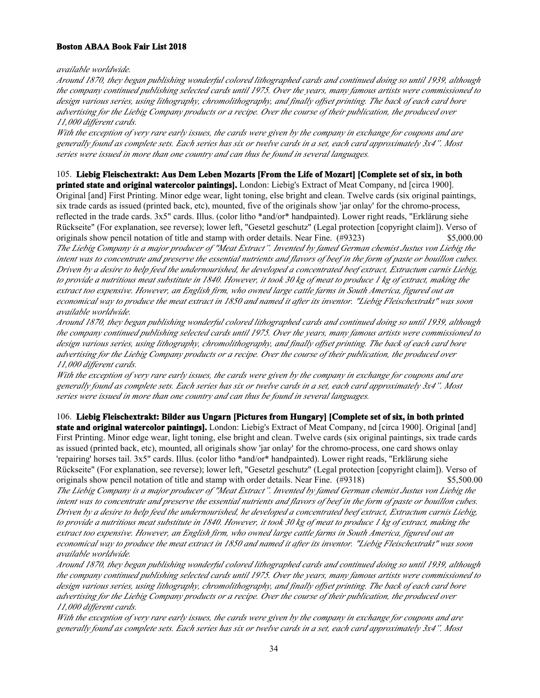*available worldwide.*

*Around 1870, they began publishing wonderful colored lithographed cards and continued doing so until 1939, although the company continued publishing selected cards until 1975. Over the years, many famous artists were commissioned to design various series, using lithography, chromolithography, and finally offset printing. The back of each card bore advertising for the Liebig Company products or a recipe. Over the course of their publication, the produced over 11,000 different cards.*

*With the exception of very rare early issues, the cards were given by the company in exchange for coupons and are generally found as complete sets. Each series has six or twelve cards in a set, each card approximately 3x4". Most series were issued in more than one country and can thus be found in several languages.*

## 105. **Liebig Fleischextrakt: Aus Dem Leben Mozarts [From the Life of Mozart] [Complete set of six, in both**

**printed state and original watercolor paintings].** London: Liebig's Extract of Meat Company, nd [circa 1900]. Original [and] First Printing. Minor edge wear, light toning, else bright and clean. Twelve cards (six original paintings, six trade cards as issued (printed back, etc), mounted, five of the originals show 'jar onlay' for the chromo-process, reflected in the trade cards. 3x5" cards. Illus. (color litho \*and/or\* handpainted). Lower right reads, "Erklärung siehe Rückseite" (For explanation, see reverse); lower left, "Gesetzl geschutz" (Legal protection [copyright claim]). Verso of originals show pencil notation of title and stamp with order details. Near Fine. (#9323) \$5,000.00

*The Liebig Company is a major producer of "Meat Extract". Invented by famed German chemist Justus von Liebig the intent was to concentrate and preserve the essential nutrients and flavors of beef in the form of paste or bouillon cubes. Driven by a desire to help feed the undernourished, he developed a concentrated beef extract, Extractum carnis Liebig, to provide a nutritious meat substitute in 1840. However, it took 30 kg of meat to produce 1 kg of extract, making the extract too expensive. However, an English firm, who owned large cattle farms in South America, figured out an economical way to produce the meat extract in 1850 and named it after its inventor. "Liebig Fleischextrakt" was soon available worldwide.*

*Around 1870, they began publishing wonderful colored lithographed cards and continued doing so until 1939, although the company continued publishing selected cards until 1975. Over the years, many famous artists were commissioned to design various series, using lithography, chromolithography, and finally offset printing. The back of each card bore advertising for the Liebig Company products or a recipe. Over the course of their publication, the produced over 11,000 different cards.*

*With the exception of very rare early issues, the cards were given by the company in exchange for coupons and are generally found as complete sets. Each series has six or twelve cards in a set, each card approximately 3x4". Most series were issued in more than one country and can thus be found in several languages.*

106. **Liebig Fleischextrakt: Bilder aus Ungarn [Pictures from Hungary] [Complete set of six, in both printed state and original watercolor paintings].** London: Liebig's Extract of Meat Company, nd [circa 1900]. Original [and] First Printing. Minor edge wear, light toning, else bright and clean. Twelve cards (six original paintings, six trade cards as issued (printed back, etc), mounted, all originals show 'jar onlay' for the chromo-process, one card shows onlay 'repairing' horses tail. 3x5" cards. Illus. (color litho \*and/or\* handpainted). Lower right reads, "Erklärung siehe Rückseite" (For explanation, see reverse); lower left, "Gesetzl geschutz" (Legal protection [copyright claim]). Verso of originals show pencil notation of title and stamp with order details. Near Fine. (#9318) \$5,500.00 *The Liebig Company is a major producer of "Meat Extract". Invented by famed German chemist Justus von Liebig the intent was to concentrate and preserve the essential nutrients and flavors of beef in the form of paste or bouillon cubes. Driven by a desire to help feed the undernourished, he developed a concentrated beef extract, Extractum carnis Liebig, to provide a nutritious meat substitute in 1840. However, it took 30 kg of meat to produce 1 kg of extract, making the extract too expensive. However, an English firm, who owned large cattle farms in South America, figured out an economical way to produce the meat extract in 1850 and named it after its inventor. "Liebig Fleischextrakt" was soon*

*available worldwide.*

*Around 1870, they began publishing wonderful colored lithographed cards and continued doing so until 1939, although the company continued publishing selected cards until 1975. Over the years, many famous artists were commissioned to design various series, using lithography, chromolithography, and finally offset printing. The back of each card bore advertising for the Liebig Company products or a recipe. Over the course of their publication, the produced over 11,000 different cards.*

*With the exception of very rare early issues, the cards were given by the company in exchange for coupons and are generally found as complete sets. Each series has six or twelve cards in a set, each card approximately 3x4". Most*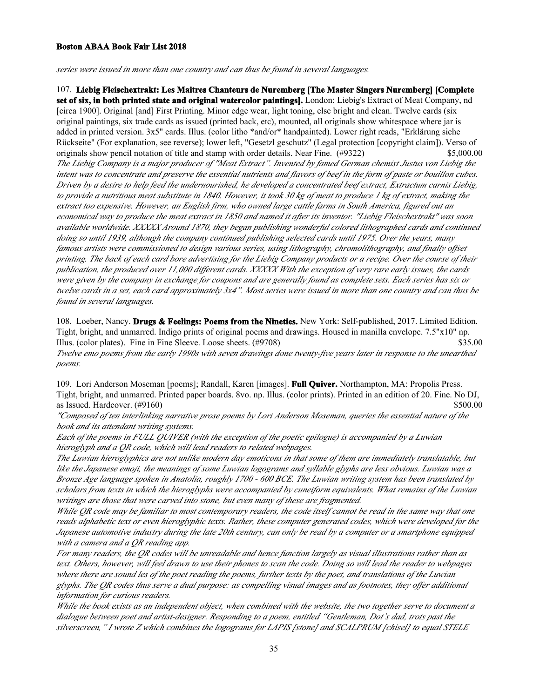*series were issued in more than one country and can thus be found in several languages.*

107. **Liebig Fleischextrakt: Les Maitres Chanteurs de Nuremberg [The Master Singers Nuremberg] [Complete set of six, in both printed state and original watercolor paintings].** London: Liebig's Extract of Meat Company, nd [circa 1900]. Original [and] First Printing. Minor edge wear, light toning, else bright and clean. Twelve cards (six original paintings, six trade cards as issued (printed back, etc), mounted, all originals show whitespace where jar is added in printed version. 3x5" cards. Illus. (color litho \*and/or\* handpainted). Lower right reads, "Erklärung siehe Rückseite" (For explanation, see reverse); lower left, "Gesetzl geschutz" (Legal protection [copyright claim]). Verso of originals show pencil notation of title and stamp with order details. Near Fine. (#9322) \$5,000.00 *The Liebig Company is a major producer of "Meat Extract". Invented by famed German chemist Justus von Liebig the intent was to concentrate and preserve the essential nutrients and flavors of beef in the form of paste or bouillon cubes. Driven by a desire to help feed the undernourished, he developed a concentrated beef extract, Extractum carnis Liebig, to provide a nutritious meat substitute in 1840. However, it took 30 kg of meat to produce 1 kg of extract, making the extract too expensive. However, an English firm, who owned large cattle farms in South America, figured out an economical way to produce the meat extract in 1850 and named it after its inventor. "Liebig Fleischextrakt" was soon available worldwide. XXXXX Around 1870, they began publishing wonderful colored lithographed cards and continued doing so until 1939, although the company continued publishing selected cards until 1975. Over the years, many famous artists were commissioned to design various series, using lithography, chromolithography, and finally offset printing. The back of each card bore advertising for the Liebig Company products or a recipe. Over the course of their publication, the produced over 11,000 different cards. XXXXX With the exception of very rare early issues, the cards were given by the company in exchange for coupons and are generally found as complete sets. Each series has six or twelve cards in a set, each card approximately 3x4". Most series were issued in more than one country and can thus be found in several languages.*

108. Loeber, Nancy. **Drugs & Feelings: Poems from the Nineties.** New York: Self-published, 2017. Limited Edition. Tight, bright, and unmarred. Indigo prints of original poems and drawings. Housed in manilla envelope. 7.5"x10" np. Illus. (color plates). Fine in Fine Sleeve. Loose sheets. (#9708) \$35.00 \$35.00 *Twelve emo poems from the early 1990s with seven drawings done twenty-five years later in response to the unearthed poems.*

109. Lori Anderson Moseman [poems]; Randall, Karen [images]. **Full Quiver.** Northampton, MA: Propolis Press. Tight, bright, and unmarred. Printed paper boards. 8vo. np. Illus. (color prints). Printed in an edition of 20. Fine. No DJ, as Issued. Hardcover.  $(\text{\#}9160)$  \$500.00

*"Composed of ten interlinking narrative prose poems by Lori Anderson Moseman, queries the essential nature of the book and its attendant writing systems.*

*Each of the poems in FULL QUIVER (with the exception of the poetic epilogue) is accompanied by a Luwian hieroglyph and a QR code, which will lead readers to related webpages.*

*The Luwian hieroglyphics are not unlike modern day emoticons in that some of them are immediately translatable, but like the Japanese emoji, the meanings of some Luwian logograms and syllable glyphs are less obvious. Luwian was a Bronze Age language spoken in Anatolia, roughly 1700 - 600 BCE. The Luwian writing system has been translated by scholars from texts in which the hieroglyphs were accompanied by cuneiform equivalents. What remains of the Luwian writings are those that were carved into stone, but even many of these are fragmented.*

*While QR code may be familiar to most contemporary readers, the code itself cannot be read in the same way that one reads alphabetic text or even hieroglyphic texts. Rather, these computer generated codes, which were developed for the Japanese automotive industry during the late 20th century, can only be read by a computer or a smartphone equipped with a camera and a QR reading app.*

*For many readers, the QR codes will be unreadable and hence function largely as visual illustrations rather than as text. Others, however, will feel drawn to use their phones to scan the code. Doing so will lead the reader to webpages where there are sound les of the poet reading the poems, further texts by the poet, and translations of the Luwian glyphs. The QR codes thus serve a dual purpose: as compelling visual images and as footnotes, they offer additional information for curious readers.*

*While the book exists as an independent object, when combined with the website, the two together serve to document a dialogue between poet and artist-designer. Responding to a poem, entitled "Gentleman, Dot's dad, trots past the silverscreen," I wrote Z which combines the logograms for LAPIS [stone] and SCALPRUM [chisel] to equal STELE —*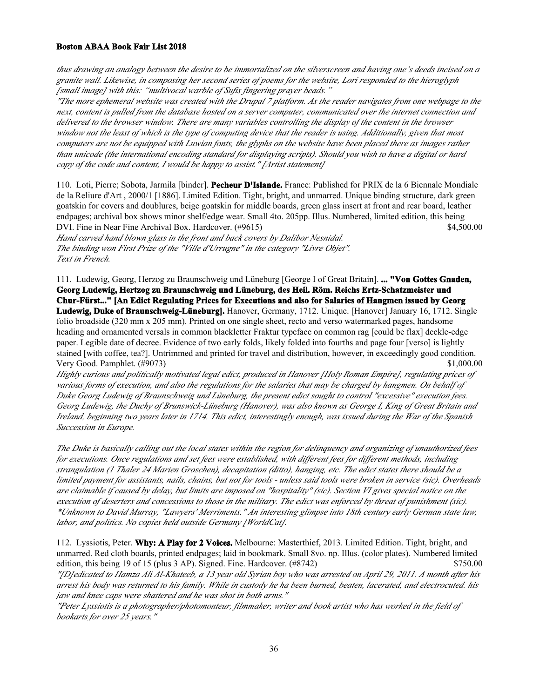*thus drawing an analogy between the desire to be immortalized on the silverscreen and having one's deeds incised on a granite wall. Likewise, in composing her second series of poems for the website, Lori responded to the hieroglyph [small image] with this: "multivocal warble of Sufis fingering prayer beads."*

*"The more ephemeral website was created with the Drupal 7 platform. As the reader navigates from one webpage to the next, content is pulled from the database hosted on a server computer, communicated over the internet connection and delivered to the browser window. There are many variables controlling the display of the content in the browser window not the least of which is the type of computing device that the reader is using. Additionally, given that most computers are not be equipped with Luwian fonts, the glyphs on the website have been placed there as images rather than unicode (the international encoding standard for displaying scripts). Should you wish to have a digital or hard copy of the code and content, I would be happy to assist." [Artist statement]*

110. Loti, Pierre; Sobota, Jarmila [binder]. **Pecheur D'Islande.** France: Published for PRIX de la 6 Biennale Mondiale de la Reliure d'Art , 2000/1 [1886]. Limited Edition. Tight, bright, and unmarred. Unique binding structure, dark green goatskin for covers and doublures, beige goatskin for middle boards, green glass insert at front and rear board, leather endpages; archival box shows minor shelf/edge wear. Small 4to. 205pp. Illus. Numbered, limited edition, this being DVI. Fine in Near Fine Archival Box. Hardcover. (#9615) \$4,500.00

*Hand carved hand blown glass in the front and back covers by Dalibor Nesnidal. The binding won First Prize of the "Ville d'Urrugne" in the category "Livre Objet". Text in French.*

111. Ludewig, Georg, Herzog zu Braunschweig und Lüneburg [George I of Great Britain]. **... "Von Gottes Gnaden, Georg Ludewig, Hertzog zu Braunschweig und Lüneburg, des Heil. Röm. Reichs Ertz-Schatzmeister und Chur-Fürst..." [An Edict Regulating Prices for Executions and also for Salaries of Hangmen issued by Georg Ludewig, Duke of Braunschweig-Lüneburg].** Hanover, Germany, 1712. Unique. [Hanover] January 16, 1712. Single folio broadside (320 mm x 205 mm). Printed on one single sheet, recto and verso watermarked pages, handsome heading and ornamented versals in common blackletter Fraktur typeface on common rag [could be flax] deckle-edge paper. Legible date of decree. Evidence of two early folds, likely folded into fourths and page four [verso] is lightly stained [with coffee, tea?]. Untrimmed and printed for travel and distribution, however, in exceedingly good condition. Very Good. Pamphlet. (#9073) \$1,000.00

*Highly curious and politically motivated legal edict, produced in Hanover [Holy Roman Empire], regulating prices of various forms of execution, and also the regulations for the salaries that may be charged by hangmen. On behalf of Duke Georg Ludewig of Braunschweig und Lüneburg, the present edict sought to control "excessive" execution fees. Georg Ludewig, the Duchy of Brunswick-Lüneburg (Hanover), was also known as George I, King of Great Britain and Ireland, beginning two years later in 1714. This edict, interestingly enough, was issued during the War of the Spanish Succession in Europe.*

*The Duke is basically calling out the local states within the region for delinquency and organizing of unauthorized fees for executions. Once regulations and set fees were established, with different fees for different methods, including strangulation (1 Thaler 24 Marien Groschen), decapitation (ditto), hanging, etc. The edict states there should be a limited payment for assistants, nails, chains, but not for tools - unless said tools were broken in service (sic). Overheads are claimable if caused by delay, but limits are imposed on "hospitality" (sic). Section VI gives special notice on the execution of deserters and concessions to those in the military. The edict was enforced by threat of punishment (sic). \*Unknown to David Murray, "Lawyers' Merriments." An interesting glimpse into 18th century early German state law, labor, and politics. No copies held outside Germany [WorldCat].*

112. Lyssiotis, Peter. **Why: A Play for 2 Voices.** Melbourne: Masterthief, 2013. Limited Edition. Tight, bright, and unmarred. Red cloth boards, printed endpages; laid in bookmark. Small 8vo. np. Illus. (color plates). Numbered limited edition, this being 19 of 15 (plus 3 AP). Signed. Fine. Hardcover.  $(\text{\#}8742)$  \$750.00

*"[D]edicated to Hamza Ali Al-Khateeb, a 13 year old Syrian boy who was arrested on April 29, 2011. A month after his arrest his body was returned to his family. While in custody he ha been burned, beaten, lacerated, and electrocuted. his jaw and knee caps were shattered and he was shot in both arms."*

*"Peter Lyssiotis is a photographer/photomonteur, filmmaker, writer and book artist who has worked in the field of bookarts for over 25 years."*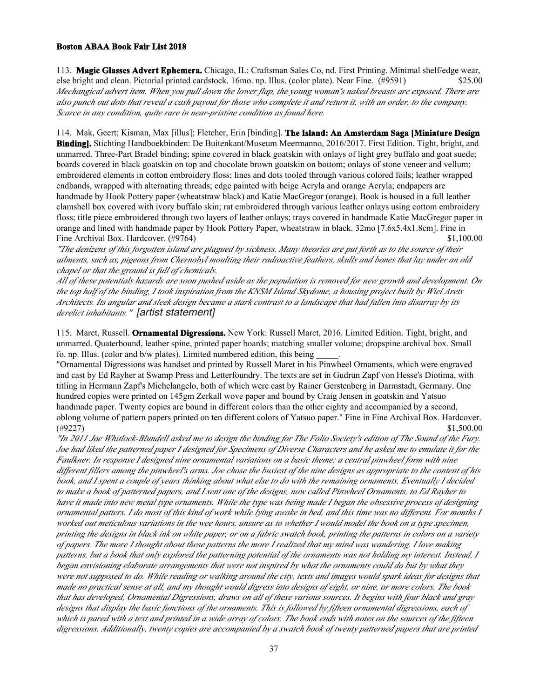113. **Magic Glasses Advert Ephemera.** Chicago, IL: Craftsman Sales Co, nd. First Printing. Minimal shelf/edge wear, else bright and clean. Pictorial printed cardstock. 16mo. np. Illus. (color plate). Near Fine. (#9591) \$25.00 *Mechangical advert item. When you pull down the lower flap, the young woman's naked breasts are exposed. There are also punch out dots that reveal a cash payout for those who complete it and return it, with an order, to the company. Scarce in any condition, quite rare in near-pristine condition as found here.*

114. Mak, Geert; Kisman, Max [illus]; Fletcher, Erin [binding]. **The Island: An Amsterdam Saga [Miniature Design Binding].** Stichting Handboekbinden: De Buitenkant/Museum Meermanno, 2016/2017. First Edition. Tight, bright, and unmarred. Three-Part Bradel binding; spine covered in black goatskin with onlays of light grey buffalo and goat suede; boards covered in black goatskin on top and chocolate brown goatskin on bottom; onlays of stone veneer and vellum; embroidered elements in cotton embroidery floss; lines and dots tooled through various colored foils; leather wrapped endbands, wrapped with alternating threads; edge painted with beige Acryla and orange Acryla; endpapers are handmade by Hook Pottery paper (wheatstraw black) and Katie MacGregor (orange). Book is housed in a full leather clamshell box covered with ivory buffalo skin; rat embroidered through various leather onlays using cottom embroidery floss; title piece embroidered through two layers of leather onlays; trays covered in handmade Katie MacGregor paper in orange and lined with handmade paper by Hook Pottery Paper, wheatstraw in black. 32mo [7.6x5.4x1.8cm]. Fine in Fine Archival Box. Hardcover. (#9764)  $\qquad$  \$1,100.00

*"The denizens of this forgotten island are plagued by sickness. Many theories are put forth as to the source of their ailments, such as, pigeons from Chernobyl moulting their radioactive feathers, skulls and bones that lay under an old chapel or that the ground is full of chemicals.*

*All of these potentials hazards are soon pushed aside as the population is removed for new growth and development. On the top half of the binding, I took inspiration from the KNSM Island Skydome, a housing project built by Wiel Arets Architects. Its angular and sleek design became a stark contrast to a landscape that had fallen into disarray by its derelict inhabitants." [artist statement]*

115. Maret, Russell. **Ornamental Digressions.** New York: Russell Maret, 2016. Limited Edition. Tight, bright, and unmarred. Quaterbound, leather spine, printed paper boards; matching smaller volume; dropspine archival box. Small fo. np. Illus. (color and b/w plates). Limited numbered edition, this being

"Ornamental Digressions was handset and printed by Russell Maret in his Pinwheel Ornaments, which were engraved and cast by Ed Rayher at Swamp Press and Letterfoundry. The texts are set in Gudrun Zapf von Hesse's Diotima, with titling in Hermann Zapf's Michelangelo, both of which were cast by Rainer Gerstenberg in Darmstadt, Germany. One hundred copies were printed on 145gm Zerkall wove paper and bound by Craig Jensen in goatskin and Yatsuo handmade paper. Twenty copies are bound in different colors than the other eighty and accompanied by a second, oblong volume of pattern papers printed on ten different colors of Yatsuo paper." Fine in Fine Archival Box. Hardcover.  $(49227)$  \$1,500.00

*"In 2011 Joe Whitlock-Blundell asked me to design the binding for The Folio Society's edition of The Sound of the Fury. Joe had liked the patterned paper I designed for Specimens of Diverse Characters and he asked me to emulate it for the Faulkner. In response I designed nine ornamental variations on a basic theme: a central pinwheel form with nine different fillers among the pinwheel's arms. Joe chose the busiest of the nine designs as appropriate to the content of his book, and I spent a couple of years thinking about what else to do with the remaining ornaments. Eventually I decided to make a book of patterned papers, and I sent one of the designs, now called Pinwheel Ornaments, to Ed Rayher to have it made into new metal type ornaments. While the type was being made I began the obsessive process of designing ornamental patters. I do most of this kind of work while lying awake in bed, and this time was no different. For months I worked out meticulous variations in the wee hours, unsure as to whether I would model the book on a type specimen, printing the designs in black ink on white paper, or on a fabric swatch book, printing the patterns in colors on a variety of papers. The more I thought about these patterns the more I realized that my mind was wandering. I love making patterns, but a book that only explored the patterning potential of the ornaments was not holding my interest. Instead, I began envisioning elaborate arrangements that were not inspired by what the ornaments could do but by what they were not supposed to do. While reading or walking around the city, texts and images would spark ideas for designs that made no practical sense at all, and my thought would digress into designs of eight, or nine, or more colors. The book that has developed, Ornamental Digressions, draws on all of these various sources. It begins with four black and gray designs that display the basic functions of the ornaments. This is followed by fifteen ornamental digressions, each of which is pared with a text and printed in a wide array of colors. The book ends with notes on the sources of the fifteen digressions. Additionally, twenty copies are accompanied by a swatch book of twenty patterned papers that are printed*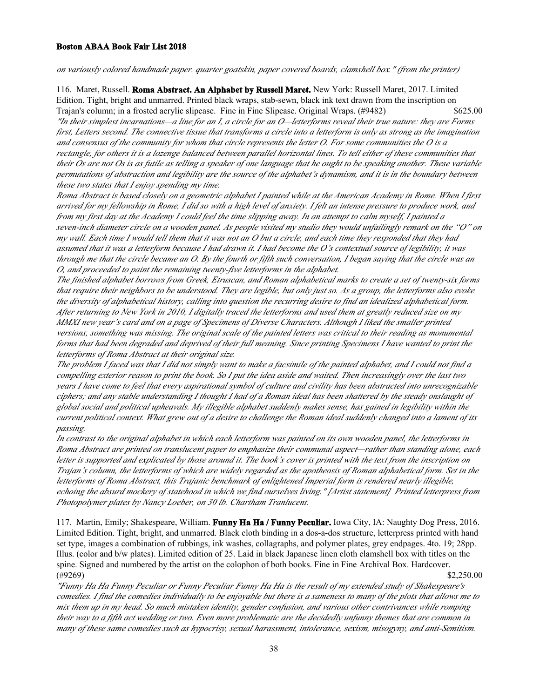*on variously colored handmade paper. quarter goatskin, paper covered boards, clamshell box." (from the printer)*

116. Maret, Russell. **Roma Abstract. An Alphabet by Russell Maret.** New York: Russell Maret, 2017. Limited Edition. Tight, bright and unmarred. Printed black wraps, stab-sewn, black ink text drawn from the inscription on Trajan's column; in a frosted acrylic slipcase. Fine in Fine Slipcase. Original Wraps. (#9482) \$625.00 *"In their simplest incarnations—a line for an I, a circle for an O—letterforms reveal their true nature: they are Forms first, Letters second. The connective tissue that transforms a circle into a letterform is only as strong as the imagination and consensus of the community for whom that circle represents the letter O. For some communities the O is a rectangle, for others it is a lozenge balanced between parallel horizontal lines. To tell either of these communities that*

*their Os are not Os is as futile as telling a speaker of one language that he ought to be speaking another. These variable permutations of abstraction and legibility are the source of the alphabet's dynamism, and it is in the boundary between these two states that I enjoy spending my time.*

*Roma Abstract is based closely on a geometric alphabet I painted while at the American Academy in Rome. When I first arrived for my fellowship in Rome, I did so with a high level of anxiety. I felt an intense pressure to produce work, and from my first day at the Academy I could feel the time slipping away. In an attempt to calm myself, I painted a seven-inch diameter circle on a wooden panel. As people visited my studio they would unfailingly remark on the "O" on my wall. Each time I would tell them that it was not an O but a circle, and each time they responded that they had assumed that it was a letterform because I had drawn it. I had become the O's contextual source of legibility, it was through me that the circle became an O. By the fourth or fifth such conversation, I began saying that the circle was an O, and proceeded to paint the remaining twenty-five letterforms in the alphabet.*

*The finished alphabet borrows from Greek, Etruscan, and Roman alphabetical marks to create a set of twenty-six forms that require their neighbors to be understood. They are legible, but only just so. As a group, the letterforms also evoke the diversity of alphabetical history, calling into question the recurring desire to find an idealized alphabetical form. After returning to New York in 2010, I digitally traced the letterforms and used them at greatly reduced size on my MMXI new year's card and on a page of Specimens of Diverse Characters. Although I liked the smaller printed versions, something was missing. The original scale of the painted letters was critical to their reading as monumental forms that had been degraded and deprived of their full meaning. Since printing Specimens I have wanted to print the letterforms of Roma Abstract at their original size.*

*The problem I faced was that I did not simply want to make a facsimile of the painted alphabet, and I could not find a compelling exterior reason to print the book. So I put the idea aside and waited. Then increasingly over the last two years I have come to feel that every aspirational symbol of culture and civility has been abstracted into unrecognizable ciphers; and any stable understanding I thought I had of a Roman ideal has been shattered by the steady onslaught of global social and political upheavals. My illegible alphabet suddenly makes sense, has gained in legibility within the current political context. What grew out of a desire to challenge the Roman ideal suddenly changed into a lament of its passing.*

*In contrast to the original alphabet in which each letterform was painted on its own wooden panel, the letterforms in Roma Abstract are printed on translucent paper to emphasize their communal aspect—rather than standing alone, each letter is supported and explicated by those around it. The book's cover is printed with the text from the inscription on Trajan's column, the letterforms of which are widely regarded as the apotheosis of Roman alphabetical form. Set in the letterforms of Roma Abstract, this Trajanic benchmark of enlightened Imperial form is rendered nearly illegible, echoing the absurd mockery of statehood in which we find ourselves living." [Artist statement] Printed letterpress from Photopolymer plates by Nancy Loeber, on 30 lb. Chartham Tranlucent.*

117. Martin, Emily; Shakespeare, William. **Funny Ha Ha / Funny Peculiar.** Iowa City, IA: Naughty Dog Press, 2016. Limited Edition. Tight, bright, and unmarred. Black cloth binding in a dos-a-dos structure, letterpress printed with hand set type, images a combination of rubbings, ink washes, collagraphs, and polymer plates, grey endpages. 4to. 19; 28pp. Illus. (color and b/w plates). Limited edition of 25. Laid in black Japanese linen cloth clamshell box with titles on the spine. Signed and numbered by the artist on the colophon of both books. Fine in Fine Archival Box. Hardcover. (#9269) \$2,250.00

*"Funny Ha Ha Funny Peculiar or Funny Peculiar Funny Ha Ha is the result of my extended study of Shakespeare's comedies. I find the comedies individually to be enjoyable but there is a sameness to many of the plots that allows me to mix them up in my head. So much mistaken identity, gender confusion, and various other contrivances while romping their way to a fifth act wedding or two. Even more problematic are the decidedly unfunny themes that are common in many of these same comedies such as hypocrisy, sexual harassment, intolerance, sexism, misogyny, and anti-Semitism.*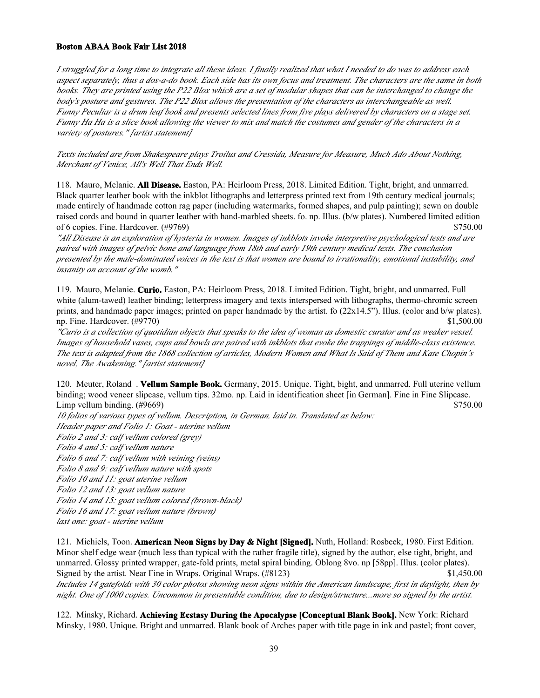*I struggled for a long time to integrate all these ideas. I finally realized that what I needed to do was to address each aspect separately, thus a dos-a-do book. Each side has its own focus and treatment. The characters are the same in both books. They are printed using the P22 Blox which are a set of modular shapes that can be interchanged to change the body's posture and gestures. The P22 Blox allows the presentation of the characters as interchangeable as well. Funny Peculiar is a drum leaf book and presents selected lines from five plays delivered by characters on a stage set. Funny Ha Ha is a slice book allowing the viewer to mix and match the costumes and gender of the characters in a variety of postures." [artist statement]*

*Texts included are from Shakespeare plays Troilus and Cressida, Measure for Measure, Much Ado About Nothing, Merchant of Venice, All's Well That Ends Well.*

118. Mauro, Melanie. **All Disease.** Easton, PA: Heirloom Press, 2018. Limited Edition. Tight, bright, and unmarred. Black quarter leather book with the inkblot lithographs and letterpress printed text from 19th century medical journals; made entirely of handmade cotton rag paper (including watermarks, formed shapes, and pulp painting); sewn on double raised cords and bound in quarter leather with hand-marbled sheets. fo. np. Illus. (b/w plates). Numbered limited edition of 6 copies. Fine. Hardcover. (#9769) \$750.00

*"All Disease is an exploration of hysteria in women. Images of inkblots invoke interpretive psychological tests and are paired with images of pelvic bone and language from 18th and early 19th century medical texts. The conclusion presented by the male-dominated voices in the text is that women are bound to irrationality, emotional instability, and insanity on account of the womb."*

119. Mauro, Melanie. **Curio.** Easton, PA: Heirloom Press, 2018. Limited Edition. Tight, bright, and unmarred. Full white (alum-tawed) leather binding; letterpress imagery and texts interspersed with lithographs, thermo-chromic screen prints, and handmade paper images; printed on paper handmade by the artist. fo (22x14.5"). Illus. (color and b/w plates). np. Fine. Hardcover. (#9770) \$1,500.00

*"Curio is a collection of quotidian objects that speaks to the idea of woman as domestic curator and as weaker vessel. Images of household vases, cups and bowls are paired with inkblots that evoke the trappings of middle-class existence. The text is adapted from the 1868 collection of articles, Modern Women and What Is Said of Them and Kate Chopin's novel, The Awakening." [artist statement]*

120. Meuter, Roland . **Vellum Sample Book.** Germany, 2015. Unique. Tight, bight, and unmarred. Full uterine vellum binding; wood veneer slipcase, vellum tips. 32mo. np. Laid in identification sheet [in German]. Fine in Fine Slipcase.  $Limp$  vellum binding.  $(\#9669)$  \$750.00 *10 folios of various types of vellum. Description, in German, laid in. Translated as below: Header paper and Folio 1: Goat - uterine vellum Folio 2 and 3: calf vellum colored (grey) Folio 4 and 5: calf vellum nature Folio 6 and 7: calf vellum with veining (veins) Folio 8 and 9: calf vellum nature with spots Folio 10 and 11: goat uterine vellum Folio 12 and 13: goat vellum nature Folio 14 and 15: goat vellum colored (brown-black) Folio 16 and 17: goat vellum nature (brown)*

*last one: goat - uterine vellum*

121. Michiels, Toon. **American Neon Signs by Day & Night [Signed].** Nuth, Holland: Rosbeek, 1980. First Edition. Minor shelf edge wear (much less than typical with the rather fragile title), signed by the author, else tight, bright, and unmarred. Glossy printed wrapper, gate-fold prints, metal spiral binding. Oblong 8vo. np [58pp]. Illus. (color plates). Signed by the artist. Near Fine in Wraps. Original Wraps. (#8123) \$1,450.00 *Includes 14 gatefolds with 30 color photos showing neon signs within the American landscape, first in daylight, then by night. One of 1000 copies. Uncommon in presentable condition, due to design/structure...more so signed by the artist.*

122. Minsky, Richard. **Achieving Ecstasy During the Apocalypse [Conceptual Blank Book].** New York: Richard Minsky, 1980. Unique. Bright and unmarred. Blank book of Arches paper with title page in ink and pastel; front cover,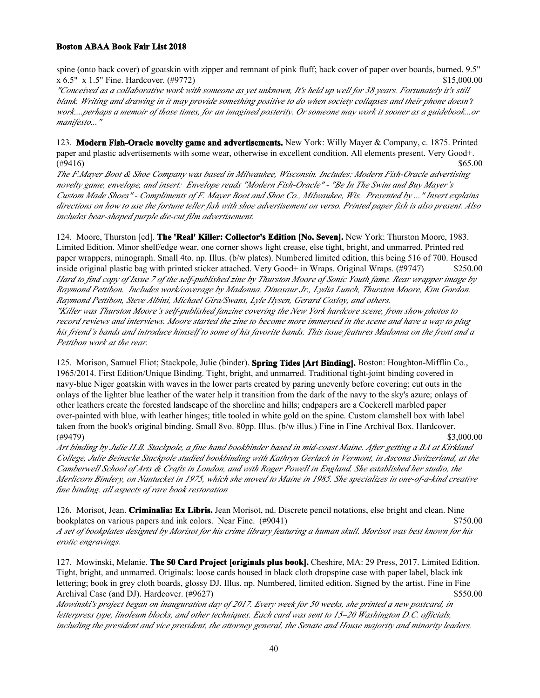spine (onto back cover) of goatskin with zipper and remnant of pink fluff; back cover of paper over boards, burned. 9.5" x 6.5" x 1.5" Fine. Hardcover. (#9772) \$15,000.00

*"Conceived as a collaborative work with someone as yet unknown, It's held up well for 38 years. Fortunately it's still blank. Writing and drawing in it may provide something positive to do when society collapses and their phone doesn't work....perhaps a memoir of those times, for an imagined posterity. Or someone may work it sooner as a guidebook...or manifesto..."*

123. **Modern Fish-Oracle novelty game and advertisements.** New York: Willy Mayer & Company, c. 1875. Printed paper and plastic advertisements with some wear, otherwise in excellent condition. All elements present. Very Good+. (#9416) \$65.00

*The F.Mayer Boot & Shoe Company was based in Milwaukee, Wisconsin. Includes: Modern Fish-Oracle advertising novelty game, envelope, and insert: Envelope reads "Modern Fish-Oracle" - "Be In The Swim and Buy Mayer`s Custom Made Shoes" - Compliments of F. Mayer Boot and Shoe Co., Milwaukee, Wis. Presented by ..." Insert explains directions on how to use the fortune teller fish with shoe advertisement on verso. Printed paper fish is also present. Also includes bear-shaped purple die-cut film advertisement.*

124. Moore, Thurston [ed]. **The 'Real' Killer: Collector's Edition [No. Seven].** New York: Thurston Moore, 1983. Limited Edition. Minor shelf/edge wear, one corner shows light crease, else tight, bright, and unmarred. Printed red paper wrappers, minograph. Small 4to. np. Illus. (b/w plates). Numbered limited edition, this being 516 of 700. Housed inside original plastic bag with printed sticker attached. Very Good+ in Wraps. Original Wraps. (#9747) \$250.00 *Hard to find copy of Issue 7 of the self-published zine by Thurston Moore of Sonic Youth fame. Rear wrapper image by Raymond Pettibon. Includes work/coverage by Madonna, Dinosaur Jr., Lydia Lunch, Thurston Moore, Kim Gordon, Raymond Pettibon, Steve Albini, Michael Gira/Swans, Lyle Hysen, Gerard Cosloy, and others.*

*"Killer was Thurston Moore's self-published fanzine covering the New York hardcore scene, from show photos to record reviews and interviews. Moore started the zine to become more immersed in the scene and have a way to plug his friend's bands and introduce himself to some of his favorite bands. This issue features Madonna on the front and a Pettibon work at the rear.*

125. Morison, Samuel Eliot; Stackpole, Julie (binder). **Spring Tides [Art Binding].** Boston: Houghton-Mifflin Co., 1965/2014. First Edition/Unique Binding. Tight, bright, and unmarred. Traditional tight-joint binding covered in navy-blue Niger goatskin with waves in the lower parts created by paring unevenly before covering; cut outs in the onlays of the lighter blue leather of the water help it transition from the dark of the navy to the sky's azure; onlays of other leathers create the forested landscape of the shoreline and hills; endpapers are a Cockerell marbled paper over-painted with blue, with leather hinges; title tooled in white gold on the spine. Custom clamshell box with label taken from the book's original binding. Small 8vo. 80pp. Illus. (b/w illus.) Fine in Fine Archival Box. Hardcover. (#9479) \$3,000.00

*Art binding by Julie H.B. Stackpole, a fine hand bookbinder based in mid-coast Maine. After getting a BA at Kirkland College, Julie Beinecke Stackpole studied bookbinding with Kathryn Gerlach in Vermont, in Ascona Switzerland, at the Camberwell School of Arts & Crafts in London, and with Roger Powell in England. She established her studio, the Merlicorn Bindery, on Nantucket in 1975, which she moved to Maine in 1985. She specializes in one-of-a-kind creative fine binding, all aspects of rare book restoration*

126. Morisot, Jean. **Criminalia: Ex Libris.** Jean Morisot, nd. Discrete pencil notations, else bright and clean. Nine bookplates on various papers and ink colors. Near Fine. (#9041) \$750.00 *A set of bookplates designed by Morisot for his crime library featuring a human skull. Morisot was best known for his erotic engravings.*

127. Mowinski, Melanie. **The 50 Card Project [originals plus book].** Cheshire, MA: 29 Press, 2017. Limited Edition. Tight, bright, and unmarred. Originals: loose cards housed in black cloth dropspine case with paper label, black ink lettering; book in grey cloth boards, glossy DJ. Illus. np. Numbered, limited edition. Signed by the artist. Fine in Fine Archival Case (and DJ). Hardcover. (#9627) \$550.00

*Mowinski's project began on inauguration day of 2017. Every week for 50 weeks, she printed a new postcard, in letterpress type, linoleum blocks, and other techniques. Each card was sent to 15–20 Washington D.C. officials, including the president and vice president, the attorney general, the Senate and House majority and minority leaders,*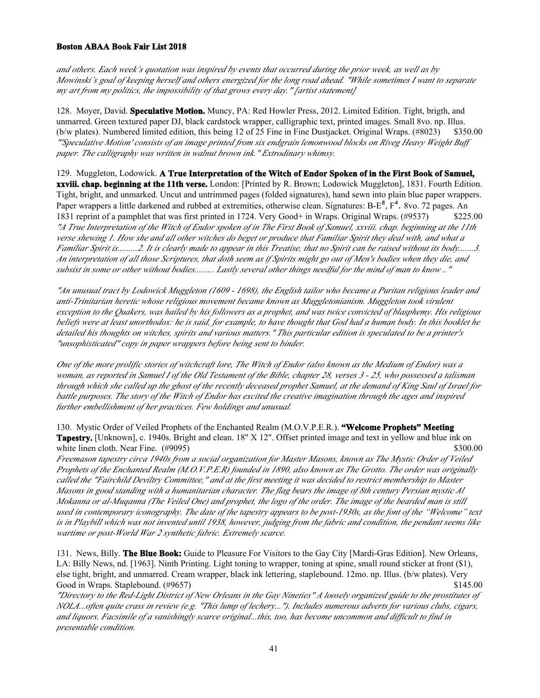*and others. Each week's quotation was inspired by events that occurred during the prior week, as well as by Mowinski's goal of keeping herself and others energized for the long road ahead. "While sometimes I want to separate my art from my politics, the impossibility of that grows every day." [artist statement]*

128. Moyer, David. **Speculative Motion.** Muncy, PA: Red Howler Press, 2012. Limited Edition. Tight, brigth, and unmarred. Green textured paper DJ, black cardstock wrapper, calligraphic text, printed images. Small 8vo. np. Illus. (b/w plates). Numbered limited edition, this being 12 of 25 Fine in Fine Dustjacket. Original Wraps. (#8023) \$350.00 *"'Speculative Motion' consists of an image printed from six endgrain lemonwood blocks on Riveg Heavy Weight Buff paper. The calligraphy was written in walnut brown ink." Extrodinary whimsy.*

129. Muggleton, Lodowick. **A True Interpretation of the Witch of Endor Spoken of in the First Book of Samuel, xxviii. chap. beginning at the 11th verse.** London: [Printed by R. Brown; Lodowick Muggleton], 1831. Fourth Edition. Tight, bright, and unmarked. Uncut and untrimmed pages (folded signatures), hand sewn into plain blue paper wrappers. Paper wrappers a little darkened and rubbed at extremities, otherwise clean. Signatures:  $B-E^8$ ,  $F^4$ . 8vo. 72 pages. An 1831 reprint of a pamphlet that was first printed in 1724. Very Good+ in Wraps. Original Wraps. (#9537) \$225.00 *"A True Interpretation of the Witch of Endor spoken of in The First Book of Samuel, xxviii. chap. beginning at the 11th verse shewing 1. How she and all other witches do beget or produce that Familiar Spirit they deal with, and what a Familiar Spirit is.........2. It is clearly made to appear in this Treatise, that no Spirit can be raised without its body.......3. An interpretation of all those Scriptures, that doth seem as if Spirits might go out of Men's bodies when they die, and subsist in some or other without bodies......... Lastly several other things needful for the mind of man to know .."*

*"An unusual tract by Lodowick Muggleton (1609 - 1698), the English tailor who became a Puritan religious leader and anti-Trinitarian heretic whose religious movement became known as Muggletonianism. Muggleton took virulent exception to the Quakers, was hailed by his followers as a prophet, and was twice convicted of blasphemy. His religious beliefs were at least unorthodox: he is said, for example, to have thought that God had a human body. In this booklet he detailed his thoughts on witches, spirits and various matters." This particular edition is speculated to be a printer's "unsophisticated" copy in paper wrappers before being sent to binder.*

*One of the more prolific stories of witchcraft lore, The Witch of Endor (also known as the Medium of Endor) was a woman, as reported in Samuel I of the Old Testament of the Bible, chapter 28, verses 3 - 25, who possessed a talisman through which she called up the ghost of the recently deceased prophet Samuel, at the demand of King Saul of Israel for battle purposes. The story of the Witch of Endor has excited the creative imagination through the ages and inspired further embellishment of her practices. Few holdings and unusual.*

130. Mystic Order of Veiled Prophets of the Enchanted Realm (M.O.V.P.E.R.). **"Welcome Prophets" Meeting Tapestry.** [Unknown], c. 1940s. Bright and clean. 18" X 12". Offset printed image and text in yellow and blue ink on white linen cloth. Near Fine. (#9095) \$300.00

*Freemason tapestry circa 1940s from a social organization for Master Masons, known as The Mystic Order of Veiled Prophets of the Enchanted Realm (M.O.V.P.E.R) founded in 1890, also known as The Grotto. The order was originally called the "Fairchild Deviltry Committee," and at the first meeting it was decided to restrict membership to Master Masons in good standing with a humanitarian character. The flag bears the image of 8th century Persian mystic Al Mokanna or al-Muqanna (The Veiled One) and prophet, the logo of the order. The image of the bearded man is still used in contemporary iconography. The date of the tapestry appears to be post-1930s, as the font of the "Welcome" text is in Playbill which was not invented until 1938, however, judging from the fabric and condition, the pendant seems like wartime or post-World War 2 synthetic fabric. Extremely scarce.*

131. News, Billy. **The Blue Book:** Guide to Pleasure For Visitors to the Gay City [Mardi-Gras Edition]. New Orleans, LA: Billy News, nd. [1963]. Ninth Printing. Light toning to wrapper, toning at spine, small round sticker at front (\$1), else tight, bright, and unmarred. Cream wrapper, black ink lettering, staplebound. 12mo. np. Illus. (b/w plates). Very Good in Wraps. Staplebound.  $(\text{\#9657})$  \$145.00

*"Directory to the Red-Light District of New Orleans in the Gay Nineties" A loosely organized guide to the prostitutes of NOLA...often quite crass in review (e.g. "This lump of lechery..."). Includes numerous adverts for various clubs, cigars, and liquors. Facsimile of a vanishingly scarce original...this, too, has become uncommon and difficult to find in presentable condition.*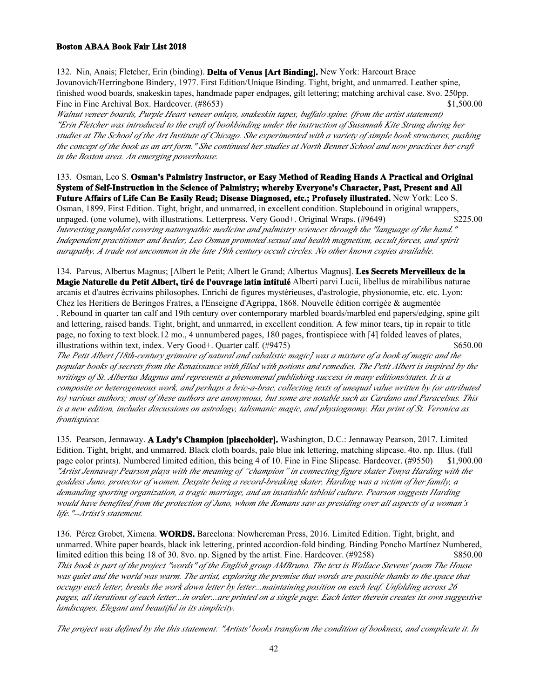132. Nin, Anais; Fletcher, Erin (binding). **Delta of Venus [Art Binding].** New York: Harcourt Brace Jovanovich/Herringbone Bindery, 1977. First Edition/Unique Binding. Tight, bright, and unmarred. Leather spine, finished wood boards, snakeskin tapes, handmade paper endpages, gilt lettering; matching archival case. 8vo. 250pp. Fine in Fine Archival Box. Hardcover. (#8653) \$1,500.00

*Walnut veneer boards, Purple Heart veneer onlays, snakeskin tapes, buffalo spine. (from the artist statement) "Erin Fletcher was introduced to the craft of bookbinding under the instruction of Susannah Kite Strang during her studies at The School of the Art Institute of Chicago. She experimented with a variety of simple book structures, pushing the concept of the book as an art form." She continued her studies at North Bennet School and now practices her craft in the Boston area. An emerging powerhouse.*

133. Osman, Leo S. **Osman's Palmistry Instructor, or Easy Method of Reading Hands A Practical and Original System of Self-Instruction in the Science of Palmistry; whereby Everyone's Character, Past, Present and All Future Affairs of Life Can Be Easily Read; Disease Diagnosed, etc.; Profusely illustrated.** New York: Leo S.

Osman, 1899. First Edition. Tight, bright, and unmarred, in excellent condition. Staplebound in original wrappers, unpaged. (one volume), with illustrations. Letterpress. Very Good+. Original Wraps. (#9649) \$225.00 *Interesting pamphlet covering naturopathic medicine and palmistry sciences through the "language of the hand." Independent practitioner and healer, Leo Osman promoted sexual and health magnetism, occult forces, and spirit aurapathy. A trade not uncommon in the late 19th century occult circles. No other known copies available.*

134. Parvus, Albertus Magnus; [Albert le Petit; Albert le Grand; Albertus Magnus]. **Les Secrets Merveilleux de la Magie Naturelle du Petit Albert, tiré de l'ouvrage latin intitulé** Alberti parvi Lucii, libellus de mirabilibus naturae arcanis et d'autres écrivains philosophes. Enrichi de figures mystérieuses, d'astrologie, physionomie, etc. etc. Lyon: Chez les Heritiers de Beringos Fratres, a l'Enseigne d'Agrippa, 1868. Nouvelle édition corrigée & augmentée . Rebound in quarter tan calf and 19th century over contemporary marbled boards/marbled end papers/edging, spine gilt and lettering, raised bands. Tight, bright, and unmarred, in excellent condition. A few minor tears, tip in repair to title page, no foxing to text block.12 mo., 4 unnumbered pages, 180 pages, frontispiece with [4] folded leaves of plates, illustrations within text, index. Very Good+. Quarter calf. (#9475) \$650.00

*The Petit Albert [18th-century grimoire of natural and cabalistic magic] was a mixture of a book of magic and the popular books of secrets from the Renaissance with filled with potions and remedies. The Petit Albert is inspired by the writings of St. Albertus Magnus and represents a phenomenal publishing success in many editions/states. It is a composite or heterogeneous work, and perhaps a bric-a-brac, collecting texts of unequal value written by (or attributed to) various authors; most of these authors are anonymous, but some are notable such as Cardano and Paracelsus. This is a new edition, includes discussions on astrology, talismanic magic, and physiognomy. Has print of St. Veronica as frontispiece.*

135. Pearson, Jennaway. **A Lady's Champion [placeholder].** Washington, D.C.: Jennaway Pearson, 2017. Limited Edition. Tight, bright, and unmarred. Black cloth boards, pale blue ink lettering, matching slipcase. 4to. np. Illus. (full page color prints). Numbered limited edition, this being 4 of 10. Fine in Fine Slipcase. Hardcover. (#9550) \$1,900.00 *"Artist Jennaway Pearson plays with the meaning of "champion" in connecting figure skater Tonya Harding with the goddess Juno, protector of women. Despite being a record-breaking skater, Harding was a victim of her family, a demanding sporting organization, a tragic marriage, and an insatiable tabloid culture. Pearson suggests Harding would have benefited from the protection of Juno, whom the Romans saw as presiding over all aspects of a woman's life."--Artist's statement.*

136. Pérez Grobet, Ximena. **WORDS.** Barcelona: Nowhereman Press, 2016. Limited Edition. Tight, bright, and unmarred. White paper boards, black ink lettering, printed accordion-fold binding. Binding Poncho Martínez Numbered, limited edition this being 18 of 30. 8vo. np. Signed by the artist. Fine. Hardcover. (#9258) \$850.00 *This book is part of the project "words" of the English group AMBruno. The text is Wallace Stevens' poem The House was quiet and the world was warm. The artist, exploring the premise that words are possible thanks to the space that occupy each letter, breaks the work down letter by letter...maintaining position on each leaf. Unfolding across 26 pages, all iterations of each letter...in order...are printed on a single page. Each letter therein creates its own suggestive landscapes. Elegant and beautiful in its simplicity.*

*The project was defined by the this statement: "Artists' books transform the condition of bookness, and complicate it. In*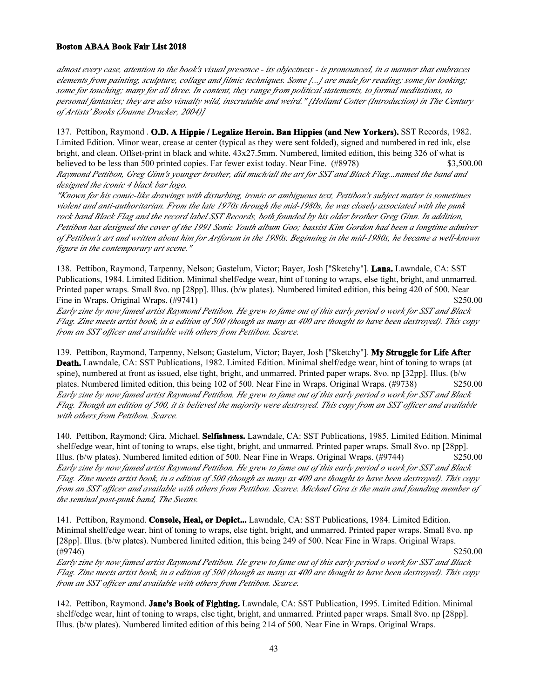*almost every case, attention to the book's visual presence - its objectness - is pronounced, in a manner that embraces elements from painting, sculpture, collage and filmic techniques. Some [...] are made for reading; some for looking; some for touching; many for all three. In content, they range from political statements, to formal meditations, to personal fantasies; they are also visually wild, inscrutable and weird." [Holland Cotter (Introduction) in The Century of Artists' Books (Joanne Drucker, 2004)]*

137. Pettibon, Raymond . **O.D. A Hippie / Legalize Heroin. Ban Hippies (and New Yorkers).** SST Records, 1982. Limited Edition. Minor wear, crease at center (typical as they were sent folded), signed and numbered in red ink, else bright, and clean. Offset-print in black and white. 43x27.5mm. Numbered, limited edition, this being 326 of what is believed to be less than 500 printed copies. Far fewer exist today. Near Fine. (#8978) \$3,500.00 *Raymond Pettibon, Greg Ginn's younger brother, did much/all the art for SST and Black Flag...named the band and*

*designed the iconic 4 black bar logo.*

*"Known for his comic-like drawings with disturbing, ironic or ambiguous text, Pettibon's subject matter is sometimes violent and anti-authoritarian. From the late 1970s through the mid-1980s, he was closely associated with the punk rock band Black Flag and the record label SST Records, both founded by his older brother Greg Ginn. In addition, Pettibon has designed the cover of the 1991 Sonic Youth album Goo; bassist Kim Gordon had been a longtime admirer of Pettibon's art and written about him for Artforum in the 1980s. Beginning in the mid-1980s, he became a well-known figure in the contemporary art scene."*

138. Pettibon, Raymond, Tarpenny, Nelson; Gastelum, Victor; Bayer, Josh ["Sketchy"]. **Lana.** Lawndale, CA: SST Publications, 1984. Limited Edition. Minimal shelf/edge wear, hint of toning to wraps, else tight, bright, and unmarred. Printed paper wraps. Small 8vo. np [28pp]. Illus. (b/w plates). Numbered limited edition, this being 420 of 500. Near Fine in Wraps. Original Wraps. (#9741) \$250.00

*Early zine by now famed artist Raymond Pettibon. He grew to fame out of this early period o work for SST and Black Flag. Zine meets artist book, in a edition of 500 (though as many as 400 are thought to have been destroyed). This copy from an SST officer and available with others from Pettibon. Scarce.*

139. Pettibon, Raymond, Tarpenny, Nelson; Gastelum, Victor; Bayer, Josh ["Sketchy"]. **My Struggle for Life After Death.** Lawndale, CA: SST Publications, 1982. Limited Edition. Minimal shelf/edge wear, hint of toning to wraps (at spine), numbered at front as issued, else tight, bright, and unmarred. Printed paper wraps. 8vo. np [32pp]. Illus. (b/w plates. Numbered limited edition, this being 102 of 500. Near Fine in Wraps. Original Wraps. (#9738) \$250.00 *Early zine by now famed artist Raymond Pettibon. He grew to fame out of this early period o work for SST and Black Flag. Though an edition of 500, it is believed the majority were destroyed. This copy from an SST officer and available with others from Pettibon. Scarce.*

140. Pettibon, Raymond; Gira, Michael. **Selfishness.** Lawndale, CA: SST Publications, 1985. Limited Edition. Minimal shelf/edge wear, hint of toning to wraps, else tight, bright, and unmarred. Printed paper wraps. Small 8vo. np [28pp]. Illus. (b/w plates). Numbered limited edition of 500. Near Fine in Wraps. Original Wraps. (#9744) \$250.00 *Early zine by now famed artist Raymond Pettibon. He grew to fame out of this early period o work for SST and Black Flag. Zine meets artist book, in a edition of 500 (though as many as 400 are thought to have been destroyed). This copy from an SST officer and available with others from Pettibon. Scarce. Michael Gira is the main and founding member of the seminal post-punk band, The Swans.*

141. Pettibon, Raymond. **Console, Heal, or Depict...** Lawndale, CA: SST Publications, 1984. Limited Edition. Minimal shelf/edge wear, hint of toning to wraps, else tight, bright, and unmarred. Printed paper wraps. Small 8vo. np [28pp]. Illus. (b/w plates). Numbered limited edition, this being 249 of 500. Near Fine in Wraps. Original Wraps. (#9746) \$250.00

*Early zine by now famed artist Raymond Pettibon. He grew to fame out of this early period o work for SST and Black Flag. Zine meets artist book, in a edition of 500 (though as many as 400 are thought to have been destroyed). This copy from an SST officer and available with others from Pettibon. Scarce.*

142. Pettibon, Raymond. **Jane's Book of Fighting.** Lawndale, CA: SST Publication, 1995. Limited Edition. Minimal shelf/edge wear, hint of toning to wraps, else tight, bright, and unmarred. Printed paper wraps. Small 8vo. np [28pp]. Illus. (b/w plates). Numbered limited edition of this being 214 of 500. Near Fine in Wraps. Original Wraps.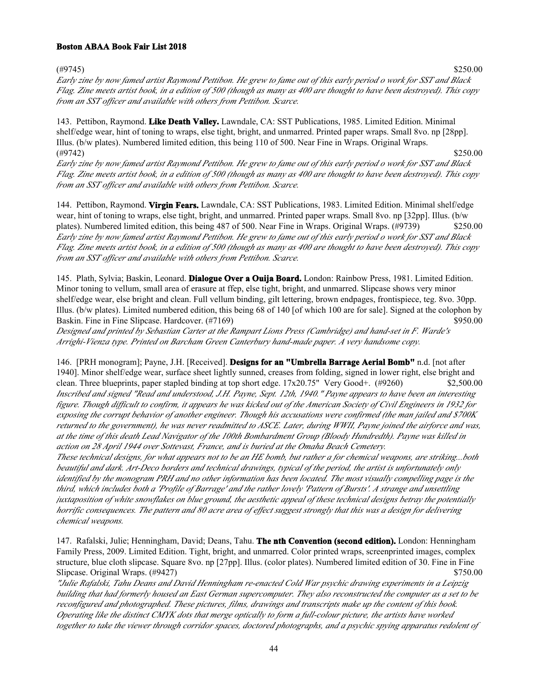(#9745) \$250.00

*Early zine by now famed artist Raymond Pettibon. He grew to fame out of this early period o work for SST and Black Flag. Zine meets artist book, in a edition of 500 (though as many as 400 are thought to have been destroyed). This copy from an SST officer and available with others from Pettibon. Scarce.*

143. Pettibon, Raymond. **Like Death Valley.** Lawndale, CA: SST Publications, 1985. Limited Edition. Minimal shelf/edge wear, hint of toning to wraps, else tight, bright, and unmarred. Printed paper wraps. Small 8vo. np [28pp]. Illus. (b/w plates). Numbered limited edition, this being 110 of 500. Near Fine in Wraps. Original Wraps. (#9742) \$250.00

*Early zine by now famed artist Raymond Pettibon. He grew to fame out of this early period o work for SST and Black Flag. Zine meets artist book, in a edition of 500 (though as many as 400 are thought to have been destroyed). This copy from an SST officer and available with others from Pettibon. Scarce.*

144. Pettibon, Raymond. **Virgin Fears.** Lawndale, CA: SST Publications, 1983. Limited Edition. Minimal shelf/edge wear, hint of toning to wraps, else tight, bright, and unmarred. Printed paper wraps. Small 8vo. np [32pp]. Illus. (b/w plates). Numbered limited edition, this being 487 of 500. Near Fine in Wraps. Original Wraps. (#9739) \$250.00 *Early zine by now famed artist Raymond Pettibon. He grew to fame out of this early period o work for SST and Black Flag. Zine meets artist book, in a edition of 500 (though as many as 400 are thought to have been destroyed). This copy from an SST officer and available with others from Pettibon. Scarce.*

145. Plath, Sylvia; Baskin, Leonard. **Dialogue Over a Ouija Board.** London: Rainbow Press, 1981. Limited Edition. Minor toning to vellum, small area of erasure at ffep, else tight, bright, and unmarred. Slipcase shows very minor shelf/edge wear, else bright and clean. Full vellum binding, gilt lettering, brown endpages, frontispiece, teg. 8vo. 30pp. Illus. (b/w plates). Limited numbered edition, this being 68 of 140 [of which 100 are for sale]. Signed at the colophon by Baskin. Fine in Fine Slipcase. Hardcover. (#7169) \$950.00

*Designed and printed by Sebastian Carter at the Rampart Lions Press (Cambridge) and hand-set in F. Warde's Arrighi-Vienza type. Printed on Barcham Green Canterbury hand-made paper. A very handsome copy.*

146. [PRH monogram]; Payne, J.H. [Received]. **Designs for an "Umbrella Barrage Aerial Bomb"** n.d. [not after 1940]. Minor shelf/edge wear, surface sheet lightly sunned, creases from folding, signed in lower right, else bright and clean. Three blueprints, paper stapled binding at top short edge. 17x20.75" Very Good+. (#9260) \$2,500.00 *Inscribed and signed "Read and understood, J.H. Payne, Sept. 12th, 1940." Payne appears to have been an interesting figure. Though difficult to confirm, it appears he was kicked out of the American Society of Civil Engineers in 1932 for exposing the corrupt behavior of another engineer. Though his accusations were confirmed (the man jailed and \$700K returned to the government), he was never readmitted to ASCE. Later, during WWII, Payne joined the airforce and was, at the time of this death Lead Navigator of the 100th Bombardment Group (Bloody Hundredth). Payne was killed in action on 28 April 1944 over Sottevast, France, and is buried at the Omaha Beach Cemetery.*

*These technical designs, for what appears not to be an HE bomb, but rather a for chemical weapons, are striking...both beautiful and dark. Art-Deco borders and technical drawings, typical of the period, the artist is unfortunately only identified by the monogram PRH and no other information has been located. The most visually compelling page is the third, which includes both a 'Profile of Barrage' and the rather lovely 'Pattern of Bursts'. A strange and unsettling juxtaposition of white snowflakes on blue ground, the aesthetic appeal of these technical designs betray the potentially horrific consequences. The pattern and 80 acre area of effect suggest strongly that this was a design for delivering chemical weapons.*

147. Rafalski, Julie; Henningham, David; Deans, Tahu. **The nth Convention (second edition).** London: Henningham Family Press, 2009. Limited Edition. Tight, bright, and unmarred. Color printed wraps, screenprinted images, complex structure, blue cloth slipcase. Square 8vo. np [27pp]. Illus. (color plates). Numbered limited edition of 30. Fine in Fine Slipcase. Original Wraps. (#9427) \$750.00

*"Julie Rafalski, Tahu Deans and David Henningham re-enacted Cold War psychic drawing experiments in a Leipzig building that had formerly housed an East German supercomputer. They also reconstructed the computer as a set to be reconfigured and photographed. These pictures, films, drawings and transcripts make up the content of this book. Operating like the distinct CMYK dots that merge optically to form a full-colour picture, the artists have worked together to take the viewer through corridor spaces, doctored photographs, and a psychic spying apparatus redolent of*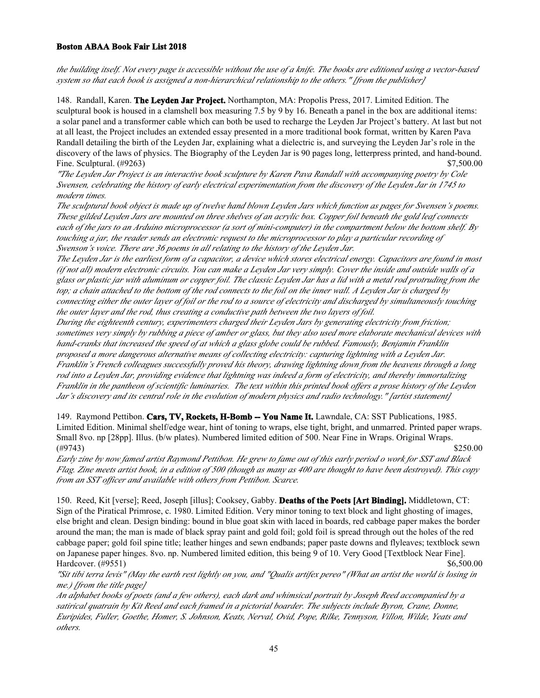*the building itself. Not every page is accessible without the use of a knife. The books are editioned using a vector-based system so that each book is assigned a non-hierarchical relationship to the others." [from the publisher]*

148. Randall, Karen. **The Leyden Jar Project.** Northampton, MA: Propolis Press, 2017. Limited Edition. The sculptural book is housed in a clamshell box measuring 7.5 by 9 by 16. Beneath a panel in the box are additional items: a solar panel and a transformer cable which can both be used to recharge the Leyden Jar Project's battery. At last but not at all least, the Project includes an extended essay presented in a more traditional book format, written by Karen Pava Randall detailing the birth of the Leyden Jar, explaining what a dielectric is, and surveying the Leyden Jar's role in the discovery of the laws of physics. The Biography of the Leyden Jar is 90 pages long, letterpress printed, and hand-bound. Fine. Sculptural. (#9263)  $\qquad$  \$7,500.00

*"The Leyden Jar Project is an interactive book sculpture by Karen Pava Randall with accompanying poetry by Cole Swensen, celebrating the history of early electrical experimentation from the discovery of the Leyden Jar in 1745 to modern times.*

*The sculptural book object is made up of twelve hand blown Leyden Jars which function as pages for Swensen's poems. These gilded Leyden Jars are mounted on three shelves of an acrylic box. Copper foil beneath the gold leaf connects each of the jars to an Arduino microprocessor (a sort of mini-computer) in the compartment below the bottom shelf. By touching a jar, the reader sends an electronic request to the microprocessor to play a particular recording of Swenson's voice. There are 36 poems in all relating to the history of the Leyden Jar.*

*The Leyden Jar is the earliest form of a capacitor, a device which stores electrical energy. Capacitors are found in most (if not all) modern electronic circuits. You can make a Leyden Jar very simply. Cover the inside and outside walls of a glass or plastic jar with aluminum or copper foil. The classic Leyden Jar has a lid with a metal rod protruding from the top; a chain attached to the bottom of the rod connects to the foil on the inner wall. A Leyden Jar is charged by connecting either the outer layer of foil or the rod to a source of electricity and discharged by simultaneously touching the outer layer and the rod, thus creating a conductive path between the two layers of foil.*

*During the eighteenth century, experimenters charged their Leyden Jars by generating electricity from friction; sometimes very simply by rubbing a piece of amber or glass, but they also used more elaborate mechanical devices with hand-cranks that increased the speed of at which a glass globe could be rubbed. Famously, Benjamin Franklin proposed a more dangerous alternative means of collecting electricity: capturing lightning with a Leyden Jar. Franklin's French colleagues successfully proved his theory, drawing lightning down from the heavens through a long rod into a Leyden Jar, providing evidence that lightning was indeed a form of electricity, and thereby immortalizing Franklin in the pantheon of scientific luminaries. The text within this printed book offers a prose history of the Leyden Jar's discovery and its central role in the evolution of modern physics and radio technology." [artist statement]*

149. Raymond Pettibon. **Cars, TV, Rockets, H-Bomb -- You Name It.** Lawndale, CA: SST Publications, 1985. Limited Edition. Minimal shelf/edge wear, hint of toning to wraps, else tight, bright, and unmarred. Printed paper wraps. Small 8vo. np [28pp]. Illus. (b/w plates). Numbered limited edition of 500. Near Fine in Wraps. Original Wraps. (#9743) \$250.00

*Early zine by now famed artist Raymond Pettibon. He grew to fame out of this early period o work for SST and Black Flag. Zine meets artist book, in a edition of 500 (though as many as 400 are thought to have been destroyed). This copy from an SST officer and available with others from Pettibon. Scarce.*

150. Reed, Kit [verse]; Reed, Joseph [illus]; Cooksey, Gabby. **Deaths of the Poets [Art Binding].** Middletown, CT: Sign of the Piratical Primrose, c. 1980. Limited Edition. Very minor toning to text block and light ghosting of images, else bright and clean. Design binding: bound in blue goat skin with laced in boards, red cabbage paper makes the border around the man; the man is made of black spray paint and gold foil; gold foil is spread through out the holes of the red cabbage paper; gold foil spine title; leather hinges and sewn endbands; paper paste downs and flyleaves; textblock sewn on Japanese paper hinges. 8vo. np. Numbered limited edition, this being 9 of 10. Very Good [Textblock Near Fine]. Hardcover. (#9551) \$6,500.00

*"Sit tibi terra levis" (May the earth rest lightly on you, and "Qualis artifex pereo" (What an artist the world is losing in me.) [from the title page]*

*An alphabet books of poets (and a few others), each dark and whimsical portrait by Joseph Reed accompanied by a satirical quatrain by Kit Reed and each framed in a pictorial boarder. The subjects include Byron, Crane, Donne, Euripides, Fuller, Goethe, Homer, S. Johnson, Keats, Nerval, Ovid, Pope, Rilke, Tennyson, Villon, Wilde, Yeats and others.*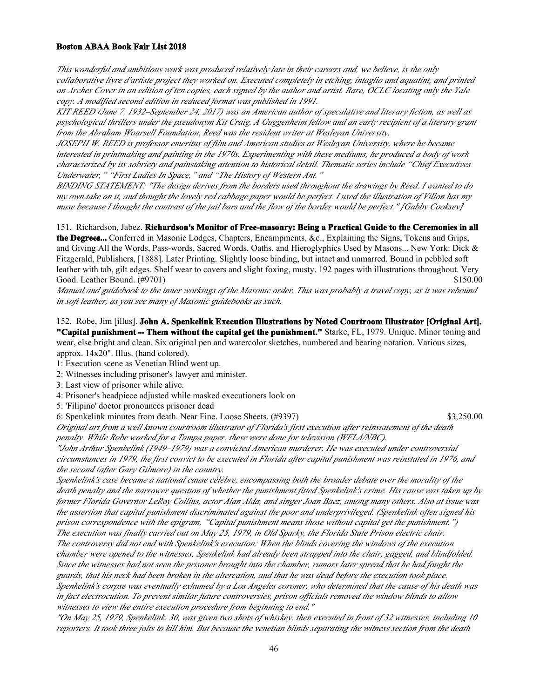*This wonderful and ambitious work was produced relatively late in their careers and, we believe, is the only collaborative livre d'artiste project they worked on. Executed completely in etching, intaglio and aquatint, and printed on Arches Cover in an edition of ten copies, each signed by the author and artist. Rare, OCLC locating only the Yale copy. A modified second edition in reduced format was published in 1991.*

*KIT REED (June 7, 1932–September 24, 2017) was an American author of speculative and literary fiction, as well as psychological thrillers under the pseudonym Kit Craig. A Guggenheim fellow and an early recipient of a literary grant from the Abraham Woursell Foundation, Reed was the resident writer at Wesleyan University.*

*JOSEPH W. REED is professor emeritus of film and American studies at Wesleyan University, where he became interested in printmaking and painting in the 1970s. Experimenting with these mediums, he produced a body of work characterized by its sobriety and painstaking attention to historical detail. Thematic series include "Chief Executives Underwater," "First Ladies In Space," and "The History of Western Ant."*

*BINDING STATEMENT: "The design derives from the borders used throughout the drawings by Reed. I wanted to do my own take on it, and thought the lovely red cabbage paper would be perfect. I used the illustration of Villon has my muse because I thought the contrast of the jail bars and the flow of the border would be perfect." [Gabby Cooksey]*

151. Richardson, Jabez. **Richardson's Monitor of Free-masonry: Being a Practical Guide to the Ceremonies in all**

**the Degrees...** Conferred in Masonic Lodges, Chapters, Encampments, &c., Explaining the Signs, Tokens and Grips, and Giving All the Words, Pass-words, Sacred Words, Oaths, and Hieroglyphics Used by Masons... New York: Dick & Fitzgerald, Publishers, [1888]. Later Printing. Slightly loose binding, but intact and unmarred. Bound in pebbled soft leather with tab, gilt edges. Shelf wear to covers and slight foxing, musty. 192 pages with illustrations throughout. Very Good. Leather Bound. (#9701) \$150.00

*Manual and guidebook to the inner workings of the Masonic order. This was probably a travel copy, as it was rebound in soft leather, as you see many of Masonic guidebooks as such.*

152. Robe, Jim [illus]. **John A. Spenkelink Execution Illustrations by Noted Courtroom Illustrator [Original Art]. "Capital punishment – Them without the capital get the punishment."** Starke, FL, 1979. Unique. Minor toning and wear, else bright and clean. Six original pen and watercolor sketches, numbered and bearing notation. Various sizes, approx. 14x20". Illus. (hand colored).

1: Execution scene as Venetian Blind went up.

2: Witnesses including prisoner's lawyer and minister.

3: Last view of prisoner while alive.

4: Prisoner's headpiece adjusted while masked executioners look on

5: 'Filipino' doctor pronounces prisoner dead

6: Spenkelink minutes from death. Near Fine. Loose Sheets. (#9397) \$3,250.00

*Original art from a well known courtroom illustrator of Florida's first execution after reinstatement of the death penalty. While Robe worked for a Tampa paper, these were done for television (WFLA/NBC).*

*"John Arthur Spenkelink (1949–1979) was a convicted American murderer. He was executed under controversial circumstances in 1979, the first convict to be executed in Florida after capital punishment was reinstated in 1976, and the second (after Gary Gilmore) in the country.*

*Spenkelink's case became a national cause célèbre, encompassing both the broader debate over the morality of the death penalty and the narrower question of whether the punishment fitted Spenkelink's crime. His cause was taken up by former Florida Governor LeRoy Collins, actor Alan Alda, and singer Joan Baez, among many others. Also at issue was the assertion that capital punishment discriminated against the poor and underprivileged. (Spenkelink often signed his prison correspondence with the epigram, "Capital punishment means those without capital get the punishment.") The execution was finally carried out on May 25, 1979, in Old Sparky, the Florida State Prison electric chair. The controversy did not end with Spenkelink's execution: When the blinds covering the windows of the execution chamber were opened to the witnesses, Spenkelink had already been strapped into the chair, gagged, and blindfolded. Since the witnesses had not seen the prisoner brought into the chamber, rumors later spread that he had fought the guards, that his neck had been broken in the altercation, and that he was dead before the execution took place. Spenkelink's corpse was eventually exhumed by a Los Angeles coroner, who determined that the cause of his death was in fact electrocution. To prevent similar future controversies, prison officials removed the window blinds to allow witnesses to view the entire execution procedure from beginning to end."*

*"On May 25, 1979, Spenkelink, 30, was given two shots of whiskey, then executed in front of 32 witnesses, including 10 reporters. It took three jolts to kill him. But because the venetian blinds separating the witness section from the death*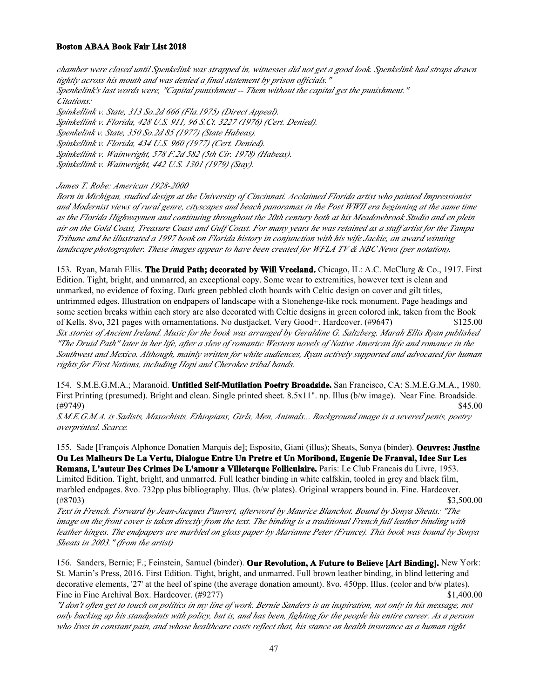*chamber were closed until Spenkelink was strapped in, witnesses did not get a good look. Spenkelink had straps drawn tightly across his mouth and was denied a final statement by prison officials." Spenkelink's last words were, "Capital punishment -- Them without the capital get the punishment." Citations: Spinkellink v. State, 313 So.2d 666 (Fla.1975) (Direct Appeal). Spinkellink v. Florida, 428 U.S. 911, 96 S.Ct. 3227 (1976) (Cert. Denied). Spenkelink v. State, 350 So.2d 85 (1977) (State Habeas). Spinkellink v. Florida, 434 U.S. 960 (1977) (Cert. Denied). Spinkellink v. Wainwright, 578 F.2d 582 (5th Cir. 1978) (Habeas). Spinkellink v. Wainwright, 442 U.S. 1301 (1979) (Stay).*

#### *James T. Robe: American 1928-2000*

*Born in Michigan, studied design at the University of Cincinnati. Acclaimed Florida artist who painted Impressionist and Modernist views of rural genre, cityscapes and beach panoramas in the Post WWII era beginning at the same time as the Florida Highwaymen and continuing throughout the 20th century both at his Meadowbrook Studio and en plein air on the Gold Coast, Treasure Coast and Gulf Coast. For many years he was retained as a staff artist for the Tampa Tribune and he illustrated a 1997 book on Florida history in conjunction with his wife Jackie, an award winning landscape photographer. These images appear to have been created for WFLA TV & NBC News (per notation).*

153. Ryan, Marah Ellis. **The Druid Path; decorated by Will Vreeland.** Chicago, IL: A.C. McClurg & Co., 1917. First Edition. Tight, bright, and unmarred, an exceptional copy. Some wear to extremities, however text is clean and unmarked, no evidence of foxing. Dark green pebbled cloth boards with Celtic design on cover and gilt titles, untrimmed edges. Illustration on endpapers of landscape with a Stonehenge-like rock monument. Page headings and some section breaks within each story are also decorated with Celtic designs in green colored ink, taken from the Book of Kells. 8vo, 321 pages with ornamentations. No dustjacket. Very Good+. Hardcover. (#9647) \$125.00 *Six stories of Ancient Ireland. Music for the book was arranged by Geraldine G. Saltzberg. Marah Ellis Ryan published "The Druid Path" later in her life, after a slew of romantic Western novels of Native American life and romance in the Southwest and Mexico. Although, mainly written for white audiences, Ryan actively supported and advocated for human rights for First Nations, including Hopi and Cherokee tribal bands.*

154. S.M.E.G.M.A.; Maranoid. **Untitled Self-Mutilation Poetry Broadside.** San Francisco, CA: S.M.E.G.M.A., 1980. First Printing (presumed). Bright and clean. Single printed sheet. 8.5x11". np. Illus (b/w image). Near Fine. Broadside. (#9749) \$45.00

*S.M.E.G.M.A. is Sadists, Masochists, Ethiopians, Girls, Men, Animals... Background image is a severed penis, poetry overprinted. Scarce.*

155. Sade [François Alphonce Donatien Marquis de]; Esposito, Giani (illus); Sheats, Sonya (binder). **Oeuvres: Justine Ou Les Malheurs De La Vertu, Dialogue Entre Un Pretre et Un Moribond, Eugenie De Franval, Idee Sur Les Romans, L'auteur Des Crimes De L'amour a Villeterque Folliculaire.** Paris: Le Club Francais du Livre, 1953. Limited Edition. Tight, bright, and unmarred. Full leather binding in white calfskin, tooled in grey and black film, marbled endpages. 8vo. 732pp plus bibliography. Illus. (b/w plates). Original wrappers bound in. Fine. Hardcover.  $(#8703)$  \$3,500.00

*Text in French. Forward by Jean-Jacques Pauvert, afterword by Maurice Blanchot. Bound by Sonya Sheats: "The image on the front cover is taken directly from the text. The binding is a traditional French full leather binding with leather hinges. The endpapers are marbled on gloss paper by Marianne Peter (France). This book was bound by Sonya Sheats in 2003." (from the artist)*

156. Sanders, Bernie; F.; Feinstein, Samuel (binder). **Our Revolution, A Future to Believe [Art Binding].** New York: St. Martin's Press, 2016. First Edition. Tight, bright, and unmarred. Full brown leather binding, in blind lettering and decorative elements, '27' at the heel of spine (the average donation amount). 8vo. 450pp. Illus. (color and b/w plates). Fine in Fine Archival Box. Hardcover. (#9277) \$1,400.00

*"I don't often get to touch on politics in my line of work. Bernie Sanders is an inspiration, not only in his message, not only backing up his standpoints with policy, but is, and has been, fighting for the people his entire career. As a person who lives in constant pain, and whose healthcare costs reflect that, his stance on health insurance as a human right*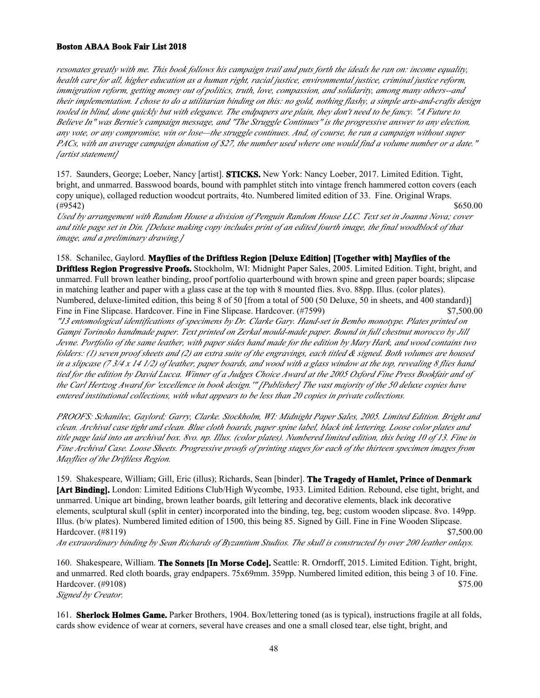*resonates greatly with me. This book follows his campaign trail and puts forth the ideals he ran on: income equality, health care for all, higher education as a human right, racial justice, environmental justice, criminal justice reform, immigration reform, getting money out of politics, truth, love, compassion, and solidarity, among many others--and their implementation. I chose to do a utilitarian binding on this: no gold, nothing flashy, a simple arts-and-crafts design tooled in blind, done quickly but with elegance. The endpapers are plain, they don't need to be fancy. "A Future to Believe In" was Bernie's campaign message, and "The Struggle Continues" is the progressive answer to any election, any vote, or any compromise, win or lose—the struggle continues. And, of course, he ran a campaign without super PACs, with an average campaign donation of \$27, the number used where one would find a volume number or a date." [artist statement]*

157. Saunders, George; Loeber, Nancy [artist]. **STICKS.** New York: Nancy Loeber, 2017. Limited Edition. Tight, bright, and unmarred. Basswood boards, bound with pamphlet stitch into vintage french hammered cotton covers (each copy unique), collaged reduction woodcut portraits, 4to. Numbered limited edition of 33. Fine. Original Wraps. (#9542) \$650.00

*Used by arrangement with Random House a division of Penguin Random House LLC. Text set in Joanna Nova; cover and title page set in Din. [Deluxe making copy includes print of an edited fourth image, the final woodblock of that image, and a preliminary drawing.]*

#### 158. Schanilec, Gaylord. **Mayflies of the Driftless Region [Deluxe Edition] [Together with] Mayflies of the**

**Driftless Region Progressive Proofs.** Stockholm, WI: Midnight Paper Sales, 2005. Limited Edition. Tight, bright, and unmarred. Full brown leather binding, proof portfolio quarterbound with brown spine and green paper boards; slipcase in matching leather and paper with a glass case at the top with 8 mounted flies. 8vo. 88pp. Illus. (color plates). Numbered, deluxe-limited edition, this being 8 of 50 [from a total of 500 (50 Deluxe, 50 in sheets, and 400 standard)] Fine in Fine Slipcase. Hardcover. Fine in Fine Slipcase. Hardcover. (#7599) \$7,500.00

*"13 entomological identifications of specimens by Dr. Clarke Gary. Hand-set in Bembo monotype. Plates printed on Gampi Torinoko handmade paper. Text printed on Zerkal mould-made paper. Bound in full chestnut morocco by Jill Jevne. Portfolio of the same leather, with paper sides hand made for the edition by Mary Hark, and wood contains two folders: (1) seven proof sheets and (2) an extra suite of the engravings, each titled & signed. Both volumes are housed in a slipcase (7 3/4 x 14 1/2) of leather, paper boards, and wood with a glass window at the top, revealing 8 flies hand tied for the edition by David Lucca. Winner of a Judges Choice Award at the 2005 Oxford Fine Press Bookfair and of the Carl Hertzog Award for 'excellence in book design.'" [Publisher] The vast majority of the 50 deluxe copies have entered institutional collections, with what appears to be less than 20 copies in private collections.*

*PROOFS: Schanilec, Gaylord; Garry, Clarke. Stockholm, WI: Midnight Paper Sales, 2005. Limited Edition. Bright and clean. Archival case tight and clean. Blue cloth boards, paper spine label, black ink lettering. Loose color plates and title page laid into an archival box. 8vo. np. Illus. (color plates). Numbered limited edition, this being 10 of 13. Fine in Fine Archival Case. Loose Sheets. Progressive proofs of printing stages for each of the thirteen specimen images from Mayflies of the Driftless Region.*

159. Shakespeare, William; Gill, Eric (illus); Richards, Sean [binder]. **The Tragedy of Hamlet, Prince of Denmark [Art Binding].** London: Limited Editions Club/High Wycombe, 1933. Limited Edition. Rebound, else tight, bright, and unmarred. Unique art binding, brown leather boards, gilt lettering and decorative elements, black ink decorative elements, sculptural skull (split in center) incorporated into the binding, teg, beg; custom wooden slipcase. 8vo. 149pp. Illus. (b/w plates). Numbered limited edition of 1500, this being 85. Signed by Gill. Fine in Fine Wooden Slipcase. Hardcover. (#8119) \$7,500.00 *An extraordinary binding by Sean Richards of Byzantium Studios. The skull is constructed by over 200 leather onlays.*

160. Shakespeare, William. **The Sonnets [In Morse Code].** Seattle: R. Orndorff, 2015. Limited Edition. Tight, bright, and unmarred. Red cloth boards, gray endpapers. 75x69mm. 359pp. Numbered limited edition, this being 3 of 10. Fine. Hardcover. (#9108) \$75.00 *Signed by Creator.*

161. **Sherlock Holmes Game.** Parker Brothers, 1904. Box/lettering toned (as is typical), instructions fragile at all folds, cards show evidence of wear at corners, several have creases and one a small closed tear, else tight, bright, and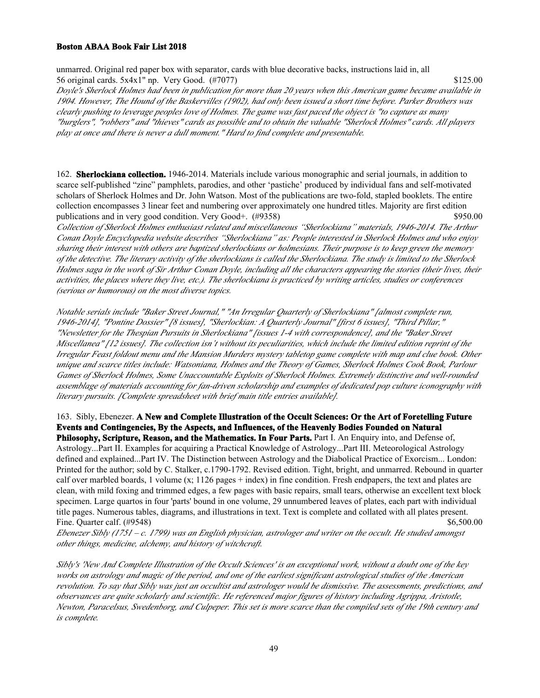unmarred. Original red paper box with separator, cards with blue decorative backs, instructions laid in, all 56 original cards. 5x4x1" np. Very Good. (#7077) \$125.00

*Doyle's Sherlock Holmes had been in publication for more than 20 years when this American game became available in 1904. However, The Hound of the Baskervilles (1902), had only been issued a short time before. Parker Brothers was clearly pushing to leverage peoples love of Holmes. The game was fast paced the object is "to capture as many "burglers", "robbers" and "thieves" cards as possible and to obtain the valuable "Sherlock Holmes" cards. All players play at once and there is never a dull moment." Hard to find complete and presentable.*

162. **Sherlockiana collection.** 1946-2014. Materials include various monographic and serial journals, in addition to scarce self-published "zine" pamphlets, parodies, and other 'pastiche' produced by individual fans and self-motivated scholars of Sherlock Holmes and Dr. John Watson. Most of the publications are two-fold, stapled booklets. The entire collection encompasses 3 linear feet and numbering over approximately one hundred titles. Majority are first edition publications and in very good condition. Very Good+. (#9358) \$950.00

*Collection of Sherlock Holmes enthusiast related and miscellaneous "Sherlockiana" materials, 1946-2014. The Arthur Conan Doyle Encyclopedia website describes "Sherlockiana" as: People interested in Sherlock Holmes and who enjoy sharing their interest with others are baptized sherlockians or holmesians. Their purpose is to keep green the memory of the detective. The literary activity of the sherlockians is called the Sherlockiana. The study is limited to the Sherlock Holmes saga in the work of Sir Arthur Conan Doyle, including all the characters appearing the stories (their lives, their activities, the places where they live, etc.). The sherlockiana is practiced by writing articles, studies or conferences (serious or humorous) on the most diverse topics.*

*Notable serials include "Baker Street Journal," "An Irregular Quarterly of Sherlockiana" [almost complete run, 1946-2014], "Pontine Dossier" [8 issues], "Sherlockian: A Quarterly Journal" [first 6 issues], "Third Pillar," "Newsletter for the Thespian Pursuits in Sherlockiana" [issues 1-4 with correspondence], and the "Baker Street Miscellanea" [12 issues]. The collection isn't without its peculiarities, which include the limited edition reprint of the Irregular Feast foldout menu and the Mansion Murders mystery tabletop game complete with map and clue book. Other unique and scarce titles include: Watsoniana, Holmes and the Theory of Games, Sherlock Holmes Cook Book, Parlour Games of Sherlock Holmes, Some Unaccountable Exploits of Sherlock Holmes. Extremely distinctive and well-rounded assemblage of materials accounting for fan-driven scholarship and examples of dedicated pop culture iconography with literary pursuits. [Complete spreadsheet with brief main title entries available].*

# 163. Sibly, Ebenezer. **A New and Complete Illustration of the Occult Sciences: Or the Art of Foretelling Future Events and Contingencies, By the Aspects, and Influences, of the Heavenly Bodies Founded on Natural**

**Philosophy, Scripture, Reason, and the Mathematics. In Four Parts.** Part I. An Enquiry into, and Defense of, Astrology...Part II. Examples for acquiring a Practical Knowledge of Astrology...Part III. Meteorological Astrology defined and explained...Part IV. The Distinction between Astrology and the Diabolical Practice of Exorcism... London: Printed for the author; sold by C. Stalker, c.1790-1792. Revised edition. Tight, bright, and unmarred. Rebound in quarter calf over marbled boards, 1 volume  $(x; 1126$  pages  $+$  index) in fine condition. Fresh endpapers, the text and plates are clean, with mild foxing and trimmed edges, a few pages with basic repairs, small tears, otherwise an excellent text block specimen. Large quartos in four 'parts' bound in one volume, 29 unnumbered leaves of plates, each part with individual title pages. Numerous tables, diagrams, and illustrations in text. Text is complete and collated with all plates present. Fine. Quarter calf. (#9548)  $\text{56,500.00}$ 

*Ebenezer Sibly (1751 – c. 1799) was an English physician, astrologer and writer on the occult. He studied amongst other things, medicine, alchemy, and history of witchcraft.*

*Sibly's 'New And Complete Illustration of the Occult Sciences' is an exceptional work, without a doubt one of the key works on astrology and magic of the period, and one of the earliest significant astrological studies of the American revolution. To say that Sibly was just an occultist and astrologer would be dismissive. The assessments, predictions, and observances are quite scholarly and scientific. He referenced major figures of history including Agrippa, Aristotle, Newton, Paracelsus, Swedenborg, and Culpeper. This set is more scarce than the compiled sets of the 19th century and is complete.*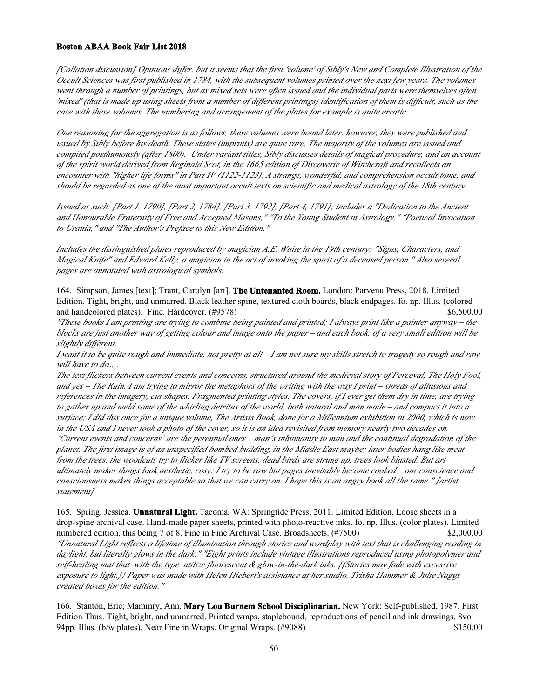*[Collation discussion] Opinions differ, but it seems that the first 'volume' of Sibly's New and Complete Illustration of the Occult Sciences was first published in 1784, with the subsequent volumes printed over the next few years. The volumes went through a number of printings, but as mixed sets were often issued and the individual parts were themselves often 'mixed' (that is made up using sheets from a number of different printings) identification of them is difficult, such as the case with these volumes. The numbering and arrangement of the plates for example is quite erratic.*

*One reasoning for the aggregation is as follows, these volumes were bound later, however, they were published and issued by Sibly before his death. These states (imprints) are quite rare. The majority of the volumes are issued and compiled posthumously (after 1800). Under variant titles, Sibly discusses details of magical procedure, and an account of the spirit world derived from Reginald Scot, in the 1665 edition of Discoverie of Witchcraft and recollects an encounter with "higher life forms" in Part IV (1122-1123). A strange, wonderful, and comprehension occult tome, and should be regarded as one of the most important occult texts on scientific and medical astrology of the 18th century.*

*Issued as such: [Part 1, 1790], [Part 2, 1784], [Part 3, 1792], [Part 4, 1791]; includes a "Dedication to the Ancient and Honourable Fraternity of Free and Accepted Masons," "To the Young Student in Astrology," "Poetical Invocation to Urania," and "The Author's Preface to this New Edition."*

*Includes the distinguished plates reproduced by magician A.E. Waite in the 19th century: "Signs, Characters, and Magical Knife" and Edward Kelly, a magician in the act of invoking the spirit of a deceased person." Also several pages are annotated with astrological symbols.*

164. Simpson, James [text]; Trant, Carolyn [art]. **The Untenanted Room.** London: Parvenu Press, 2018. Limited Edition. Tight, bright, and unmarred. Black leather spine, textured cloth boards, black endpages. fo. np. Illus. (colored and handcolored plates). Fine. Hardcover. (#9578) \$6,500.00

*"These books I am printing are trying to combine being painted and printed; I always print like a painter anyway – the blocks are just another way of getting colour and image onto the paper – and each book, of a very small edition will be slightly different.*

*I want it to be quite rough and immediate, not pretty at all – I am not sure my skills stretch to tragedy so rough and raw will have to do….*

*The text flickers between current events and concerns, structured around the medieval story of Perceval, The Holy Fool, and yes – The Ruin. I am trying to mirror the metaphors of the writing with the way I print – shreds of allusions and references in the imagery, cut shapes. Fragmented printing styles. The covers, if I ever get them dry in time, are trying to gather up and meld some of the whirling detritus of the world, both natural and man made – and compact it into a surface; I did this once for a unique volume, The Artists Book, done for a Millennium exhibition in 2000, which is now in the USA and I never took a photo of the cover, so it is an idea revisited from memory nearly two decades on. 'Current events and concerns' are the perennial ones – man's inhumanity to man and the continual degradation of the planet. The first image is of an unspecified bombed building, in the Middle East maybe; later bodies hang like meat from the trees, the woodcuts try to flicker like TV screens, dead birds are strung up, trees look blasted. But art ultimately makes things look aesthetic, cosy: I try to be raw but pages inevitably become cooked – our conscience and consciousness makes things acceptable so that we can carry on. I hope this is an angry book all the same." [artist statement]*

165. Spring, Jessica. **Unnatural Light.** Tacoma, WA: Springtide Press, 2011. Limited Edition. Loose sheets in a drop-spine archival case. Hand-made paper sheets, printed with photo-reactive inks. fo. np. Illus. (color plates). Limited numbered edition, this being 7 of 8. Fine in Fine Archival Case. Broadsheets. (#7500) \$2,000.00 *"Unnatural Light reflects a lifetime of illumination through stories and wordplay with text that is challenging reading in daylight, but literally glows in the dark." "Eight prints include vintage illustrations reproduced using photopolymer and self-healing mat that–with the type–utilize fluorescent & glow-in-the-dark inks. {{Stories may fade with excessive exposure to light.}} Paper was made with Helen Hiebert's assistance at her studio. Trisha Hammer & Julie Naggs created boxes for the edition."*

166. Stanton, Eric; Mammry, Ann. **Mary Lou Burnem School Disciplinarian.** New York: Self-published, 1987. First Edition Thus. Tight, bright, and unmarred. Printed wraps, staplebound, reproductions of pencil and ink drawings. 8vo. 94pp. Illus. (b/w plates). Near Fine in Wraps. Original Wraps. (#9088) \$150.00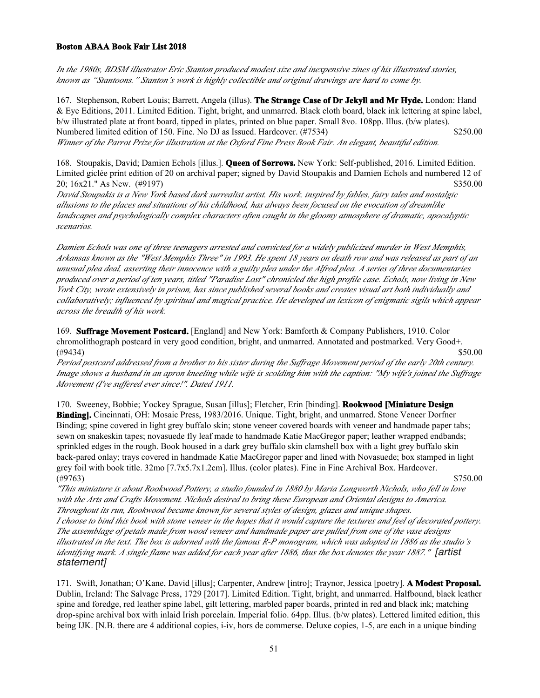*In the 1980s, BDSM illustrator Eric Stanton produced modest size and inexpensive zines of his illustrated stories, known as "Stantoons." Stanton's work is highly collectible and original drawings are hard to come by.*

167. Stephenson, Robert Louis; Barrett, Angela (illus). **The Strange Case of Dr Jekyll and Mr Hyde.** London: Hand & Eye Editions, 2011. Limited Edition. Tight, bright, and unmarred. Black cloth board, black ink lettering at spine label, b/w illustrated plate at front board, tipped in plates, printed on blue paper. Small 8vo. 108pp. Illus. (b/w plates). Numbered limited edition of 150. Fine. No DJ as Issued. Hardcover. (#7534) \$250.00 *Winner of the Parrot Prize for illustration at the Oxford Fine Press Book Fair. An elegant, beautiful edition.*

168. Stoupakis, David; Damien Echols [illus.]. **Queen of Sorrows.** New York: Self-published, 2016. Limited Edition. Limited giclée print edition of 20 on archival paper; signed by David Stoupakis and Damien Echols and numbered 12 of 20; 16x21." As New. (#9197) \$350.00

*David Stoupakis is a New York based dark surrealist artist. His work, inspired by fables, fairy tales and nostalgic allusions to the places and situations of his childhood, has always been focused on the evocation of dreamlike landscapes and psychologically complex characters often caught in the gloomy atmosphere of dramatic, apocalyptic scenarios.*

*Damien Echols was one of three teenagers arrested and convicted for a widely publicized murder in West Memphis, Arkansas known as the "West Memphis Three" in 1993. He spent 18 years on death row and was released as part of an unusual plea deal, asserting their innocence with a guilty plea under the Alfrod plea. A series of three documentaries produced over a period of ten years, titled "Paradise Lost" chronicled the high profile case. Echols, now living in New York City, wrote extensively in prison, has since published several books and creates visual art both individually and collaboratively; influenced by spiritual and magical practice. He developed an lexicon of enigmatic sigils which appear across the breadth of his work.*

169. **Suffrage Movement Postcard.** [England] and New York: Bamforth & Company Publishers, 1910. Color chromolithograph postcard in very good condition, bright, and unmarred. Annotated and postmarked. Very Good+. (#9434) \$50.00

*Period postcard addressed from a brother to his sister during the Suffrage Movement period of the early 20th century. Image shows a husband in an apron kneeling while wife is scolding him with the caption: "My wife's joined the Suffrage Movement (I've suffered ever since!". Dated 1911.*

170. Sweeney, Bobbie; Yockey Sprague, Susan [illus]; Fletcher, Erin [binding]. **Rookwood [Miniature Design Binding].** Cincinnati, OH: Mosaic Press, 1983/2016. Unique. Tight, bright, and unmarred. Stone Veneer Dorfner Binding; spine covered in light grey buffalo skin; stone veneer covered boards with veneer and handmade paper tabs; sewn on snakeskin tapes; novasuede fly leaf made to handmade Katie MacGregor paper; leather wrapped endbands; sprinkled edges in the rough. Book housed in a dark grey buffalo skin clamshell box with a light grey buffalo skin back-pared onlay; trays covered in handmade Katie MacGregor paper and lined with Novasuede; box stamped in light grey foil with book title. 32mo [7.7x5.7x1.2cm]. Illus. (color plates). Fine in Fine Archival Box. Hardcover. (#9763) \$750.00

*"This miniature is about Rookwood Pottery, a studio founded in 1880 by Maria Longworth Nichols, who fell in love with the Arts and Crafts Movement. Nichols desired to bring these European and Oriental designs to America. Throughout its run, Rookwood became known for several styles of design, glazes and unique shapes. I choose to bind this book with stone veneer in the hopes that it would capture the textures and feel of decorated pottery. The assemblage of petals made from wood veneer and handmade paper are pulled from one of the vase designs illustrated in the text. The box is adorned with the famous R-P monogram, which was adopted in 1886 as the studio's identifying mark. A single flame was added for each year after 1886, thus the box denotes the year 1887." [artist statement]*

171. Swift, Jonathan; O'Kane, David [illus]; Carpenter, Andrew [intro]; Traynor, Jessica [poetry]. **A Modest Proposal.** Dublin, Ireland: The Salvage Press, 1729 [2017]. Limited Edition. Tight, bright, and unmarred. Halfbound, black leather spine and foredge, red leather spine label, gilt lettering, marbled paper boards, printed in red and black ink; matching drop-spine archival box with inlaid Irish porcelain. Imperial folio. 64pp. Illus. (b/w plates). Lettered limited edition, this being IJK. [N.B. there are 4 additional copies, i-iv, hors de commerse. Deluxe copies, 1-5, are each in a unique binding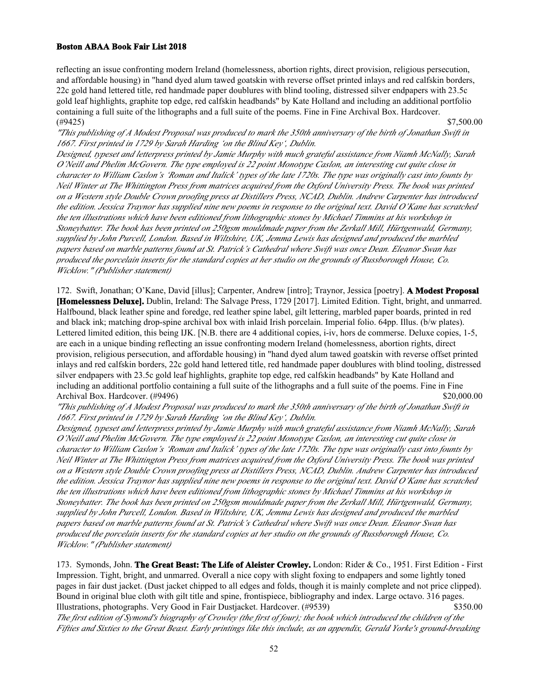reflecting an issue confronting modern Ireland (homelessness, abortion rights, direct provision, religious persecution, and affordable housing) in "hand dyed alum tawed goatskin with reverse offset printed inlays and red calfskin borders, 22c gold hand lettered title, red handmade paper doublures with blind tooling, distressed silver endpapers with 23.5c gold leaf highlights, graphite top edge, red calfskin headbands" by Kate Holland and including an additional portfolio containing a full suite of the lithographs and a full suite of the poems. Fine in Fine Archival Box. Hardcover. (#9425) \$7,500.00

*"This publishing of A Modest Proposal was produced to mark the 350th anniversary of the birth of Jonathan Swift in 1667. First printed in 1729 by Sarah Harding 'on the Blind Key', Dublin.*

*Designed, typeset and letterpress printed by Jamie Murphy with much grateful assistance from Niamh McNally, Sarah O'Neill and Phelim McGovern. The type employed is 22 point Monotype Caslon, an interesting cut quite close in character to William Caslon's 'Roman and Italick' types of the late 1720s. The type was originally cast into founts by Neil Winter at The Whittington Press from matrices acquired from the Oxford University Press. The book was printed on a Western style Double Crown proofing press at Distillers Press, NCAD, Dublin. Andrew Carpenter has introduced the edition. Jessica Traynor has supplied nine new poems in response to the original text. David O'Kane has scratched the ten illustrations which have been editioned from lithographic stones by Michael Timmins at his workshop in Stoneybatter. The book has been printed on 250gsm mouldmade paper from the Zerkall Mill, Hürtgenwald, Germany, supplied by John Purcell, London. Based in Wiltshire, UK, Jemma Lewis has designed and produced the marbled papers based on marble patterns found at St. Patrick's Cathedral where Swift was once Dean. Eleanor Swan has produced the porcelain inserts for the standard copies at her studio on the grounds of Russborough House, Co. Wicklow." (Publisher statement)*

172. Swift, Jonathan; O'Kane, David [illus]; Carpenter, Andrew [intro]; Traynor, Jessica [poetry]. **A Modest Proposal [Homelessness Deluxe].** Dublin, Ireland: The Salvage Press, 1729 [2017]. Limited Edition. Tight, bright, and unmarred. Halfbound, black leather spine and foredge, red leather spine label, gilt lettering, marbled paper boards, printed in red and black ink; matching drop-spine archival box with inlaid Irish porcelain. Imperial folio. 64pp. Illus. (b/w plates). Lettered limited edition, this being IJK. [N.B. there are 4 additional copies, i-iv, hors de commerse. Deluxe copies, 1-5, are each in a unique binding reflecting an issue confronting modern Ireland (homelessness, abortion rights, direct provision, religious persecution, and affordable housing) in "hand dyed alum tawed goatskin with reverse offset printed inlays and red calfskin borders, 22c gold hand lettered title, red handmade paper doublures with blind tooling, distressed silver endpapers with 23.5c gold leaf highlights, graphite top edge, red calfskin headbands" by Kate Holland and including an additional portfolio containing a full suite of the lithographs and a full suite of the poems. Fine in Fine Archival Box. Hardcover. (#9496)  $$20,000.00$ 

*"This publishing of A Modest Proposal was produced to mark the 350th anniversary of the birth of Jonathan Swift in 1667. First printed in 1729 by Sarah Harding 'on the Blind Key', Dublin.*

*Designed, typeset and letterpress printed by Jamie Murphy with much grateful assistance from Niamh McNally, Sarah O'Neill and Phelim McGovern. The type employed is 22 point Monotype Caslon, an interesting cut quite close in character to William Caslon's 'Roman and Italick' types of the late 1720s. The type was originally cast into founts by Neil Winter at The Whittington Press from matrices acquired from the Oxford University Press. The book was printed on a Western style Double Crown proofing press at Distillers Press, NCAD, Dublin. Andrew Carpenter has introduced the edition. Jessica Traynor has supplied nine new poems in response to the original text. David O'Kane has scratched the ten illustrations which have been editioned from lithographic stones by Michael Timmins at his workshop in Stoneybatter. The book has been printed on 250gsm mouldmade paper from the Zerkall Mill, Hürtgenwald, Germany, supplied by John Purcell, London. Based in Wiltshire, UK, Jemma Lewis has designed and produced the marbled papers based on marble patterns found at St. Patrick's Cathedral where Swift was once Dean. Eleanor Swan has produced the porcelain inserts for the standard copies at her studio on the grounds of Russborough House, Co. Wicklow." (Publisher statement)*

173. Symonds, John. **The Great Beast: The Life of Aleister Crowley.** London: Rider & Co., 1951. First Edition - First Impression. Tight, bright, and unmarred. Overall a nice copy with slight foxing to endpapers and some lightly toned pages in fair dust jacket. (Dust jacket chipped to all edges and folds, though it is mainly complete and not price clipped). Bound in original blue cloth with gilt title and spine, frontispiece, bibliography and index. Large octavo. 316 pages. Illustrations, photographs. Very Good in Fair Dustjacket. Hardcover. (#9539) \$350.00 *The first edition of Symond's biography of Crowley (the first of four); the book which introduced the children of the Fifties and Sixties to the Great Beast. Early printings like this include, as an appendix, Gerald Yorke's ground-breaking*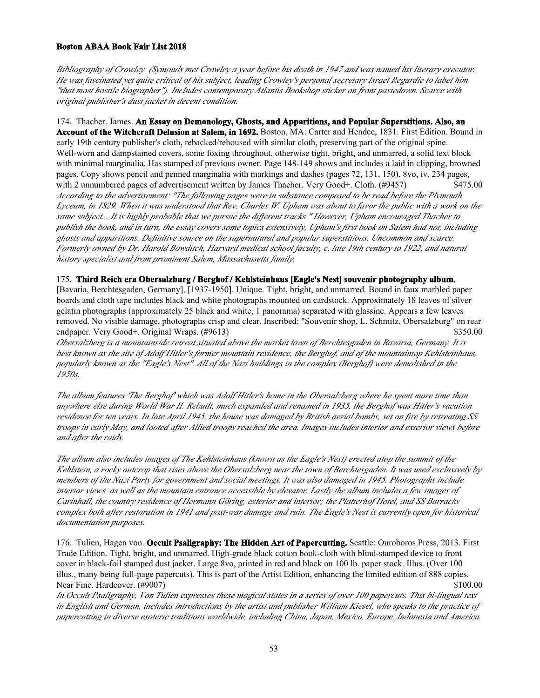*Bibliography of Crowley. (Symonds met Crowley a year before his death in 1947 and was named his literary executor. He was fascinated yet quite critical of his subject, leading Crowley's personal secretary Israel Regardie to label him "that most hostile biographer"). Includes contemporary Atlantis Bookshop sticker on front pastedown. Scarce with original publisher's dust jacket in decent condition.*

174. Thacher, James. **An Essay on Demonology, Ghosts, and Apparitions, and Popular Superstitions. Also, an Account of the Witchcraft Delusion at Salem, in 1692.** Boston, MA: Carter and Hendee, 1831. First Edition. Bound in early 19th century publisher's cloth, rebacked/rehoused with similar cloth, preserving part of the original spine. Well-worn and dampstained covers, some foxing throughout, otherwise tight, bright, and unmarred, a solid text block with minimal marginalia. Has stamped of previous owner. Page 148-149 shows and includes a laid in clipping, browned pages. Copy shows pencil and penned marginalia with markings and dashes (pages 72, 131, 150). 8vo, iv, 234 pages, with 2 unnumbered pages of advertisement written by James Thacher. Very Good+. Cloth. (#9457) \$475.00 *According to the advertisement: "The following pages were in substance composed to be read before the Plymouth Lyceum, in 1829. When it was understood that Rev. Charles W. Upham was about to favor the public with a work on the same subject... It is highly probable that we pursue the different tracks." However, Upham encouraged Thacher to publish the book, and in turn, the essay covers some topics extensively, Upham's first book on Salem had not, including ghosts and apparitions. Definitive source on the supernatural and popular superstitions. Uncommon and scarce. Formerly owned by Dr. Harold Bowditch, Harvard medical school faculty, c. late 19th century to 1922, and natural history specialist and from prominent Salem, Massachusetts family.*

## 175. **Third Reich era Obersalzburg / Berghof / Kehlsteinhaus [Eagle's Nest] souvenir photography album.**

[Bavaria, Berchtesgaden, Germany], [1937-1950]. Unique. Tight, bright, and unmarred. Bound in faux marbled paper boards and cloth tape includes black and white photographs mounted on cardstock. Approximately 18 leaves of silver gelatin photographs (approximately 25 black and white, 1 panorama) separated with glassine. Appears a few leaves removed. No visible damage, photographs crisp and clear. Inscribed: "Souvenir shop, L. Schmitz, Obersalzburg" on rear endpaper. Very Good+. Original Wraps. (#9613) \$350.00

*Obersalzberg is a mountainside retreat situated above the market town of Berchtesgaden in Bavaria, Germany. It is best known as the site of Adolf Hitler's former mountain residence, the Berghof, and of the mountaintop Kehlsteinhaus, popularly known as the "Eagle's Nest". All of the Nazi buildings in the complex (Berghof) were demolished in the 1950s.*

*The album features 'The Berghof' which was Adolf Hitler's home in the Obersalzberg where he spent more time than anywhere else during World War II. Rebuilt, much expanded and renamed in 1935, the Berghof was Hitler's vacation residence for ten years. In late April 1945, the house was damaged by British aerial bombs, set on fire by retreating SS troops in early May, and looted after Allied troops reached the area. Images includes interior and exterior views before and after the raids.*

*The album also includes images of The Kehlsteinhaus (known as the Eagle's Nest) erected atop the summit of the Kehlstein, a rocky outcrop that rises above the Obersalzberg near the town of Berchtesgaden. It was used exclusively by members of the Nazi Party for government and social meetings. It was also damaged in 1945. Photographs include interior views, as well as the mountain entrance accessible by elevator. Lastly the album includes a few images of Carinhall, the country residence of Hermann Göring, exterior and interior; the Platterhof Hotel, and SS Barracks complex both after restoration in 1941 and post-war damage and ruin. The Eagle's Nest is currently open for historical documentation purposes.*

176. Tulien, Hagen von. **Occult Psaligraphy: The Hidden Art of Papercutting.** Seattle: Ouroboros Press, 2013. First Trade Edition. Tight, bright, and unmarred. High-grade black cotton book-cloth with blind-stamped device to front cover in black-foil stamped dust jacket. Large 8vo, printed in red and black on 100 lb. paper stock. Illus. (Over 100 illus., many being full-page papercuts). This is part of the Artist Edition, enhancing the limited edition of 888 copies. Near Fine. Hardcover. (#9007) \$100.00

*In Occult Psaligraphy, Von Tulien expresses these magical states in a series of over 100 papercuts. This bi-lingual text in English and German, includes introductions by the artist and publisher William Kiesel, who speaks to the practice of papercutting in diverse esoteric traditions worldwide, including China, Japan, Mexico, Europe, Indonesia and America.*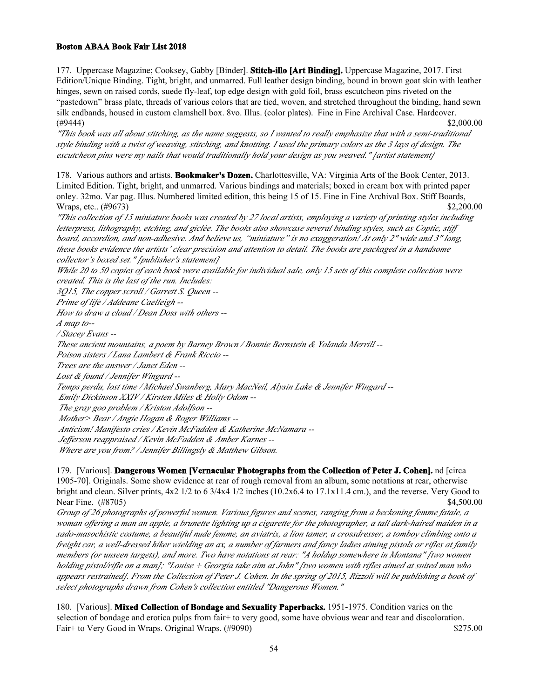177. Uppercase Magazine; Cooksey, Gabby [Binder]. **Stitch-illo [Art Binding].** Uppercase Magazine, 2017. First Edition/Unique Binding. Tight, bright, and unmarred. Full leather design binding, bound in brown goat skin with leather hinges, sewn on raised cords, suede fly-leaf, top edge design with gold foil, brass escutcheon pins riveted on the "pastedown" brass plate, threads of various colors that are tied, woven, and stretched throughout the binding, hand sewn silk endbands, housed in custom clamshell box. 8vo. Illus. (color plates). Fine in Fine Archival Case. Hardcover. (#9444) \$2,000.00

*"This book was all about stitching, as the name suggests, so I wanted to really emphasize that with a semi-traditional style binding with a twist of weaving, stitching, and knotting. I used the primary colors as the 3 lays of design. The escutcheon pins were my nails that would traditionally hold your design as you weaved." [artist statement]*

178. Various authors and artists. **Bookmaker's Dozen.** Charlottesville, VA: Virginia Arts of the Book Center, 2013. Limited Edition. Tight, bright, and unmarred. Various bindings and materials; boxed in cream box with printed paper onley. 32mo. Var pag. Illus. Numbered limited edition, this being 15 of 15. Fine in Fine Archival Box. Stiff Boards, Wraps, etc.. (#9673) \$2,200.00

*"This collection of 15 miniature books was created by 27 local artists, employing a variety of printing styles including letterpress, lithography, etching, and giclée. The books also showcase several binding styles, such as Coptic, stiff board, accordion, and non-adhesive. And believe us, "miniature" is no exaggeration! At only 2″ wide and 3″ long, these books evidence the artists' clear precision and attention to detail. The books are packaged in a handsome collector's boxed set." [publisher's statement]*

*While 20 to 50 copies of each book were available for individual sale, only 15 sets of this complete collection were created. This is the last of the run. Includes:*

*3Q15, The copper scroll / Garrett S. Queen --*

*Prime of life / Addeane Caelleigh --*

*How to draw a cloud / Dean Doss with others --*

*A map to--*

*/ Stacey Evans --*

*These ancient mountains, a poem by Barney Brown / Bonnie Bernstein & Yolanda Merrill --*

*Poison sisters / Lana Lambert & Frank Riccio --*

*Trees are the answer / Janet Eden --*

*Lost & found / Jennifer Wingard --*

*Temps perdu, lost time / Michael Swanberg, Mary MacNeil, Alysin Lake & Jennifer Wingard --*

 *Emily Dickinson XXIV / Kirsten Miles & Holly Odom --*

 *The gray goo problem / Kriston Adolfson --*

 *Mother> Bear / Angie Hogan & Roger Williams --*

 *Anticism! Manifesto cries / Kevin McFadden & Katherine McNamara --*

 *Jefferson reappraised / Kevin McFadden & Amber Karnes --*

 *Where are you from? / Jennifer Billingsly & Matthew Gibson.*

179. [Various]. **Dangerous Women [Vernacular Photographs from the Collection of Peter J. Cohen].** nd [circa 1905-70]. Originals. Some show evidence at rear of rough removal from an album, some notations at rear, otherwise bright and clean. Silver prints, 4x2 1/2 to 6 3/4x4 1/2 inches (10.2x6.4 to 17.1x11.4 cm.), and the reverse. Very Good to Near Fine. (#8705) \$4,500.00

*Group of 26 photographs of powerful women. Various figures and scenes, ranging from a beckoning femme fatale, a woman offering a man an apple, a brunette lighting up a cigarette for the photographer, a tall dark-haired maiden in a sado-masochistic costume, a beautiful nude femme, an aviatrix, a lion tamer, a crossdresser, a tomboy climbing onto a freight car, a well-dressed hiker wielding an ax, a number of farmers and fancy ladies aiming pistols or rifles at family members (or unseen targets), and more. Two have notations at rear: "A holdup somewhere in Montana" [two women holding pistol/rifle on a man]; "Louise + Georgia take aim at John" [two women with rifles aimed at suited man who appears restrained]. From the Collection of Peter J. Cohen. In the spring of 2015, Rizzoli will be publishing a book of select photographs drawn from Cohen's collection entitled "Dangerous Women."*

180. [Various]. **Mixed Collection of Bondage and Sexuality Paperbacks.** 1951-1975. Condition varies on the selection of bondage and erotica pulps from fair+ to very good, some have obvious wear and tear and discoloration. Fair+ to Very Good in Wraps. Original Wraps. (#9090) \$275.00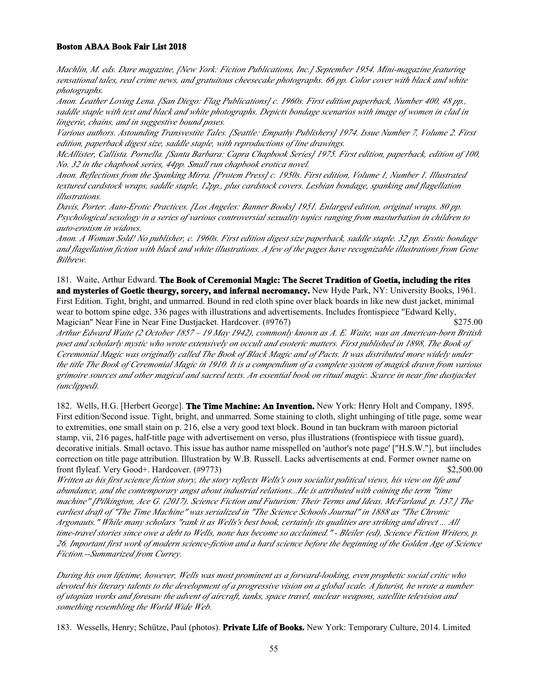*Machlin, M. eds. Dare magazine, [New York: Fiction Publications, Inc.] September 1954. Mini-magazine featuring sensational tales, real crime news, and gratuitous cheesecake photographs. 66 pp. Color cover with black and white photographs.*

*Anon. Leather Loving Lena. [San Diego: Flag Publications] c. 1960s. First edition paperback, Number 400, 48 pp., saddle staple with text and black and white photographs. Depicts bondage scenarios with image of women in clad in lingerie, chains, and in suggestive bound poses.*

*Various authors. Astounding Transvestite Tales. [Seattle: Empathy Publishers] 1974. Issue Number 7, Volume 2. First edition, paperback digest size, saddle staple, with reproductions of line drawings.*

*McAllister, Callista. Pornella. [Santa Barbara: Capra Chapbook Series] 1975. First edition, paperback, edition of 100, No. 32 in the chapbook series, 44pp. Small run chapbook erotica novel.*

*Anon. Reflections from the Spanking Mirra. [Protem Press] c. 1950s. First edition, Volume 1, Number 1. Illustrated textured cardstock wraps, saddle staple, 12pp., plus cardstock covers. Lesbian bondage, spanking and flagellation illustrations.*

*Davis, Porter. Auto-Erotic Practices. [Los Angeles: Banner Books] 1951. Enlarged edition, original wraps. 80 pp. Psychological sexology in a series of various controversial sexuality topics ranging from masturbation in children to auto-erotism in widows.*

*Anon. A Woman Sold! No publisher, c. 1960s. First edition digest size paperback, saddle staple. 32 pp. Erotic bondage and flagellation fiction with black and white illustrations. A few of the pages have recognizable illustrations from Gene Bilbrew.*

181. Waite, Arthur Edward. **The Book of Ceremonial Magic: The Secret Tradition of Goetia, including the rites and mysteries of Goetic theurgy, sorcery, and infernal necromancy.** New Hyde Park, NY: University Books, 1961. First Edition. Tight, bright, and unmarred. Bound in red cloth spine over black boards in like new dust jacket, minimal wear to bottom spine edge. 336 pages with illustrations and advertisements. Includes frontispiece "Edward Kelly, Magician" Near Fine in Near Fine Dustjacket. Hardcover. (#9767) \$275.00

*Arthur Edward Waite (2 October 1857 – 19 May 1942), commonly known as A. E. Waite, was an American-born British poet and scholarly mystic who wrote extensively on occult and esoteric matters. First published in 1898, The Book of Ceremonial Magic was originally called The Book of Black Magic and of Pacts. It was distributed more widely under the title The Book of Ceremonial Magic in 1910. It is a compendium of a complete system of magick drawn from various grimoire sources and other magical and sacred texts. An essential book on ritual magic. Scarce in near fine dustjacket (unclipped).*

182. Wells, H.G. [Herbert George]. **The Time Machine: An Invention.** New York: Henry Holt and Company, 1895. First edition/Second issue. Tight, bright, and unmarred. Some staining to cloth, slight unhinging of title page, some wear to extremities, one small stain on p. 216, else a very good text block. Bound in tan buckram with maroon pictorial stamp, vii, 216 pages, half-title page with advertisement on verso, plus illustrations (frontispiece with tissue guard), decorative initials. Small octavo. This issue has author name misspelled on 'author's note page' ["H.S.W."], but iincludes correction on title page attribution. Illustration by W.B. Russell. Lacks advertisements at end. Former owner name on front flyleaf. Very Good+. Hardcover. (#9773) \$2,500.00

*Written as his first science fiction story, the story reflects Wells's own socialist political views, his view on life and abundance, and the contemporary angst about industrial relations...He is attributed with coining the term "time machine" [Pilkington, Ace G. (2017). Science Fiction and Futurism: Their Terms and Ideas. McFarland. p. 137.] The earliest draft of "The Time Machine" was serialized in "The Science Schools Journal" in 1888 as "The Chronic Argonauts." While many scholars "rank it as Wells's best book, certainly its qualities are striking and direct ... All time-travel stories since owe a debt to Wells, none has become so acclaimed." - Bleiler (ed), Science Fiction Writers, p. 26. Important first work of modern science-fiction and a hard science before the beginning of the Golden Age of Science Fiction.--Summarized from Currey.*

*During his own lifetime, however, Wells was most prominent as a forward-looking, even prophetic social critic who devoted his literary talents to the development of a progressive vision on a global scale. A futurist, he wrote a number of utopian works and foresaw the advent of aircraft, tanks, space travel, nuclear weapons, satellite television and something resembling the World Wide Web.*

183. Wessells, Henry; Schütze, Paul (photos). **Private Life of Books.** New York: Temporary Culture, 2014. Limited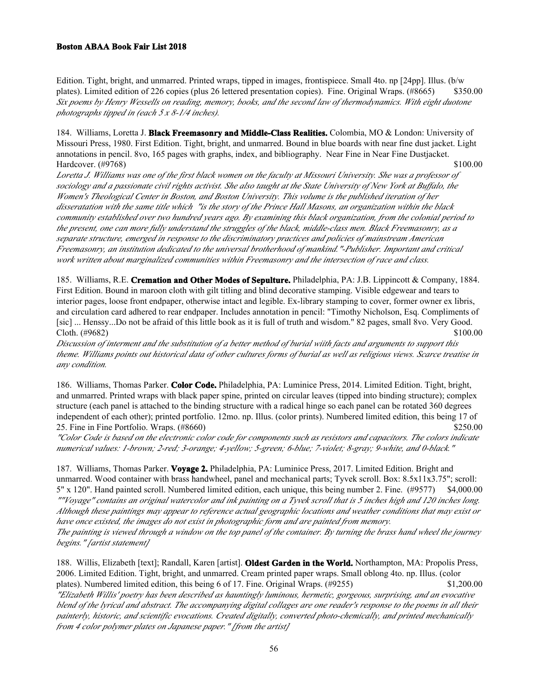Edition. Tight, bright, and unmarred. Printed wraps, tipped in images, frontispiece. Small 4to. np [24pp]. Illus. (b/w plates). Limited edition of 226 copies (plus 26 lettered presentation copies). Fine. Original Wraps. (#8665) \$350.00 *Six poems by Henry Wessells on reading, memory, books, and the second law of thermodynamics. With eight duotone photographs tipped in (each 5 x 8-1/4 inches).*

184. Williams, Loretta J. **Black Freemasonry and Middle-Class Realities.** Colombia, MO & London: University of Missouri Press, 1980. First Edition. Tight, bright, and unmarred. Bound in blue boards with near fine dust jacket. Light annotations in pencil. 8vo, 165 pages with graphs, index, and bibliography. Near Fine in Near Fine Dustjacket. Hardcover. (#9768) \$100.00

*Loretta J. Williams was one of the first black women on the faculty at Missouri University. She was a professor of sociology and a passionate civil rights activist. She also taught at the State University of New York at Buffalo, the Women's Theological Center in Boston, and Boston University. This volume is the published iteration of her disseratation with the same title which "is the story of the Prince Hall Masons, an organization within the black community established over two hundred years ago. By examining this black organization, from the colonial period to the present, one can more fully understand the struggles of the black, middle-class men. Black Freemasonry, as a separate structure, emerged in response to the discriminatory practices and policies of mainstream American Freemasonry, an institution dedicated to the universal brotherhood of mankind."-Publisher. Important and critical work written about marginalized communities within Freemasonry and the intersection of race and class.*

185. Williams, R.E. **Cremation and Other Modes of Sepulture.** Philadelphia, PA: J.B. Lippincott & Company, 1884. First Edition. Bound in maroon cloth with gilt titling and blind decorative stamping. Visible edgewear and tears to interior pages, loose front endpaper, otherwise intact and legible. Ex-library stamping to cover, former owner ex libris, and circulation card adhered to rear endpaper. Includes annotation in pencil: "Timothy Nicholson, Esq. Compliments of [sic] ... Henssy...Do not be afraid of this little book as it is full of truth and wisdom." 82 pages, small 8vo. Very Good.  $\text{Cloth.} \ (\#9682)$  \$100.00

*Discussion of interment and the substitution of a better method of burial wiith facts and arguments to support this theme. Williams points out historical data of other cultures forms of burial as well as religious views. Scarce treatise in any condition.*

186. Williams, Thomas Parker. **Color Code.** Philadelphia, PA: Luminice Press, 2014. Limited Edition. Tight, bright, and unmarred. Printed wraps with black paper spine, printed on circular leaves (tipped into binding structure); complex structure (each panel is attached to the binding structure with a radical hinge so each panel can be rotated 360 degrees independent of each other); printed portfolio. 12mo. np. Illus. (color prints). Numbered limited edition, this being 17 of 25. Fine in Fine Portfolio. Wraps. (#8660) \$250.00

*"Color Code is based on the electronic color code for components such as resistors and capacitors. The colors indicate numerical values: 1-brown; 2-red; 3-orange; 4-yellow; 5-green; 6-blue; 7-violet; 8-gray; 9-white, and 0-black."*

187. Williams, Thomas Parker. **Voyage 2.** Philadelphia, PA: Luminice Press, 2017. Limited Edition. Bright and unmarred. Wood container with brass handwheel, panel and mechanical parts; Tyvek scroll. Box: 8.5x11x3.75"; scroll: 5" x 120". Hand painted scroll. Numbered limited edition, each unique, this being number 2. Fine. (#9577) \$4,000.00 *""Voyage" contains an original watercolor and ink painting on a Tyvek scroll that is 5 inches high and 120 inches long. Although these paintings may appear to reference actual geographic locations and weather conditions that may exist or have once existed, the images do not exist in photographic form and are painted from memory.*

*The painting is viewed through a window on the top panel of the container. By turning the brass hand wheel the journey begins." [artist statement]*

188. Willis, Elizabeth [text]; Randall, Karen [artist]. **Oldest Garden in the World.** Northampton, MA: Propolis Press, 2006. Limited Edition. Tight, bright, and unmarred. Cream printed paper wraps. Small oblong 4to. np. Illus. (color plates). Numbered limited edition, this being 6 of 17. Fine. Original Wraps. (#9255) \$1,200.00 *"Elizabeth Willis' poetry has been described as hauntingly luminous, hermetic, gorgeous, surprising, and an evocative blend of the lyrical and abstract. The accompanying digital collages are one reader's response to the poems in all their painterly, historic, and scientific evocations. Created digitally, converted photo-chemically, and printed mechanically from 4 color polymer plates on Japanese paper." [from the artist]*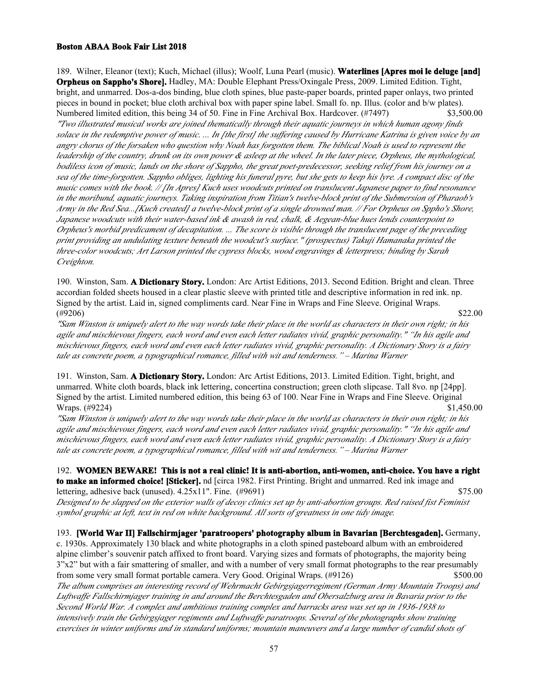189. Wilner, Eleanor (text); Kuch, Michael (illus); Woolf, Luna Pearl (music). **Waterlines [Apres moi le deluge [and] Orpheus on Sappho's Shore].** Hadley, MA: Double Elephant Press/Oxingale Press, 2009. Limited Edition. Tight, bright, and unmarred. Dos-a-dos binding, blue cloth spines, blue paste-paper boards, printed paper onlays, two printed pieces in bound in pocket; blue cloth archival box with paper spine label. Small fo. np. Illus. (color and b/w plates). Numbered limited edition, this being 34 of 50. Fine in Fine Archival Box. Hardcover. (#7497) \$3,500.00 *"Two illustrated musical works are joined thematically through their aquatic journeys in which human agony finds solace in the redemptive power of music. ... In [the first] the suffering caused by Hurricane Katrina is given voice by an angry chorus of the forsaken who question why Noah has forgotten them. The biblical Noah is used to represent the leadership of the country, drunk on its own power & asleep at the wheel. In the later piece, Orpheus, the mythological, bodiless icon of music, lands on the shore of Sappho, the great poet-predecessor, seeking relief from his journey on a sea of the time-forgotten. Sappho obliges, lighting his funeral pyre, but she gets to keep his lyre. A compact disc of the music comes with the book. // [In Apres] Kuch uses woodcuts printed on translucent Japanese paper to find resonance in the moribund, aquatic journeys. Taking inspiration from Titian's twelve-block print of the Submersion of Pharaob's Army in the Red Sea...[Kuch created] a twelve-block print of a single drowned man. // For Orpheus on Sppho's Shore, Japanese woodcuts with their water-based ink & awash in red, chalk, & Aegean-blue hues lends counterpoint to Orpheus's morbid predicament of decapitation. ... The score is visible through the translucent page of the preceding print providing an undulating texture beneath the woodcut's surface." (prospectus) Takuji Hamanaka printed the three-color woodcuts; Art Larson printed the cypress blocks, wood engravings & letterpress; binding by Sarah Creighton.*

190. Winston, Sam. **A Dictionary Story.** London: Arc Artist Editions, 2013. Second Edition. Bright and clean. Three accordian folded sheets housed in a clear plastic sleeve with printed title and descriptive information in red ink. np. Signed by the artist. Laid in, signed compliments card. Near Fine in Wraps and Fine Sleeve. Original Wraps. (#9206) \$22.00

*"Sam Winston is uniquely alert to the way words take their place in the world as characters in their own right; in his agile and mischievous fingers, each word and even each letter radiates vivid, graphic personality." "In his agile and mischievous fingers, each word and even each letter radiates vivid, graphic personality. A Dictionary Story is a fairy tale as concrete poem, a typographical romance, filled with wit and tenderness." – Marina Warner*

191. Winston, Sam. **A Dictionary Story.** London: Arc Artist Editions, 2013. Limited Edition. Tight, bright, and unmarred. White cloth boards, black ink lettering, concertina construction; green cloth slipcase. Tall 8vo. np [24pp]. Signed by the artist. Limited numbered edition, this being 63 of 100. Near Fine in Wraps and Fine Sleeve. Original Wraps. (#9224) \$1,450.00

*"Sam Winston is uniquely alert to the way words take their place in the world as characters in their own right; in his agile and mischievous fingers, each word and even each letter radiates vivid, graphic personality." "In his agile and mischievous fingers, each word and even each letter radiates vivid, graphic personality. A Dictionary Story is a fairy tale as concrete poem, a typographical romance, filled with wit and tenderness." – Marina Warner*

192. **WOMEN BEWARE! This is not a real clinic! It is anti-abortion, anti-women, anti-choice. You have a right to make an informed choice! [Sticker].** nd [circa 1982. First Printing. Bright and unmarred. Red ink image and lettering, adhesive back (unused). 4.25x11". Fine. (#9691) \$75.00

*Designed to be slapped on the exterior walls of decoy clinics set up by anti-abortion groups. Red raised fist Feminist symbol graphic at left, text in red on white background. All sorts of greatness in one tidy image.*

193. **[World War II] Fallschirmjager 'paratroopers' photography album in Bavarian [Berchtesgaden].** Germany, c. 1930s. Approximately 130 black and white photographs in a cloth spined pasteboard album with an embroidered alpine climber's souvenir patch affixed to front board. Varying sizes and formats of photographs, the majority being 3"x2" but with a fair smattering of smaller, and with a number of very small format photographs to the rear presumably from some very small format portable camera. Very Good. Original Wraps. (#9126) \$500.00 *The album comprises an interesting record of Wehrmacht Gebirgsjagerregiment (German Army Mountain Troops) and Luftwaffe Fallschirmjager training in and around the Berchtesgaden and Obersalzburg area in Bavaria prior to the Second World War. A complex and ambitious training complex and barracks area was set up in 1936-1938 to intensively train the Gebirgsjager regiments and Luftwaffe paratroops. Several of the photographs show training exercises in winter uniforms and in standard uniforms; mountain maneuvers and a large number of candid shots of*